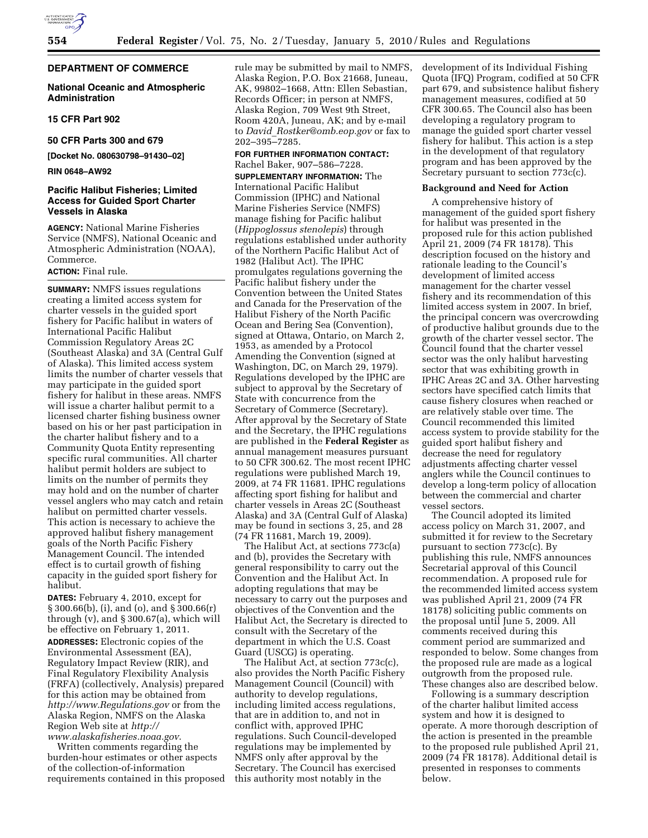### **DEPARTMENT OF COMMERCE**

**National Oceanic and Atmospheric Administration** 

### **15 CFR Part 902**

**50 CFR Parts 300 and 679** 

**[Docket No. 080630798–91430–02]** 

#### **RIN 0648–AW92**

# **Pacific Halibut Fisheries; Limited Access for Guided Sport Charter Vessels in Alaska**

**AGENCY:** National Marine Fisheries Service (NMFS), National Oceanic and Atmospheric Administration (NOAA), Commerce.

# **ACTION:** Final rule.

**SUMMARY:** NMFS issues regulations creating a limited access system for charter vessels in the guided sport fishery for Pacific halibut in waters of International Pacific Halibut Commission Regulatory Areas 2C (Southeast Alaska) and 3A (Central Gulf of Alaska). This limited access system limits the number of charter vessels that may participate in the guided sport fishery for halibut in these areas. NMFS will issue a charter halibut permit to a licensed charter fishing business owner based on his or her past participation in the charter halibut fishery and to a Community Quota Entity representing specific rural communities. All charter halibut permit holders are subject to limits on the number of permits they may hold and on the number of charter vessel anglers who may catch and retain halibut on permitted charter vessels. This action is necessary to achieve the approved halibut fishery management goals of the North Pacific Fishery Management Council. The intended effect is to curtail growth of fishing capacity in the guided sport fishery for halibut.

**DATES:** February 4, 2010, except for  $\S 300.66(b)$ , (i), and (o), and  $\S 300.66(r)$ through (v), and § 300.67(a), which will be effective on February 1, 2011.

**ADDRESSES:** Electronic copies of the Environmental Assessment (EA), Regulatory Impact Review (RIR), and Final Regulatory Flexibility Analysis (FRFA) (collectively, Analysis) prepared for this action may be obtained from *http://www.Regulations.gov* or from the Alaska Region, NMFS on the Alaska Region Web site at *http:// www.alaskafisheries.noaa.gov*.

Written comments regarding the burden-hour estimates or other aspects of the collection-of-information requirements contained in this proposed rule may be submitted by mail to NMFS, Alaska Region, P.O. Box 21668, Juneau, AK, 99802–1668, Attn: Ellen Sebastian, Records Officer; in person at NMFS, Alaska Region, 709 West 9th Street, Room 420A, Juneau, AK; and by e-mail to *David*\_*Rostker@omb.eop.gov* or fax to 202–395–7285.

### **FOR FURTHER INFORMATION CONTACT:**  Rachel Baker, 907–586–7228.

**SUPPLEMENTARY INFORMATION:** The International Pacific Halibut Commission (IPHC) and National Marine Fisheries Service (NMFS) manage fishing for Pacific halibut (*Hippoglossus stenolepis*) through regulations established under authority of the Northern Pacific Halibut Act of 1982 (Halibut Act). The IPHC promulgates regulations governing the Pacific halibut fishery under the Convention between the United States and Canada for the Preservation of the Halibut Fishery of the North Pacific Ocean and Bering Sea (Convention), signed at Ottawa, Ontario, on March 2, 1953, as amended by a Protocol Amending the Convention (signed at Washington, DC, on March 29, 1979). Regulations developed by the IPHC are subject to approval by the Secretary of State with concurrence from the Secretary of Commerce (Secretary). After approval by the Secretary of State and the Secretary, the IPHC regulations are published in the **Federal Register** as annual management measures pursuant to 50 CFR 300.62. The most recent IPHC regulations were published March 19, 2009, at 74 FR 11681. IPHC regulations affecting sport fishing for halibut and charter vessels in Areas 2C (Southeast Alaska) and 3A (Central Gulf of Alaska) may be found in sections 3, 25, and 28 (74 FR 11681, March 19, 2009).

The Halibut Act, at sections 773c(a) and (b), provides the Secretary with general responsibility to carry out the Convention and the Halibut Act. In adopting regulations that may be necessary to carry out the purposes and objectives of the Convention and the Halibut Act, the Secretary is directed to consult with the Secretary of the department in which the U.S. Coast Guard (USCG) is operating.

The Halibut Act, at section 773c(c), also provides the North Pacific Fishery Management Council (Council) with authority to develop regulations, including limited access regulations, that are in addition to, and not in conflict with, approved IPHC regulations. Such Council-developed regulations may be implemented by NMFS only after approval by the Secretary. The Council has exercised this authority most notably in the

development of its Individual Fishing Quota (IFQ) Program, codified at 50 CFR part 679, and subsistence halibut fishery management measures, codified at 50 CFR 300.65. The Council also has been developing a regulatory program to manage the guided sport charter vessel fishery for halibut. This action is a step in the development of that regulatory program and has been approved by the Secretary pursuant to section 773c(c).

### **Background and Need for Action**

A comprehensive history of management of the guided sport fishery for halibut was presented in the proposed rule for this action published April 21, 2009 (74 FR 18178). This description focused on the history and rationale leading to the Council's development of limited access management for the charter vessel fishery and its recommendation of this limited access system in 2007. In brief, the principal concern was overcrowding of productive halibut grounds due to the growth of the charter vessel sector. The Council found that the charter vessel sector was the only halibut harvesting sector that was exhibiting growth in IPHC Areas 2C and 3A. Other harvesting sectors have specified catch limits that cause fishery closures when reached or are relatively stable over time. The Council recommended this limited access system to provide stability for the guided sport halibut fishery and decrease the need for regulatory adjustments affecting charter vessel anglers while the Council continues to develop a long-term policy of allocation between the commercial and charter vessel sectors.

The Council adopted its limited access policy on March 31, 2007, and submitted it for review to the Secretary pursuant to section 773c(c). By publishing this rule, NMFS announces Secretarial approval of this Council recommendation. A proposed rule for the recommended limited access system was published April 21, 2009 (74 FR 18178) soliciting public comments on the proposal until June 5, 2009. All comments received during this comment period are summarized and responded to below. Some changes from the proposed rule are made as a logical outgrowth from the proposed rule. These changes also are described below.

Following is a summary description of the charter halibut limited access system and how it is designed to operate. A more thorough description of the action is presented in the preamble to the proposed rule published April 21, 2009 (74 FR 18178). Additional detail is presented in responses to comments below.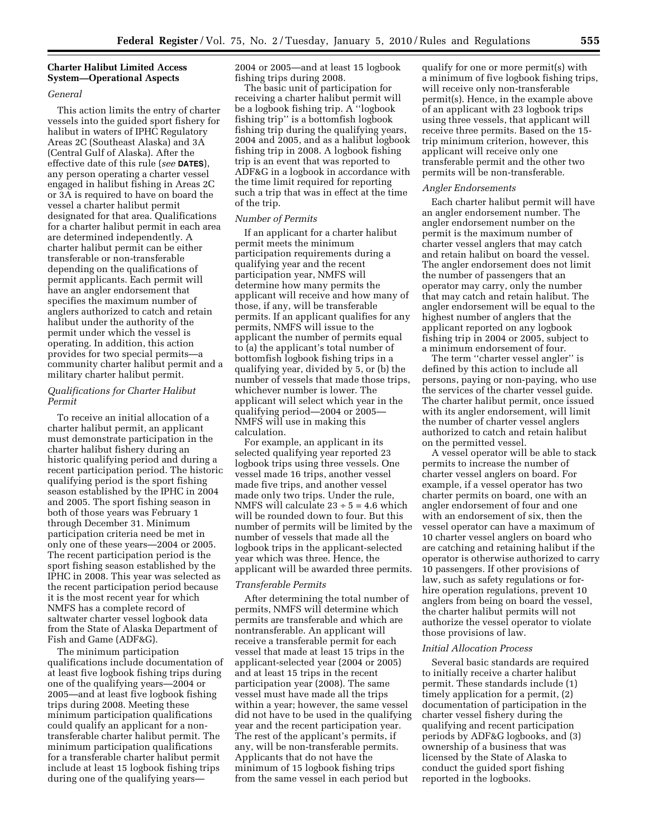# **Charter Halibut Limited Access System—Operational Aspects**

#### *General*

This action limits the entry of charter vessels into the guided sport fishery for halibut in waters of IPHC Regulatory Areas 2C (Southeast Alaska) and 3A (Central Gulf of Alaska). After the effective date of this rule (*see* **DATES**), any person operating a charter vessel engaged in halibut fishing in Areas 2C or 3A is required to have on board the vessel a charter halibut permit designated for that area. Qualifications for a charter halibut permit in each area are determined independently. A charter halibut permit can be either transferable or non-transferable depending on the qualifications of permit applicants. Each permit will have an angler endorsement that specifies the maximum number of anglers authorized to catch and retain halibut under the authority of the permit under which the vessel is operating. In addition, this action provides for two special permits—a community charter halibut permit and a military charter halibut permit.

# *Qualifications for Charter Halibut Permit*

To receive an initial allocation of a charter halibut permit, an applicant must demonstrate participation in the charter halibut fishery during an historic qualifying period and during a recent participation period. The historic qualifying period is the sport fishing season established by the IPHC in 2004 and 2005. The sport fishing season in both of those years was February 1 through December 31. Minimum participation criteria need be met in only one of these years—2004 or 2005. The recent participation period is the sport fishing season established by the IPHC in 2008. This year was selected as the recent participation period because it is the most recent year for which NMFS has a complete record of saltwater charter vessel logbook data from the State of Alaska Department of Fish and Game (ADF&G).

The minimum participation qualifications include documentation of at least five logbook fishing trips during one of the qualifying years—2004 or 2005—and at least five logbook fishing trips during 2008. Meeting these minimum participation qualifications could qualify an applicant for a nontransferable charter halibut permit. The minimum participation qualifications for a transferable charter halibut permit include at least 15 logbook fishing trips during one of the qualifying years2004 or 2005—and at least 15 logbook fishing trips during 2008.

The basic unit of participation for receiving a charter halibut permit will be a logbook fishing trip. A ''logbook fishing trip'' is a bottomfish logbook fishing trip during the qualifying years, 2004 and 2005, and as a halibut logbook fishing trip in 2008. A logbook fishing trip is an event that was reported to ADF&G in a logbook in accordance with the time limit required for reporting such a trip that was in effect at the time of the trip.

### *Number of Permits*

If an applicant for a charter halibut permit meets the minimum participation requirements during a qualifying year and the recent participation year, NMFS will determine how many permits the applicant will receive and how many of those, if any, will be transferable permits. If an applicant qualifies for any permits, NMFS will issue to the applicant the number of permits equal to (a) the applicant's total number of bottomfish logbook fishing trips in a qualifying year, divided by 5, or (b) the number of vessels that made those trips, whichever number is lower. The applicant will select which year in the qualifying period—2004 or 2005— NMFS will use in making this calculation.

For example, an applicant in its selected qualifying year reported 23 logbook trips using three vessels. One vessel made 16 trips, another vessel made five trips, and another vessel made only two trips. Under the rule, NMFS will calculate  $23 \div 5 = 4.6$  which will be rounded down to four. But this number of permits will be limited by the number of vessels that made all the logbook trips in the applicant-selected year which was three. Hence, the applicant will be awarded three permits.

#### *Transferable Permits*

After determining the total number of permits, NMFS will determine which permits are transferable and which are nontransferable. An applicant will receive a transferable permit for each vessel that made at least 15 trips in the applicant-selected year (2004 or 2005) and at least 15 trips in the recent participation year (2008). The same vessel must have made all the trips within a year; however, the same vessel did not have to be used in the qualifying year and the recent participation year. The rest of the applicant's permits, if any, will be non-transferable permits. Applicants that do not have the minimum of 15 logbook fishing trips from the same vessel in each period but

qualify for one or more permit(s) with a minimum of five logbook fishing trips, will receive only non-transferable permit(s). Hence, in the example above of an applicant with 23 logbook trips using three vessels, that applicant will receive three permits. Based on the 15 trip minimum criterion, however, this applicant will receive only one transferable permit and the other two permits will be non-transferable.

#### *Angler Endorsements*

Each charter halibut permit will have an angler endorsement number. The angler endorsement number on the permit is the maximum number of charter vessel anglers that may catch and retain halibut on board the vessel. The angler endorsement does not limit the number of passengers that an operator may carry, only the number that may catch and retain halibut. The angler endorsement will be equal to the highest number of anglers that the applicant reported on any logbook fishing trip in 2004 or 2005, subject to a minimum endorsement of four.

The term ''charter vessel angler'' is defined by this action to include all persons, paying or non-paying, who use the services of the charter vessel guide. The charter halibut permit, once issued with its angler endorsement, will limit the number of charter vessel anglers authorized to catch and retain halibut on the permitted vessel.

A vessel operator will be able to stack permits to increase the number of charter vessel anglers on board. For example, if a vessel operator has two charter permits on board, one with an angler endorsement of four and one with an endorsement of six, then the vessel operator can have a maximum of 10 charter vessel anglers on board who are catching and retaining halibut if the operator is otherwise authorized to carry 10 passengers. If other provisions of law, such as safety regulations or forhire operation regulations, prevent 10 anglers from being on board the vessel, the charter halibut permits will not authorize the vessel operator to violate those provisions of law.

#### *Initial Allocation Process*

Several basic standards are required to initially receive a charter halibut permit. These standards include (1) timely application for a permit, (2) documentation of participation in the charter vessel fishery during the qualifying and recent participation periods by ADF&G logbooks, and (3) ownership of a business that was licensed by the State of Alaska to conduct the guided sport fishing reported in the logbooks.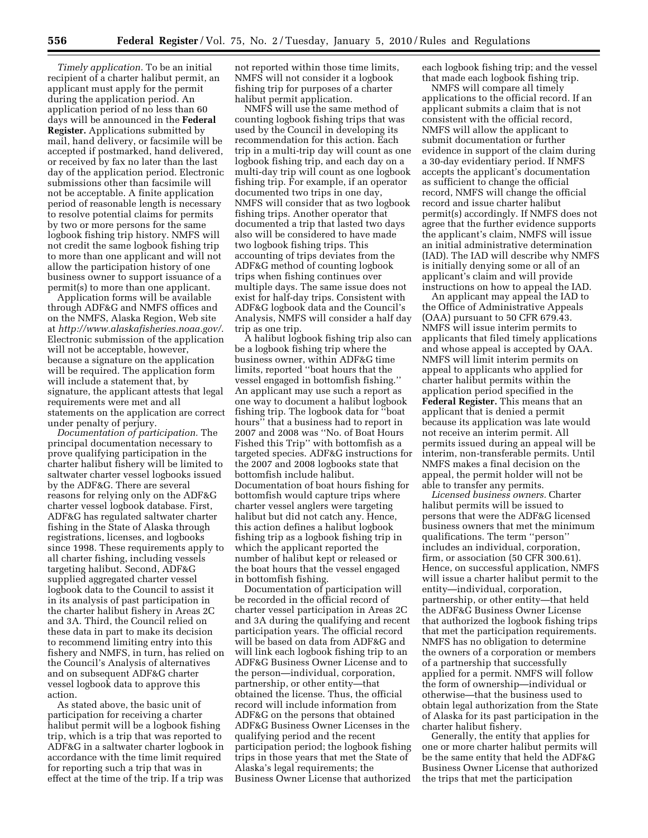*Timely application.* To be an initial recipient of a charter halibut permit, an applicant must apply for the permit during the application period. An application period of no less than 60 days will be announced in the **Federal Register.** Applications submitted by mail, hand delivery, or facsimile will be accepted if postmarked, hand delivered, or received by fax no later than the last day of the application period. Electronic submissions other than facsimile will not be acceptable. A finite application period of reasonable length is necessary to resolve potential claims for permits by two or more persons for the same logbook fishing trip history. NMFS will not credit the same logbook fishing trip to more than one applicant and will not allow the participation history of one business owner to support issuance of a permit(s) to more than one applicant.

Application forms will be available through ADF&G and NMFS offices and on the NMFS, Alaska Region, Web site at *http://www.alaskafisheries.noaa.gov/*. Electronic submission of the application will not be acceptable, however, because a signature on the application will be required. The application form will include a statement that, by signature, the applicant attests that legal requirements were met and all statements on the application are correct under penalty of perjury.

*Documentation of participation.* The principal documentation necessary to prove qualifying participation in the charter halibut fishery will be limited to saltwater charter vessel logbooks issued by the ADF&G. There are several reasons for relying only on the ADF&G charter vessel logbook database. First, ADF&G has regulated saltwater charter fishing in the State of Alaska through registrations, licenses, and logbooks since 1998. These requirements apply to all charter fishing, including vessels targeting halibut. Second, ADF&G supplied aggregated charter vessel logbook data to the Council to assist it in its analysis of past participation in the charter halibut fishery in Areas 2C and 3A. Third, the Council relied on these data in part to make its decision to recommend limiting entry into this fishery and NMFS, in turn, has relied on the Council's Analysis of alternatives and on subsequent ADF&G charter vessel logbook data to approve this action.

As stated above, the basic unit of participation for receiving a charter halibut permit will be a logbook fishing trip, which is a trip that was reported to ADF&G in a saltwater charter logbook in accordance with the time limit required for reporting such a trip that was in effect at the time of the trip. If a trip was

not reported within those time limits, NMFS will not consider it a logbook fishing trip for purposes of a charter halibut permit application.

NMFS will use the same method of counting logbook fishing trips that was used by the Council in developing its recommendation for this action. Each trip in a multi-trip day will count as one logbook fishing trip, and each day on a multi-day trip will count as one logbook fishing trip. For example, if an operator documented two trips in one day, NMFS will consider that as two logbook fishing trips. Another operator that documented a trip that lasted two days also will be considered to have made two logbook fishing trips. This accounting of trips deviates from the ADF&G method of counting logbook trips when fishing continues over multiple days. The same issue does not exist for half-day trips. Consistent with ADF&G logbook data and the Council's Analysis, NMFS will consider a half day trip as one trip.

A halibut logbook fishing trip also can be a logbook fishing trip where the business owner, within ADF&G time limits, reported ''boat hours that the vessel engaged in bottomfish fishing.'' An applicant may use such a report as one way to document a halibut logbook fishing trip. The logbook data for ''boat hours'' that a business had to report in 2007 and 2008 was ''No. of Boat Hours Fished this Trip'' with bottomfish as a targeted species. ADF&G instructions for the 2007 and 2008 logbooks state that bottomfish include halibut. Documentation of boat hours fishing for bottomfish would capture trips where charter vessel anglers were targeting halibut but did not catch any. Hence, this action defines a halibut logbook fishing trip as a logbook fishing trip in which the applicant reported the number of halibut kept or released or the boat hours that the vessel engaged in bottomfish fishing.

Documentation of participation will be recorded in the official record of charter vessel participation in Areas 2C and 3A during the qualifying and recent participation years. The official record will be based on data from ADF&G and will link each logbook fishing trip to an ADF&G Business Owner License and to the person—individual, corporation, partnership, or other entity—that obtained the license. Thus, the official record will include information from ADF&G on the persons that obtained ADF&G Business Owner Licenses in the qualifying period and the recent participation period; the logbook fishing trips in those years that met the State of Alaska's legal requirements; the Business Owner License that authorized

each logbook fishing trip; and the vessel that made each logbook fishing trip.

NMFS will compare all timely applications to the official record. If an applicant submits a claim that is not consistent with the official record, NMFS will allow the applicant to submit documentation or further evidence in support of the claim during a 30-day evidentiary period. If NMFS accepts the applicant's documentation as sufficient to change the official record, NMFS will change the official record and issue charter halibut permit(s) accordingly. If NMFS does not agree that the further evidence supports the applicant's claim, NMFS will issue an initial administrative determination (IAD). The IAD will describe why NMFS is initially denying some or all of an applicant's claim and will provide instructions on how to appeal the IAD.

An applicant may appeal the IAD to the Office of Administrative Appeals (OAA) pursuant to 50 CFR 679.43. NMFS will issue interim permits to applicants that filed timely applications and whose appeal is accepted by OAA. NMFS will limit interim permits on appeal to applicants who applied for charter halibut permits within the application period specified in the **Federal Register.** This means that an applicant that is denied a permit because its application was late would not receive an interim permit. All permits issued during an appeal will be interim, non-transferable permits. Until NMFS makes a final decision on the appeal, the permit holder will not be able to transfer any permits.

*Licensed business owners.* Charter halibut permits will be issued to persons that were the ADF&G licensed business owners that met the minimum qualifications. The term ''person'' includes an individual, corporation, firm, or association (50 CFR 300.61). Hence, on successful application, NMFS will issue a charter halibut permit to the entity—individual, corporation, partnership, or other entity—that held the ADF&G Business Owner License that authorized the logbook fishing trips that met the participation requirements. NMFS has no obligation to determine the owners of a corporation or members of a partnership that successfully applied for a permit. NMFS will follow the form of ownership—individual or otherwise—that the business used to obtain legal authorization from the State of Alaska for its past participation in the charter halibut fishery.

Generally, the entity that applies for one or more charter halibut permits will be the same entity that held the ADF&G Business Owner License that authorized the trips that met the participation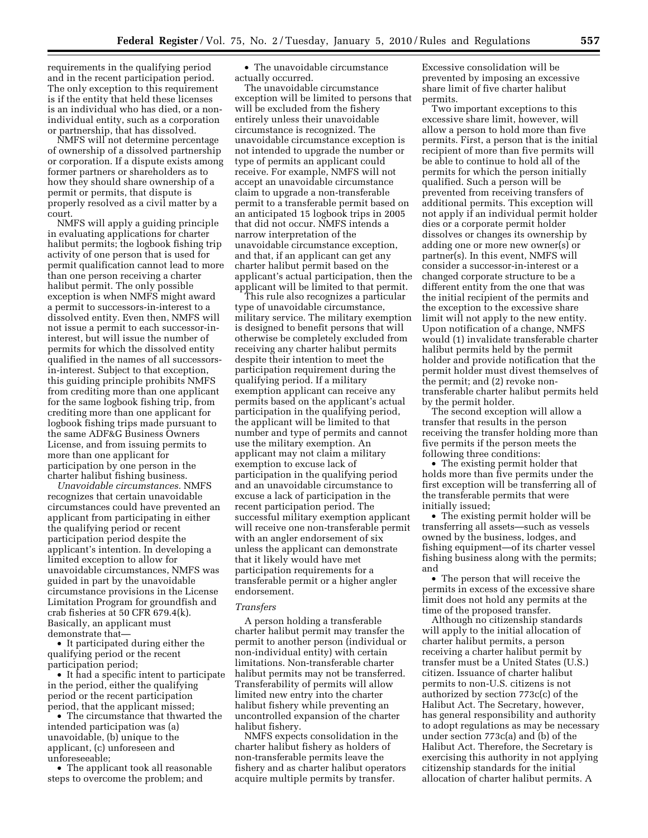requirements in the qualifying period and in the recent participation period. The only exception to this requirement is if the entity that held these licenses is an individual who has died, or a nonindividual entity, such as a corporation or partnership, that has dissolved.

NMFS will not determine percentage of ownership of a dissolved partnership or corporation. If a dispute exists among former partners or shareholders as to how they should share ownership of a permit or permits, that dispute is properly resolved as a civil matter by a court.

NMFS will apply a guiding principle in evaluating applications for charter halibut permits; the logbook fishing trip activity of one person that is used for permit qualification cannot lead to more than one person receiving a charter halibut permit. The only possible exception is when NMFS might award a permit to successors-in-interest to a dissolved entity. Even then, NMFS will not issue a permit to each successor-ininterest, but will issue the number of permits for which the dissolved entity qualified in the names of all successorsin-interest. Subject to that exception, this guiding principle prohibits NMFS from crediting more than one applicant for the same logbook fishing trip, from crediting more than one applicant for logbook fishing trips made pursuant to the same ADF&G Business Owners License, and from issuing permits to more than one applicant for participation by one person in the charter halibut fishing business.

*Unavoidable circumstances.* NMFS recognizes that certain unavoidable circumstances could have prevented an applicant from participating in either the qualifying period or recent participation period despite the applicant's intention. In developing a limited exception to allow for unavoidable circumstances, NMFS was guided in part by the unavoidable circumstance provisions in the License Limitation Program for groundfish and crab fisheries at 50 CFR 679.4(k). Basically, an applicant must demonstrate that—

• It participated during either the qualifying period or the recent participation period;

• It had a specific intent to participate in the period, either the qualifying period or the recent participation period, that the applicant missed;

• The circumstance that thwarted the intended participation was (a) unavoidable, (b) unique to the applicant, (c) unforeseen and unforeseeable;

• The applicant took all reasonable steps to overcome the problem; and

• The unavoidable circumstance actually occurred.

The unavoidable circumstance exception will be limited to persons that will be excluded from the fishery entirely unless their unavoidable circumstance is recognized. The unavoidable circumstance exception is not intended to upgrade the number or type of permits an applicant could receive. For example, NMFS will not accept an unavoidable circumstance claim to upgrade a non-transferable permit to a transferable permit based on an anticipated 15 logbook trips in 2005 that did not occur. NMFS intends a narrow interpretation of the unavoidable circumstance exception, and that, if an applicant can get any charter halibut permit based on the applicant's actual participation, then the applicant will be limited to that permit.

This rule also recognizes a particular type of unavoidable circumstance, military service. The military exemption is designed to benefit persons that will otherwise be completely excluded from receiving any charter halibut permits despite their intention to meet the participation requirement during the qualifying period. If a military exemption applicant can receive any permits based on the applicant's actual participation in the qualifying period, the applicant will be limited to that number and type of permits and cannot use the military exemption. An applicant may not claim a military exemption to excuse lack of participation in the qualifying period and an unavoidable circumstance to excuse a lack of participation in the recent participation period. The successful military exemption applicant will receive one non-transferable permit with an angler endorsement of six unless the applicant can demonstrate that it likely would have met participation requirements for a transferable permit or a higher angler endorsement.

#### *Transfers*

A person holding a transferable charter halibut permit may transfer the permit to another person (individual or non-individual entity) with certain limitations. Non-transferable charter halibut permits may not be transferred. Transferability of permits will allow limited new entry into the charter halibut fishery while preventing an uncontrolled expansion of the charter halibut fishery.

NMFS expects consolidation in the charter halibut fishery as holders of non-transferable permits leave the fishery and as charter halibut operators acquire multiple permits by transfer.

Excessive consolidation will be prevented by imposing an excessive share limit of five charter halibut permits.

Two important exceptions to this excessive share limit, however, will allow a person to hold more than five permits. First, a person that is the initial recipient of more than five permits will be able to continue to hold all of the permits for which the person initially qualified. Such a person will be prevented from receiving transfers of additional permits. This exception will not apply if an individual permit holder dies or a corporate permit holder dissolves or changes its ownership by adding one or more new owner(s) or partner(s). In this event, NMFS will consider a successor-in-interest or a changed corporate structure to be a different entity from the one that was the initial recipient of the permits and the exception to the excessive share limit will not apply to the new entity. Upon notification of a change, NMFS would (1) invalidate transferable charter halibut permits held by the permit holder and provide notification that the permit holder must divest themselves of the permit; and (2) revoke nontransferable charter halibut permits held by the permit holder.

The second exception will allow a transfer that results in the person receiving the transfer holding more than five permits if the person meets the following three conditions:

• The existing permit holder that holds more than five permits under the first exception will be transferring all of the transferable permits that were initially issued;

• The existing permit holder will be transferring all assets—such as vessels owned by the business, lodges, and fishing equipment—of its charter vessel fishing business along with the permits; and

• The person that will receive the permits in excess of the excessive share limit does not hold any permits at the time of the proposed transfer.

Although no citizenship standards will apply to the initial allocation of charter halibut permits, a person receiving a charter halibut permit by transfer must be a United States (U.S.) citizen. Issuance of charter halibut permits to non-U.S. citizens is not authorized by section 773c(c) of the Halibut Act. The Secretary, however, has general responsibility and authority to adopt regulations as may be necessary under section 773c(a) and (b) of the Halibut Act. Therefore, the Secretary is exercising this authority in not applying citizenship standards for the initial allocation of charter halibut permits. A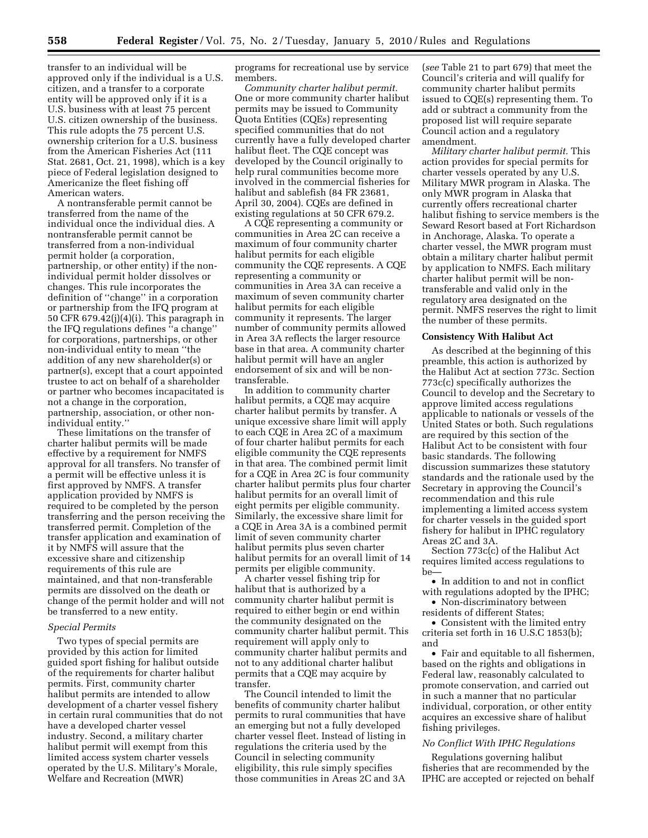transfer to an individual will be approved only if the individual is a U.S. citizen, and a transfer to a corporate entity will be approved only if it is a U.S. business with at least 75 percent U.S. citizen ownership of the business. This rule adopts the 75 percent U.S. ownership criterion for a U.S. business from the American Fisheries Act (111 Stat. 2681, Oct. 21, 1998), which is a key piece of Federal legislation designed to Americanize the fleet fishing off American waters.

A nontransferable permit cannot be transferred from the name of the individual once the individual dies. A nontransferable permit cannot be transferred from a non-individual permit holder (a corporation, partnership, or other entity) if the nonindividual permit holder dissolves or changes. This rule incorporates the definition of ''change'' in a corporation or partnership from the IFQ program at 50 CFR 679.42(j)(4)(i). This paragraph in the IFQ regulations defines ''a change'' for corporations, partnerships, or other non-individual entity to mean ''the addition of any new shareholder(s) or partner(s), except that a court appointed trustee to act on behalf of a shareholder or partner who becomes incapacitated is not a change in the corporation, partnership, association, or other nonindividual entity.''

These limitations on the transfer of charter halibut permits will be made effective by a requirement for NMFS approval for all transfers. No transfer of a permit will be effective unless it is first approved by NMFS. A transfer application provided by NMFS is required to be completed by the person transferring and the person receiving the transferred permit. Completion of the transfer application and examination of it by NMFS will assure that the excessive share and citizenship requirements of this rule are maintained, and that non-transferable permits are dissolved on the death or change of the permit holder and will not be transferred to a new entity.

#### *Special Permits*

Two types of special permits are provided by this action for limited guided sport fishing for halibut outside of the requirements for charter halibut permits. First, community charter halibut permits are intended to allow development of a charter vessel fishery in certain rural communities that do not have a developed charter vessel industry. Second, a military charter halibut permit will exempt from this limited access system charter vessels operated by the U.S. Military's Morale, Welfare and Recreation (MWR)

programs for recreational use by service members.

*Community charter halibut permit.*  One or more community charter halibut permits may be issued to Community Quota Entities (CQEs) representing specified communities that do not currently have a fully developed charter halibut fleet. The CQE concept was developed by the Council originally to help rural communities become more involved in the commercial fisheries for halibut and sablefish (84 FR 23681, April 30, 2004). CQEs are defined in existing regulations at 50 CFR 679.2.

A CQE representing a community or communities in Area 2C can receive a maximum of four community charter halibut permits for each eligible community the CQE represents. A CQE representing a community or communities in Area 3A can receive a maximum of seven community charter halibut permits for each eligible community it represents. The larger number of community permits allowed in Area 3A reflects the larger resource base in that area. A community charter halibut permit will have an angler endorsement of six and will be nontransferable.

In addition to community charter halibut permits, a CQE may acquire charter halibut permits by transfer. A unique excessive share limit will apply to each CQE in Area 2C of a maximum of four charter halibut permits for each eligible community the CQE represents in that area. The combined permit limit for a CQE in Area 2C is four community charter halibut permits plus four charter halibut permits for an overall limit of eight permits per eligible community. Similarly, the excessive share limit for a CQE in Area 3A is a combined permit limit of seven community charter halibut permits plus seven charter halibut permits for an overall limit of 14 permits per eligible community.

A charter vessel fishing trip for halibut that is authorized by a community charter halibut permit is required to either begin or end within the community designated on the community charter halibut permit. This requirement will apply only to community charter halibut permits and not to any additional charter halibut permits that a CQE may acquire by transfer.

The Council intended to limit the benefits of community charter halibut permits to rural communities that have an emerging but not a fully developed charter vessel fleet. Instead of listing in regulations the criteria used by the Council in selecting community eligibility, this rule simply specifies those communities in Areas 2C and 3A

(*see* Table 21 to part 679) that meet the Council's criteria and will qualify for community charter halibut permits issued to CQE(s) representing them. To add or subtract a community from the proposed list will require separate Council action and a regulatory amendment.

*Military charter halibut permit.* This action provides for special permits for charter vessels operated by any U.S. Military MWR program in Alaska. The only MWR program in Alaska that currently offers recreational charter halibut fishing to service members is the Seward Resort based at Fort Richardson in Anchorage, Alaska. To operate a charter vessel, the MWR program must obtain a military charter halibut permit by application to NMFS. Each military charter halibut permit will be nontransferable and valid only in the regulatory area designated on the permit. NMFS reserves the right to limit the number of these permits.

#### **Consistency With Halibut Act**

As described at the beginning of this preamble, this action is authorized by the Halibut Act at section 773c. Section 773c(c) specifically authorizes the Council to develop and the Secretary to approve limited access regulations applicable to nationals or vessels of the United States or both. Such regulations are required by this section of the Halibut Act to be consistent with four basic standards. The following discussion summarizes these statutory standards and the rationale used by the Secretary in approving the Council's recommendation and this rule implementing a limited access system for charter vessels in the guided sport fishery for halibut in IPHC regulatory Areas 2C and 3A.

Section 773c(c) of the Halibut Act requires limited access regulations to be—

• In addition to and not in conflict with regulations adopted by the IPHC;

• Non-discriminatory between residents of different States;

• Consistent with the limited entry criteria set forth in 16 U.S.C 1853(b); and

• Fair and equitable to all fishermen, based on the rights and obligations in Federal law, reasonably calculated to promote conservation, and carried out in such a manner that no particular individual, corporation, or other entity acquires an excessive share of halibut fishing privileges.

# *No Conflict With IPHC Regulations*

Regulations governing halibut fisheries that are recommended by the IPHC are accepted or rejected on behalf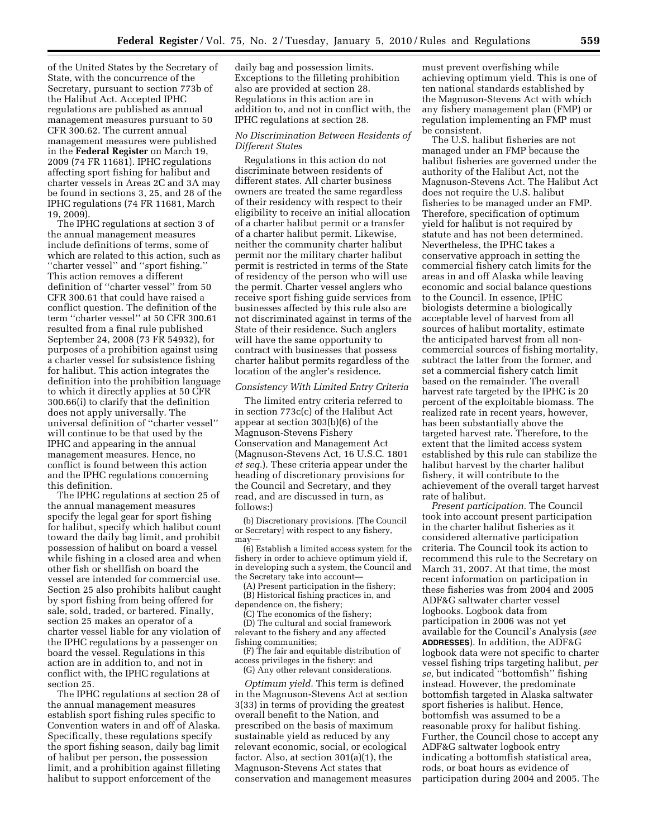of the United States by the Secretary of State, with the concurrence of the Secretary, pursuant to section 773b of the Halibut Act. Accepted IPHC regulations are published as annual management measures pursuant to 50 CFR 300.62. The current annual management measures were published in the **Federal Register** on March 19, 2009 (74 FR 11681). IPHC regulations affecting sport fishing for halibut and charter vessels in Areas 2C and 3A may be found in sections 3, 25, and 28 of the IPHC regulations (74 FR 11681, March 19, 2009).

The IPHC regulations at section 3 of the annual management measures include definitions of terms, some of which are related to this action, such as ''charter vessel'' and ''sport fishing.'' This action removes a different definition of ''charter vessel'' from 50 CFR 300.61 that could have raised a conflict question. The definition of the term ''charter vessel'' at 50 CFR 300.61 resulted from a final rule published September 24, 2008 (73 FR 54932), for purposes of a prohibition against using a charter vessel for subsistence fishing for halibut. This action integrates the definition into the prohibition language to which it directly applies at 50 CFR 300.66(i) to clarify that the definition does not apply universally. The universal definition of ''charter vessel'' will continue to be that used by the IPHC and appearing in the annual management measures. Hence, no conflict is found between this action and the IPHC regulations concerning this definition.

The IPHC regulations at section 25 of the annual management measures specify the legal gear for sport fishing for halibut, specify which halibut count toward the daily bag limit, and prohibit possession of halibut on board a vessel while fishing in a closed area and when other fish or shellfish on board the vessel are intended for commercial use. Section 25 also prohibits halibut caught by sport fishing from being offered for sale, sold, traded, or bartered. Finally, section 25 makes an operator of a charter vessel liable for any violation of the IPHC regulations by a passenger on board the vessel. Regulations in this action are in addition to, and not in conflict with, the IPHC regulations at section 25.

The IPHC regulations at section 28 of the annual management measures establish sport fishing rules specific to Convention waters in and off of Alaska. Specifically, these regulations specify the sport fishing season, daily bag limit of halibut per person, the possession limit, and a prohibition against filleting halibut to support enforcement of the

daily bag and possession limits. Exceptions to the filleting prohibition also are provided at section 28. Regulations in this action are in addition to, and not in conflict with, the IPHC regulations at section 28.

### *No Discrimination Between Residents of Different States*

Regulations in this action do not discriminate between residents of different states. All charter business owners are treated the same regardless of their residency with respect to their eligibility to receive an initial allocation of a charter halibut permit or a transfer of a charter halibut permit. Likewise, neither the community charter halibut permit nor the military charter halibut permit is restricted in terms of the State of residency of the person who will use the permit. Charter vessel anglers who receive sport fishing guide services from businesses affected by this rule also are not discriminated against in terms of the State of their residence. Such anglers will have the same opportunity to contract with businesses that possess charter halibut permits regardless of the location of the angler's residence.

#### *Consistency With Limited Entry Criteria*

The limited entry criteria referred to in section 773c(c) of the Halibut Act appear at section 303(b)(6) of the Magnuson-Stevens Fishery Conservation and Management Act (Magnuson-Stevens Act, 16 U.S.C. 1801 *et seq.*). These criteria appear under the heading of discretionary provisions for the Council and Secretary, and they read, and are discussed in turn, as follows:)

(b) Discretionary provisions. [The Council or Secretary] with respect to any fishery, may—

(6) Establish a limited access system for the fishery in order to achieve optimum yield if, in developing such a system, the Council and the Secretary take into account—

(A) Present participation in the fishery; (B) Historical fishing practices in, and

dependence on, the fishery;

(C) The economics of the fishery; (D) The cultural and social framework

relevant to the fishery and any affected fishing communities;

(F) The fair and equitable distribution of access privileges in the fishery; and

(G) Any other relevant considerations.

*Optimum yield.* This term is defined in the Magnuson-Stevens Act at section 3(33) in terms of providing the greatest overall benefit to the Nation, and prescribed on the basis of maximum sustainable yield as reduced by any relevant economic, social, or ecological factor. Also, at section 301(a)(1), the Magnuson-Stevens Act states that conservation and management measures

must prevent overfishing while achieving optimum yield. This is one of ten national standards established by the Magnuson-Stevens Act with which any fishery management plan (FMP) or regulation implementing an FMP must be consistent.

The U.S. halibut fisheries are not managed under an FMP because the halibut fisheries are governed under the authority of the Halibut Act, not the Magnuson-Stevens Act. The Halibut Act does not require the U.S. halibut fisheries to be managed under an FMP. Therefore, specification of optimum yield for halibut is not required by statute and has not been determined. Nevertheless, the IPHC takes a conservative approach in setting the commercial fishery catch limits for the areas in and off Alaska while leaving economic and social balance questions to the Council. In essence, IPHC biologists determine a biologically acceptable level of harvest from all sources of halibut mortality, estimate the anticipated harvest from all noncommercial sources of fishing mortality, subtract the latter from the former, and set a commercial fishery catch limit based on the remainder. The overall harvest rate targeted by the IPHC is 20 percent of the exploitable biomass. The realized rate in recent years, however, has been substantially above the targeted harvest rate. Therefore, to the extent that the limited access system established by this rule can stabilize the halibut harvest by the charter halibut fishery, it will contribute to the achievement of the overall target harvest rate of halibut.

*Present participation.* The Council took into account present participation in the charter halibut fisheries as it considered alternative participation criteria. The Council took its action to recommend this rule to the Secretary on March 31, 2007. At that time, the most recent information on participation in these fisheries was from 2004 and 2005 ADF&G saltwater charter vessel logbooks. Logbook data from participation in 2006 was not yet available for the Council's Analysis (*see*  **ADDRESSES**). In addition, the ADF&G logbook data were not specific to charter vessel fishing trips targeting halibut, *per se,* but indicated ''bottomfish'' fishing instead. However, the predominate bottomfish targeted in Alaska saltwater sport fisheries is halibut. Hence, bottomfish was assumed to be a reasonable proxy for halibut fishing. Further, the Council chose to accept any ADF&G saltwater logbook entry indicating a bottomfish statistical area, rods, or boat hours as evidence of participation during 2004 and 2005. The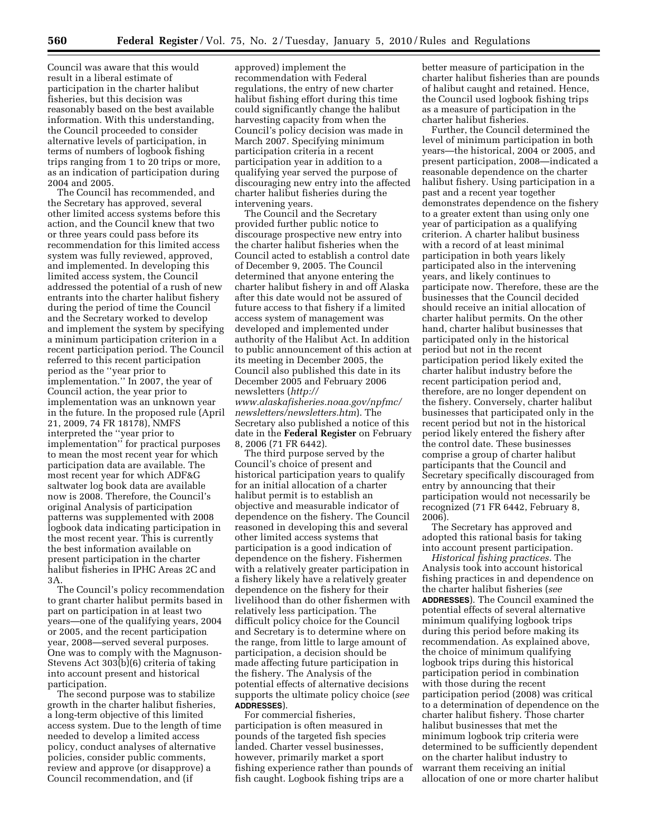Council was aware that this would result in a liberal estimate of participation in the charter halibut fisheries, but this decision was reasonably based on the best available information. With this understanding, the Council proceeded to consider alternative levels of participation, in terms of numbers of logbook fishing trips ranging from 1 to 20 trips or more, as an indication of participation during 2004 and 2005.

The Council has recommended, and the Secretary has approved, several other limited access systems before this action, and the Council knew that two or three years could pass before its recommendation for this limited access system was fully reviewed, approved, and implemented. In developing this limited access system, the Council addressed the potential of a rush of new entrants into the charter halibut fishery during the period of time the Council and the Secretary worked to develop and implement the system by specifying a minimum participation criterion in a recent participation period. The Council referred to this recent participation period as the ''year prior to implementation.'' In 2007, the year of Council action, the year prior to implementation was an unknown year in the future. In the proposed rule (April 21, 2009, 74 FR 18178), NMFS interpreted the ''year prior to implementation'' for practical purposes to mean the most recent year for which participation data are available. The most recent year for which ADF&G saltwater log book data are available now is 2008. Therefore, the Council's original Analysis of participation patterns was supplemented with 2008 logbook data indicating participation in the most recent year. This is currently the best information available on present participation in the charter halibut fisheries in IPHC Areas 2C and 3A.

The Council's policy recommendation to grant charter halibut permits based in part on participation in at least two years—one of the qualifying years, 2004 or 2005, and the recent participation year, 2008—served several purposes. One was to comply with the Magnuson-Stevens Act 303(b)(6) criteria of taking into account present and historical participation.

The second purpose was to stabilize growth in the charter halibut fisheries, a long-term objective of this limited access system. Due to the length of time needed to develop a limited access policy, conduct analyses of alternative policies, consider public comments, review and approve (or disapprove) a Council recommendation, and (if

approved) implement the recommendation with Federal regulations, the entry of new charter halibut fishing effort during this time could significantly change the halibut harvesting capacity from when the Council's policy decision was made in March 2007. Specifying minimum participation criteria in a recent participation year in addition to a qualifying year served the purpose of discouraging new entry into the affected charter halibut fisheries during the intervening years.

The Council and the Secretary provided further public notice to discourage prospective new entry into the charter halibut fisheries when the Council acted to establish a control date of December 9, 2005. The Council determined that anyone entering the charter halibut fishery in and off Alaska after this date would not be assured of future access to that fishery if a limited access system of management was developed and implemented under authority of the Halibut Act. In addition to public announcement of this action at its meeting in December 2005, the Council also published this date in its December 2005 and February 2006 newsletters (*http:// www.alaskafisheries.noaa.gov/npfmc/* 

*newsletters/newsletters.htm*). The Secretary also published a notice of this date in the **Federal Register** on February 8, 2006 (71 FR 6442).

The third purpose served by the Council's choice of present and historical participation years to qualify for an initial allocation of a charter halibut permit is to establish an objective and measurable indicator of dependence on the fishery. The Council reasoned in developing this and several other limited access systems that participation is a good indication of dependence on the fishery. Fishermen with a relatively greater participation in a fishery likely have a relatively greater dependence on the fishery for their livelihood than do other fishermen with relatively less participation. The difficult policy choice for the Council and Secretary is to determine where on the range, from little to large amount of participation, a decision should be made affecting future participation in the fishery. The Analysis of the potential effects of alternative decisions supports the ultimate policy choice (*see*  **ADDRESSES**).

For commercial fisheries, participation is often measured in pounds of the targeted fish species landed. Charter vessel businesses, however, primarily market a sport fishing experience rather than pounds of fish caught. Logbook fishing trips are a

better measure of participation in the charter halibut fisheries than are pounds of halibut caught and retained. Hence, the Council used logbook fishing trips as a measure of participation in the charter halibut fisheries.

Further, the Council determined the level of minimum participation in both years—the historical, 2004 or 2005, and present participation, 2008—indicated a reasonable dependence on the charter halibut fishery. Using participation in a past and a recent year together demonstrates dependence on the fishery to a greater extent than using only one year of participation as a qualifying criterion. A charter halibut business with a record of at least minimal participation in both years likely participated also in the intervening years, and likely continues to participate now. Therefore, these are the businesses that the Council decided should receive an initial allocation of charter halibut permits. On the other hand, charter halibut businesses that participated only in the historical period but not in the recent participation period likely exited the charter halibut industry before the recent participation period and, therefore, are no longer dependent on the fishery. Conversely, charter halibut businesses that participated only in the recent period but not in the historical period likely entered the fishery after the control date. These businesses comprise a group of charter halibut participants that the Council and Secretary specifically discouraged from entry by announcing that their participation would not necessarily be recognized (71 FR 6442, February 8, 2006).

The Secretary has approved and adopted this rational basis for taking into account present participation.

*Historical fishing practices.* The Analysis took into account historical fishing practices in and dependence on the charter halibut fisheries (*see*  **ADDRESSES**). The Council examined the potential effects of several alternative minimum qualifying logbook trips during this period before making its recommendation. As explained above, the choice of minimum qualifying logbook trips during this historical participation period in combination with those during the recent participation period (2008) was critical to a determination of dependence on the charter halibut fishery. Those charter halibut businesses that met the minimum logbook trip criteria were determined to be sufficiently dependent on the charter halibut industry to warrant them receiving an initial allocation of one or more charter halibut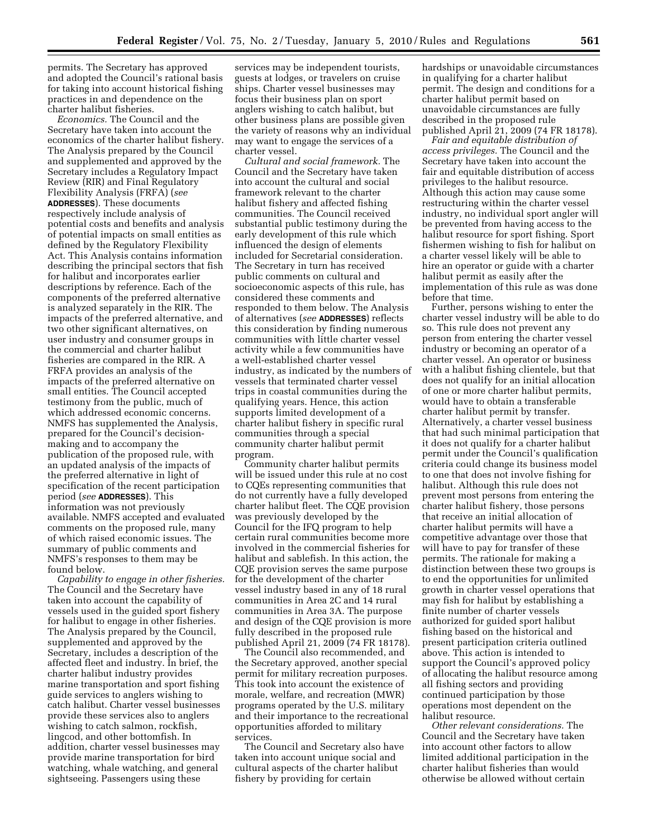permits. The Secretary has approved and adopted the Council's rational basis for taking into account historical fishing practices in and dependence on the charter halibut fisheries.

*Economics.* The Council and the Secretary have taken into account the economics of the charter halibut fishery. The Analysis prepared by the Council and supplemented and approved by the Secretary includes a Regulatory Impact Review (RIR) and Final Regulatory Flexibility Analysis (FRFA) (*see*  **ADDRESSES**). These documents respectively include analysis of potential costs and benefits and analysis of potential impacts on small entities as defined by the Regulatory Flexibility Act. This Analysis contains information describing the principal sectors that fish for halibut and incorporates earlier descriptions by reference. Each of the components of the preferred alternative is analyzed separately in the RIR. The impacts of the preferred alternative, and two other significant alternatives, on user industry and consumer groups in the commercial and charter halibut fisheries are compared in the RIR. A FRFA provides an analysis of the impacts of the preferred alternative on small entities. The Council accepted testimony from the public, much of which addressed economic concerns. NMFS has supplemented the Analysis, prepared for the Council's decisionmaking and to accompany the publication of the proposed rule, with an updated analysis of the impacts of the preferred alternative in light of specification of the recent participation period (*see* **ADDRESSES**). This information was not previously available. NMFS accepted and evaluated comments on the proposed rule, many of which raised economic issues. The summary of public comments and NMFS's responses to them may be found below.

*Capability to engage in other fisheries.*  The Council and the Secretary have taken into account the capability of vessels used in the guided sport fishery for halibut to engage in other fisheries. The Analysis prepared by the Council, supplemented and approved by the Secretary, includes a description of the affected fleet and industry. In brief, the charter halibut industry provides marine transportation and sport fishing guide services to anglers wishing to catch halibut. Charter vessel businesses provide these services also to anglers wishing to catch salmon, rockfish, lingcod, and other bottomfish. In addition, charter vessel businesses may provide marine transportation for bird watching, whale watching, and general sightseeing. Passengers using these

services may be independent tourists, guests at lodges, or travelers on cruise ships. Charter vessel businesses may focus their business plan on sport anglers wishing to catch halibut, but other business plans are possible given the variety of reasons why an individual may want to engage the services of a charter vessel.

*Cultural and social framework.* The Council and the Secretary have taken into account the cultural and social framework relevant to the charter halibut fishery and affected fishing communities. The Council received substantial public testimony during the early development of this rule which influenced the design of elements included for Secretarial consideration. The Secretary in turn has received public comments on cultural and socioeconomic aspects of this rule, has considered these comments and responded to them below. The Analysis of alternatives (*see* **ADDRESSES**) reflects this consideration by finding numerous communities with little charter vessel activity while a few communities have a well-established charter vessel industry, as indicated by the numbers of vessels that terminated charter vessel trips in coastal communities during the qualifying years. Hence, this action supports limited development of a charter halibut fishery in specific rural communities through a special community charter halibut permit program.

Community charter halibut permits will be issued under this rule at no cost to CQEs representing communities that do not currently have a fully developed charter halibut fleet. The CQE provision was previously developed by the Council for the IFQ program to help certain rural communities become more involved in the commercial fisheries for halibut and sablefish. In this action, the CQE provision serves the same purpose for the development of the charter vessel industry based in any of 18 rural communities in Area 2C and 14 rural communities in Area 3A. The purpose and design of the CQE provision is more fully described in the proposed rule published April 21, 2009 (74 FR 18178).

The Council also recommended, and the Secretary approved, another special permit for military recreation purposes. This took into account the existence of morale, welfare, and recreation (MWR) programs operated by the U.S. military and their importance to the recreational opportunities afforded to military services.

The Council and Secretary also have taken into account unique social and cultural aspects of the charter halibut fishery by providing for certain

hardships or unavoidable circumstances in qualifying for a charter halibut permit. The design and conditions for a charter halibut permit based on unavoidable circumstances are fully described in the proposed rule published April 21, 2009 (74 FR 18178).

*Fair and equitable distribution of access privileges.* The Council and the Secretary have taken into account the fair and equitable distribution of access privileges to the halibut resource. Although this action may cause some restructuring within the charter vessel industry, no individual sport angler will be prevented from having access to the halibut resource for sport fishing. Sport fishermen wishing to fish for halibut on a charter vessel likely will be able to hire an operator or guide with a charter halibut permit as easily after the implementation of this rule as was done before that time.

Further, persons wishing to enter the charter vessel industry will be able to do so. This rule does not prevent any person from entering the charter vessel industry or becoming an operator of a charter vessel. An operator or business with a halibut fishing clientele, but that does not qualify for an initial allocation of one or more charter halibut permits, would have to obtain a transferable charter halibut permit by transfer. Alternatively, a charter vessel business that had such minimal participation that it does not qualify for a charter halibut permit under the Council's qualification criteria could change its business model to one that does not involve fishing for halibut. Although this rule does not prevent most persons from entering the charter halibut fishery, those persons that receive an initial allocation of charter halibut permits will have a competitive advantage over those that will have to pay for transfer of these permits. The rationale for making a distinction between these two groups is to end the opportunities for unlimited growth in charter vessel operations that may fish for halibut by establishing a finite number of charter vessels authorized for guided sport halibut fishing based on the historical and present participation criteria outlined above. This action is intended to support the Council's approved policy of allocating the halibut resource among all fishing sectors and providing continued participation by those operations most dependent on the halibut resource.

*Other relevant considerations.* The Council and the Secretary have taken into account other factors to allow limited additional participation in the charter halibut fisheries than would otherwise be allowed without certain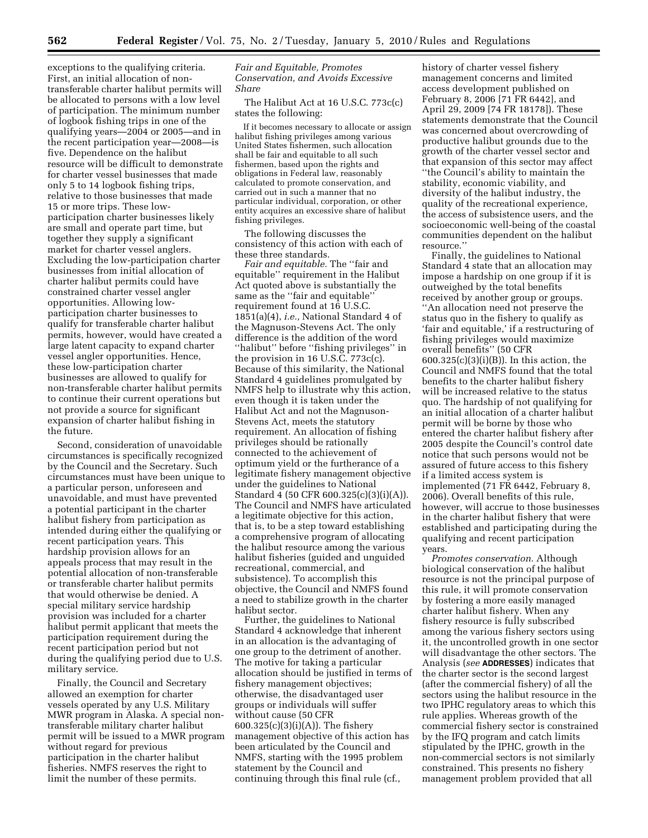exceptions to the qualifying criteria. First, an initial allocation of nontransferable charter halibut permits will be allocated to persons with a low level of participation. The minimum number of logbook fishing trips in one of the qualifying years—2004 or 2005—and in the recent participation year—2008—is five. Dependence on the halibut resource will be difficult to demonstrate for charter vessel businesses that made only 5 to 14 logbook fishing trips, relative to those businesses that made 15 or more trips. These lowparticipation charter businesses likely are small and operate part time, but together they supply a significant market for charter vessel anglers. Excluding the low-participation charter businesses from initial allocation of charter halibut permits could have constrained charter vessel angler opportunities. Allowing lowparticipation charter businesses to qualify for transferable charter halibut permits, however, would have created a large latent capacity to expand charter vessel angler opportunities. Hence, these low-participation charter businesses are allowed to qualify for non-transferable charter halibut permits to continue their current operations but not provide a source for significant expansion of charter halibut fishing in the future.

Second, consideration of unavoidable circumstances is specifically recognized by the Council and the Secretary. Such circumstances must have been unique to a particular person, unforeseen and unavoidable, and must have prevented a potential participant in the charter halibut fishery from participation as intended during either the qualifying or recent participation years. This hardship provision allows for an appeals process that may result in the potential allocation of non-transferable or transferable charter halibut permits that would otherwise be denied. A special military service hardship provision was included for a charter halibut permit applicant that meets the participation requirement during the recent participation period but not during the qualifying period due to U.S. military service.

Finally, the Council and Secretary allowed an exemption for charter vessels operated by any U.S. Military MWR program in Alaska. A special nontransferable military charter halibut permit will be issued to a MWR program without regard for previous participation in the charter halibut fisheries. NMFS reserves the right to limit the number of these permits.

*Fair and Equitable, Promotes Conservation, and Avoids Excessive Share* 

The Halibut Act at 16 U.S.C. 773c(c) states the following:

If it becomes necessary to allocate or assign halibut fishing privileges among various United States fishermen, such allocation shall be fair and equitable to all such fishermen, based upon the rights and obligations in Federal law, reasonably calculated to promote conservation, and carried out in such a manner that no particular individual, corporation, or other entity acquires an excessive share of halibut fishing privileges.

The following discusses the consistency of this action with each of these three standards.

*Fair and equitable.* The ''fair and equitable'' requirement in the Halibut Act quoted above is substantially the same as the ''fair and equitable'' requirement found at 16 U.S.C. 1851(a)(4), *i.e.,* National Standard 4 of the Magnuson-Stevens Act. The only difference is the addition of the word ''halibut'' before ''fishing privileges'' in the provision in 16 U.S.C. 773c(c). Because of this similarity, the National Standard 4 guidelines promulgated by NMFS help to illustrate why this action, even though it is taken under the Halibut Act and not the Magnuson-Stevens Act, meets the statutory requirement. An allocation of fishing privileges should be rationally connected to the achievement of optimum yield or the furtherance of a legitimate fishery management objective under the guidelines to National Standard 4 (50 CFR 600.325(c)(3)(i)(A)). The Council and NMFS have articulated a legitimate objective for this action, that is, to be a step toward establishing a comprehensive program of allocating the halibut resource among the various halibut fisheries (guided and unguided recreational, commercial, and subsistence). To accomplish this objective, the Council and NMFS found a need to stabilize growth in the charter halibut sector.

Further, the guidelines to National Standard 4 acknowledge that inherent in an allocation is the advantaging of one group to the detriment of another. The motive for taking a particular allocation should be justified in terms of fishery management objectives; otherwise, the disadvantaged user groups or individuals will suffer without cause (50 CFR 600.325(c)(3)(i)(A)). The fishery management objective of this action has been articulated by the Council and NMFS, starting with the 1995 problem statement by the Council and continuing through this final rule (cf.,

history of charter vessel fishery management concerns and limited access development published on February 8, 2006 [71 FR 6442], and April 29, 2009 [74 FR 18178]). These statements demonstrate that the Council was concerned about overcrowding of productive halibut grounds due to the growth of the charter vessel sector and that expansion of this sector may affect ''the Council's ability to maintain the stability, economic viability, and diversity of the halibut industry, the quality of the recreational experience, the access of subsistence users, and the socioeconomic well-being of the coastal communities dependent on the halibut resource.''

Finally, the guidelines to National Standard 4 state that an allocation may impose a hardship on one group if it is outweighed by the total benefits received by another group or groups. ''An allocation need not preserve the status quo in the fishery to qualify as 'fair and equitable,' if a restructuring of fishing privileges would maximize overall benefits'' (50 CFR 600.325(c)(3)(i)(B)). In this action, the Council and NMFS found that the total benefits to the charter halibut fishery will be increased relative to the status quo. The hardship of not qualifying for an initial allocation of a charter halibut permit will be borne by those who entered the charter halibut fishery after 2005 despite the Council's control date notice that such persons would not be assured of future access to this fishery if a limited access system is implemented (71 FR 6442, February 8, 2006). Overall benefits of this rule, however, will accrue to those businesses in the charter halibut fishery that were established and participating during the qualifying and recent participation years.

*Promotes conservation.* Although biological conservation of the halibut resource is not the principal purpose of this rule, it will promote conservation by fostering a more easily managed charter halibut fishery. When any fishery resource is fully subscribed among the various fishery sectors using it, the uncontrolled growth in one sector will disadvantage the other sectors. The Analysis (*see* **ADDRESSES**) indicates that the charter sector is the second largest (after the commercial fishery) of all the sectors using the halibut resource in the two IPHC regulatory areas to which this rule applies. Whereas growth of the commercial fishery sector is constrained by the IFQ program and catch limits stipulated by the IPHC, growth in the non-commercial sectors is not similarly constrained. This presents no fishery management problem provided that all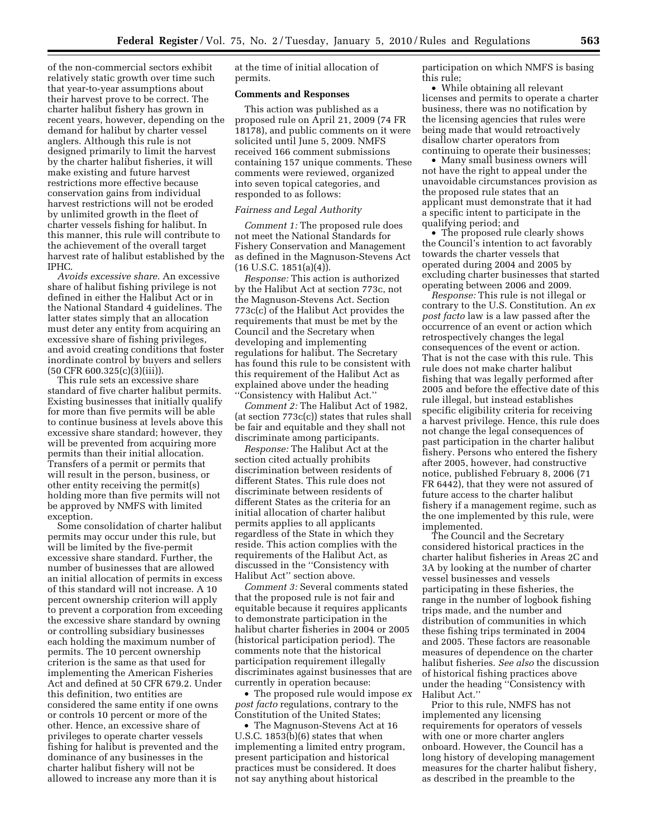of the non-commercial sectors exhibit relatively static growth over time such that year-to-year assumptions about their harvest prove to be correct. The charter halibut fishery has grown in recent years, however, depending on the demand for halibut by charter vessel anglers. Although this rule is not designed primarily to limit the harvest by the charter halibut fisheries, it will make existing and future harvest restrictions more effective because conservation gains from individual harvest restrictions will not be eroded by unlimited growth in the fleet of charter vessels fishing for halibut. In this manner, this rule will contribute to the achievement of the overall target harvest rate of halibut established by the IPHC.

*Avoids excessive share.* An excessive share of halibut fishing privilege is not defined in either the Halibut Act or in the National Standard 4 guidelines. The latter states simply that an allocation must deter any entity from acquiring an excessive share of fishing privileges, and avoid creating conditions that foster inordinate control by buyers and sellers (50 CFR 600.325(c)(3)(iii)).

This rule sets an excessive share standard of five charter halibut permits. Existing businesses that initially qualify for more than five permits will be able to continue business at levels above this excessive share standard; however, they will be prevented from acquiring more permits than their initial allocation. Transfers of a permit or permits that will result in the person, business, or other entity receiving the permit(s) holding more than five permits will not be approved by NMFS with limited exception.

Some consolidation of charter halibut permits may occur under this rule, but will be limited by the five-permit excessive share standard. Further, the number of businesses that are allowed an initial allocation of permits in excess of this standard will not increase. A 10 percent ownership criterion will apply to prevent a corporation from exceeding the excessive share standard by owning or controlling subsidiary businesses each holding the maximum number of permits. The 10 percent ownership criterion is the same as that used for implementing the American Fisheries Act and defined at 50 CFR 679.2. Under this definition, two entities are considered the same entity if one owns or controls 10 percent or more of the other. Hence, an excessive share of privileges to operate charter vessels fishing for halibut is prevented and the dominance of any businesses in the charter halibut fishery will not be allowed to increase any more than it is

at the time of initial allocation of permits.

### **Comments and Responses**

This action was published as a proposed rule on April 21, 2009 (74 FR 18178), and public comments on it were solicited until June 5, 2009. NMFS received 166 comment submissions containing 157 unique comments. These comments were reviewed, organized into seven topical categories, and responded to as follows:

### *Fairness and Legal Authority*

*Comment 1:* The proposed rule does not meet the National Standards for Fishery Conservation and Management as defined in the Magnuson-Stevens Act  $(16$  U.S.C.  $1851(a)(4)$ ).

*Response:* This action is authorized by the Halibut Act at section 773c, not the Magnuson-Stevens Act. Section 773c(c) of the Halibut Act provides the requirements that must be met by the Council and the Secretary when developing and implementing regulations for halibut. The Secretary has found this rule to be consistent with this requirement of the Halibut Act as explained above under the heading ''Consistency with Halibut Act.''

*Comment 2:* The Halibut Act of 1982, (at section 773c(c)) states that rules shall be fair and equitable and they shall not discriminate among participants.

*Response:* The Halibut Act at the section cited actually prohibits discrimination between residents of different States. This rule does not discriminate between residents of different States as the criteria for an initial allocation of charter halibut permits applies to all applicants regardless of the State in which they reside. This action complies with the requirements of the Halibut Act, as discussed in the ''Consistency with Halibut Act'' section above.

*Comment 3:* Several comments stated that the proposed rule is not fair and equitable because it requires applicants to demonstrate participation in the halibut charter fisheries in 2004 or 2005 (historical participation period). The comments note that the historical participation requirement illegally discriminates against businesses that are currently in operation because:

• The proposed rule would impose *ex post facto* regulations, contrary to the Constitution of the United States;

• The Magnuson-Stevens Act at 16 U.S.C. 1853(b)(6) states that when implementing a limited entry program, present participation and historical practices must be considered. It does not say anything about historical

participation on which NMFS is basing this rule;

• While obtaining all relevant licenses and permits to operate a charter business, there was no notification by the licensing agencies that rules were being made that would retroactively disallow charter operators from continuing to operate their businesses;

• Many small business owners will not have the right to appeal under the unavoidable circumstances provision as the proposed rule states that an applicant must demonstrate that it had a specific intent to participate in the qualifying period; and

• The proposed rule clearly shows the Council's intention to act favorably towards the charter vessels that operated during 2004 and 2005 by excluding charter businesses that started operating between 2006 and 2009.

*Response:* This rule is not illegal or contrary to the U.S. Constitution. An *ex post facto* law is a law passed after the occurrence of an event or action which retrospectively changes the legal consequences of the event or action. That is not the case with this rule. This rule does not make charter halibut fishing that was legally performed after 2005 and before the effective date of this rule illegal, but instead establishes specific eligibility criteria for receiving a harvest privilege. Hence, this rule does not change the legal consequences of past participation in the charter halibut fishery. Persons who entered the fishery after 2005, however, had constructive notice, published February 8, 2006 (71 FR 6442), that they were not assured of future access to the charter halibut fishery if a management regime, such as the one implemented by this rule, were implemented.

The Council and the Secretary considered historical practices in the charter halibut fisheries in Areas 2C and 3A by looking at the number of charter vessel businesses and vessels participating in these fisheries, the range in the number of logbook fishing trips made, and the number and distribution of communities in which these fishing trips terminated in 2004 and 2005. These factors are reasonable measures of dependence on the charter halibut fisheries. *See also* the discussion of historical fishing practices above under the heading ''Consistency with Halibut Act.''

Prior to this rule, NMFS has not implemented any licensing requirements for operators of vessels with one or more charter anglers onboard. However, the Council has a long history of developing management measures for the charter halibut fishery, as described in the preamble to the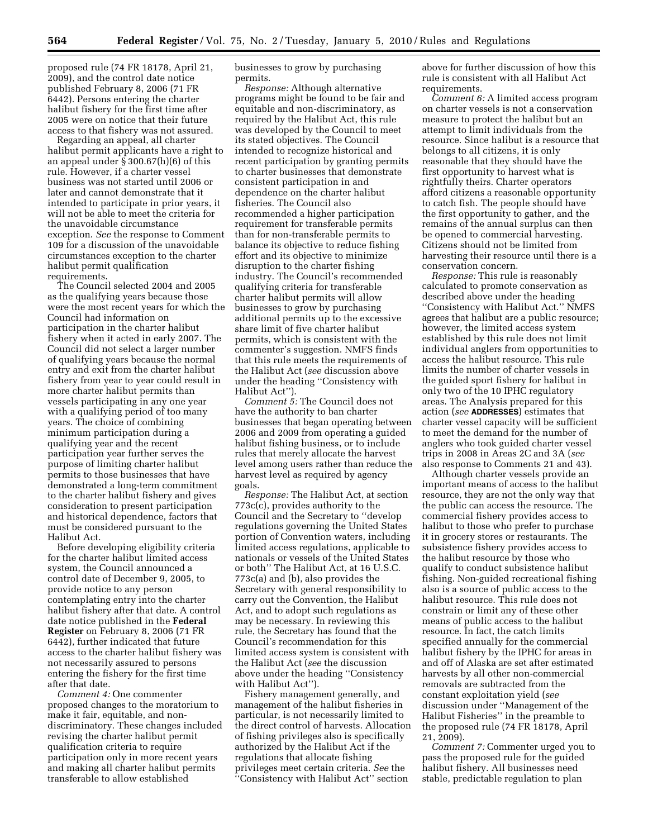proposed rule (74 FR 18178, April 21, 2009), and the control date notice published February 8, 2006 (71 FR 6442). Persons entering the charter halibut fishery for the first time after 2005 were on notice that their future access to that fishery was not assured.

Regarding an appeal, all charter halibut permit applicants have a right to an appeal under § 300.67(h)(6) of this rule. However, if a charter vessel business was not started until 2006 or later and cannot demonstrate that it intended to participate in prior years, it will not be able to meet the criteria for the unavoidable circumstance exception. *See* the response to Comment 109 for a discussion of the unavoidable circumstances exception to the charter halibut permit qualification requirements.

The Council selected 2004 and 2005 as the qualifying years because those were the most recent years for which the Council had information on participation in the charter halibut fishery when it acted in early 2007. The Council did not select a larger number of qualifying years because the normal entry and exit from the charter halibut fishery from year to year could result in more charter halibut permits than vessels participating in any one year with a qualifying period of too many years. The choice of combining minimum participation during a qualifying year and the recent participation year further serves the purpose of limiting charter halibut permits to those businesses that have demonstrated a long-term commitment to the charter halibut fishery and gives consideration to present participation and historical dependence, factors that must be considered pursuant to the Halibut Act.

Before developing eligibility criteria for the charter halibut limited access system, the Council announced a control date of December 9, 2005, to provide notice to any person contemplating entry into the charter halibut fishery after that date. A control date notice published in the **Federal Register** on February 8, 2006 (71 FR 6442), further indicated that future access to the charter halibut fishery was not necessarily assured to persons entering the fishery for the first time after that date.

*Comment 4:* One commenter proposed changes to the moratorium to make it fair, equitable, and nondiscriminatory. These changes included revising the charter halibut permit qualification criteria to require participation only in more recent years and making all charter halibut permits transferable to allow established

businesses to grow by purchasing permits.

*Response:* Although alternative programs might be found to be fair and equitable and non-discriminatory, as required by the Halibut Act, this rule was developed by the Council to meet its stated objectives. The Council intended to recognize historical and recent participation by granting permits to charter businesses that demonstrate consistent participation in and dependence on the charter halibut fisheries. The Council also recommended a higher participation requirement for transferable permits than for non-transferable permits to balance its objective to reduce fishing effort and its objective to minimize disruption to the charter fishing industry. The Council's recommended qualifying criteria for transferable charter halibut permits will allow businesses to grow by purchasing additional permits up to the excessive share limit of five charter halibut permits, which is consistent with the commenter's suggestion. NMFS finds that this rule meets the requirements of the Halibut Act (*see* discussion above under the heading ''Consistency with Halibut Act'').

*Comment 5:* The Council does not have the authority to ban charter businesses that began operating between 2006 and 2009 from operating a guided halibut fishing business, or to include rules that merely allocate the harvest level among users rather than reduce the harvest level as required by agency goals.

*Response:* The Halibut Act, at section 773c(c), provides authority to the Council and the Secretary to ''develop regulations governing the United States portion of Convention waters, including limited access regulations, applicable to nationals or vessels of the United States or both'' The Halibut Act, at 16 U.S.C. 773c(a) and (b), also provides the Secretary with general responsibility to carry out the Convention, the Halibut Act, and to adopt such regulations as may be necessary. In reviewing this rule, the Secretary has found that the Council's recommendation for this limited access system is consistent with the Halibut Act (*see* the discussion above under the heading ''Consistency with Halibut Act'').

Fishery management generally, and management of the halibut fisheries in particular, is not necessarily limited to the direct control of harvests. Allocation of fishing privileges also is specifically authorized by the Halibut Act if the regulations that allocate fishing privileges meet certain criteria. *See* the ''Consistency with Halibut Act'' section

above for further discussion of how this rule is consistent with all Halibut Act requirements.

*Comment 6:* A limited access program on charter vessels is not a conservation measure to protect the halibut but an attempt to limit individuals from the resource. Since halibut is a resource that belongs to all citizens, it is only reasonable that they should have the first opportunity to harvest what is rightfully theirs. Charter operators afford citizens a reasonable opportunity to catch fish. The people should have the first opportunity to gather, and the remains of the annual surplus can then be opened to commercial harvesting. Citizens should not be limited from harvesting their resource until there is a conservation concern.

*Response:* This rule is reasonably calculated to promote conservation as described above under the heading ''Consistency with Halibut Act.'' NMFS agrees that halibut are a public resource; however, the limited access system established by this rule does not limit individual anglers from opportunities to access the halibut resource. This rule limits the number of charter vessels in the guided sport fishery for halibut in only two of the 10 IPHC regulatory areas. The Analysis prepared for this action (*see* **ADDRESSES**) estimates that charter vessel capacity will be sufficient to meet the demand for the number of anglers who took guided charter vessel trips in 2008 in Areas 2C and 3A (*see*  also response to Comments 21 and 43).

Although charter vessels provide an important means of access to the halibut resource, they are not the only way that the public can access the resource. The commercial fishery provides access to halibut to those who prefer to purchase it in grocery stores or restaurants. The subsistence fishery provides access to the halibut resource by those who qualify to conduct subsistence halibut fishing. Non-guided recreational fishing also is a source of public access to the halibut resource. This rule does not constrain or limit any of these other means of public access to the halibut resource. In fact, the catch limits specified annually for the commercial halibut fishery by the IPHC for areas in and off of Alaska are set after estimated harvests by all other non-commercial removals are subtracted from the constant exploitation yield (*see*  discussion under ''Management of the Halibut Fisheries'' in the preamble to the proposed rule (74 FR 18178, April 21, 2009).

*Comment 7:* Commenter urged you to pass the proposed rule for the guided halibut fishery. All businesses need stable, predictable regulation to plan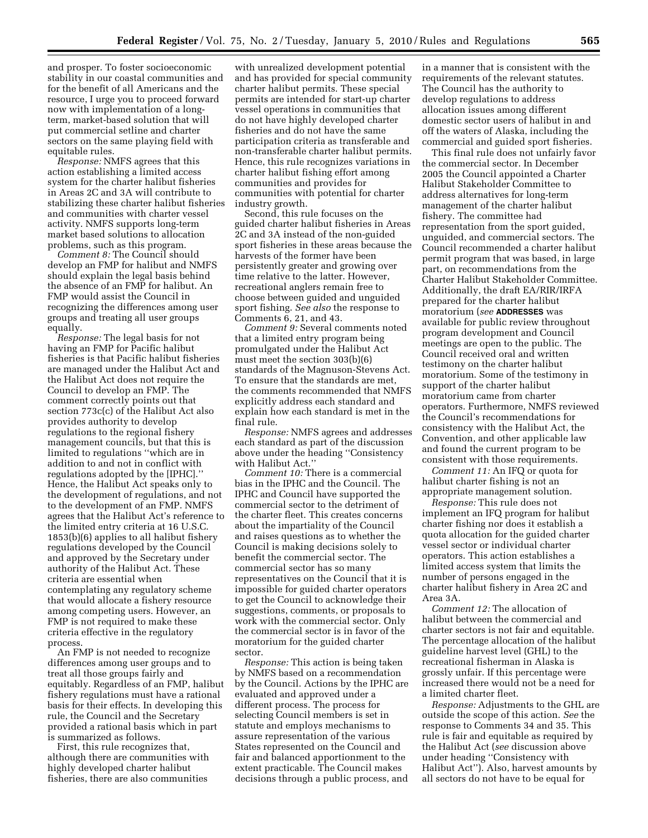and prosper. To foster socioeconomic stability in our coastal communities and for the benefit of all Americans and the resource, I urge you to proceed forward now with implementation of a longterm, market-based solution that will put commercial setline and charter sectors on the same playing field with equitable rules.

*Response:* NMFS agrees that this action establishing a limited access system for the charter halibut fisheries in Areas 2C and 3A will contribute to stabilizing these charter halibut fisheries and communities with charter vessel activity. NMFS supports long-term market based solutions to allocation problems, such as this program.

*Comment 8:* The Council should develop an FMP for halibut and NMFS should explain the legal basis behind the absence of an FMP for halibut. An FMP would assist the Council in recognizing the differences among user groups and treating all user groups equally.

*Response:* The legal basis for not having an FMP for Pacific halibut fisheries is that Pacific halibut fisheries are managed under the Halibut Act and the Halibut Act does not require the Council to develop an FMP. The comment correctly points out that section 773c(c) of the Halibut Act also provides authority to develop regulations to the regional fishery management councils, but that this is limited to regulations ''which are in addition to and not in conflict with regulations adopted by the [IPHC].'' Hence, the Halibut Act speaks only to the development of regulations, and not to the development of an FMP. NMFS agrees that the Halibut Act's reference to the limited entry criteria at 16 U.S.C. 1853(b)(6) applies to all halibut fishery regulations developed by the Council and approved by the Secretary under authority of the Halibut Act. These criteria are essential when contemplating any regulatory scheme that would allocate a fishery resource among competing users. However, an FMP is not required to make these criteria effective in the regulatory process.

An FMP is not needed to recognize differences among user groups and to treat all those groups fairly and equitably. Regardless of an FMP, halibut fishery regulations must have a rational basis for their effects. In developing this rule, the Council and the Secretary provided a rational basis which in part is summarized as follows.

First, this rule recognizes that, although there are communities with highly developed charter halibut fisheries, there are also communities

with unrealized development potential and has provided for special community charter halibut permits. These special permits are intended for start-up charter vessel operations in communities that do not have highly developed charter fisheries and do not have the same participation criteria as transferable and non-transferable charter halibut permits. Hence, this rule recognizes variations in charter halibut fishing effort among communities and provides for communities with potential for charter industry growth.

Second, this rule focuses on the guided charter halibut fisheries in Areas 2C and 3A instead of the non-guided sport fisheries in these areas because the harvests of the former have been persistently greater and growing over time relative to the latter. However, recreational anglers remain free to choose between guided and unguided sport fishing. *See also* the response to Comments 6, 21, and 43.

*Comment 9:* Several comments noted that a limited entry program being promulgated under the Halibut Act must meet the section 303(b)(6) standards of the Magnuson-Stevens Act. To ensure that the standards are met, the comments recommended that NMFS explicitly address each standard and explain how each standard is met in the final rule.

*Response:* NMFS agrees and addresses each standard as part of the discussion above under the heading ''Consistency with Halibut Act.''

*Comment 10:* There is a commercial bias in the IPHC and the Council. The IPHC and Council have supported the commercial sector to the detriment of the charter fleet. This creates concerns about the impartiality of the Council and raises questions as to whether the Council is making decisions solely to benefit the commercial sector. The commercial sector has so many representatives on the Council that it is impossible for guided charter operators to get the Council to acknowledge their suggestions, comments, or proposals to work with the commercial sector. Only the commercial sector is in favor of the moratorium for the guided charter sector.

*Response:* This action is being taken by NMFS based on a recommendation by the Council. Actions by the IPHC are evaluated and approved under a different process. The process for selecting Council members is set in statute and employs mechanisms to assure representation of the various States represented on the Council and fair and balanced apportionment to the extent practicable. The Council makes decisions through a public process, and

in a manner that is consistent with the requirements of the relevant statutes. The Council has the authority to develop regulations to address allocation issues among different domestic sector users of halibut in and off the waters of Alaska, including the commercial and guided sport fisheries.

This final rule does not unfairly favor the commercial sector. In December 2005 the Council appointed a Charter Halibut Stakeholder Committee to address alternatives for long-term management of the charter halibut fishery. The committee had representation from the sport guided, unguided, and commercial sectors. The Council recommended a charter halibut permit program that was based, in large part, on recommendations from the Charter Halibut Stakeholder Committee. Additionally, the draft EA/RIR/IRFA prepared for the charter halibut moratorium (*see* **ADDRESSES** was available for public review throughout program development and Council meetings are open to the public. The Council received oral and written testimony on the charter halibut moratorium. Some of the testimony in support of the charter halibut moratorium came from charter operators. Furthermore, NMFS reviewed the Council's recommendations for consistency with the Halibut Act, the Convention, and other applicable law and found the current program to be consistent with those requirements.

*Comment 11:* An IFQ or quota for halibut charter fishing is not an appropriate management solution.

*Response:* This rule does not implement an IFQ program for halibut charter fishing nor does it establish a quota allocation for the guided charter vessel sector or individual charter operators. This action establishes a limited access system that limits the number of persons engaged in the charter halibut fishery in Area 2C and Area 3A.

*Comment 12:* The allocation of halibut between the commercial and charter sectors is not fair and equitable. The percentage allocation of the halibut guideline harvest level (GHL) to the recreational fisherman in Alaska is grossly unfair. If this percentage were increased there would not be a need for a limited charter fleet.

*Response:* Adjustments to the GHL are outside the scope of this action. *See* the response to Comments 34 and 35. This rule is fair and equitable as required by the Halibut Act (*see* discussion above under heading ''Consistency with Halibut Act''). Also, harvest amounts by all sectors do not have to be equal for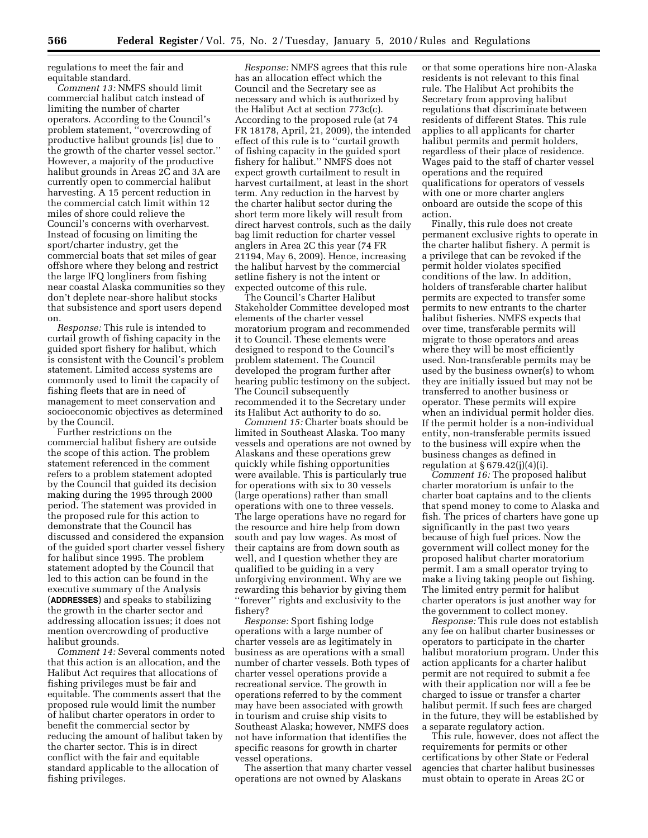regulations to meet the fair and equitable standard.

*Comment 13:* NMFS should limit commercial halibut catch instead of limiting the number of charter operators. According to the Council's problem statement, ''overcrowding of productive halibut grounds [is] due to the growth of the charter vessel sector.'' However, a majority of the productive halibut grounds in Areas 2C and 3A are currently open to commercial halibut harvesting. A 15 percent reduction in the commercial catch limit within 12 miles of shore could relieve the Council's concerns with overharvest. Instead of focusing on limiting the sport/charter industry, get the commercial boats that set miles of gear offshore where they belong and restrict the large IFQ longliners from fishing near coastal Alaska communities so they don't deplete near-shore halibut stocks that subsistence and sport users depend on.

*Response:* This rule is intended to curtail growth of fishing capacity in the guided sport fishery for halibut, which is consistent with the Council's problem statement. Limited access systems are commonly used to limit the capacity of fishing fleets that are in need of management to meet conservation and socioeconomic objectives as determined by the Council.

Further restrictions on the commercial halibut fishery are outside the scope of this action. The problem statement referenced in the comment refers to a problem statement adopted by the Council that guided its decision making during the 1995 through 2000 period. The statement was provided in the proposed rule for this action to demonstrate that the Council has discussed and considered the expansion of the guided sport charter vessel fishery for halibut since 1995. The problem statement adopted by the Council that led to this action can be found in the executive summary of the Analysis (**ADDRESSES**) and speaks to stabilizing the growth in the charter sector and addressing allocation issues; it does not mention overcrowding of productive halibut grounds.

*Comment 14:* Several comments noted that this action is an allocation, and the Halibut Act requires that allocations of fishing privileges must be fair and equitable. The comments assert that the proposed rule would limit the number of halibut charter operators in order to benefit the commercial sector by reducing the amount of halibut taken by the charter sector. This is in direct conflict with the fair and equitable standard applicable to the allocation of fishing privileges.

*Response:* NMFS agrees that this rule has an allocation effect which the Council and the Secretary see as necessary and which is authorized by the Halibut Act at section 773c(c). According to the proposed rule (at 74 FR 18178, April, 21, 2009), the intended effect of this rule is to ''curtail growth of fishing capacity in the guided sport fishery for halibut.'' NMFS does not expect growth curtailment to result in harvest curtailment, at least in the short term. Any reduction in the harvest by the charter halibut sector during the short term more likely will result from direct harvest controls, such as the daily bag limit reduction for charter vessel anglers in Area 2C this year (74 FR 21194, May 6, 2009). Hence, increasing the halibut harvest by the commercial setline fishery is not the intent or expected outcome of this rule.

The Council's Charter Halibut Stakeholder Committee developed most elements of the charter vessel moratorium program and recommended it to Council. These elements were designed to respond to the Council's problem statement. The Council developed the program further after hearing public testimony on the subject. The Council subsequently recommended it to the Secretary under its Halibut Act authority to do so.

*Comment 15:* Charter boats should be limited in Southeast Alaska. Too many vessels and operations are not owned by Alaskans and these operations grew quickly while fishing opportunities were available. This is particularly true for operations with six to 30 vessels (large operations) rather than small operations with one to three vessels. The large operations have no regard for the resource and hire help from down south and pay low wages. As most of their captains are from down south as well, and I question whether they are qualified to be guiding in a very unforgiving environment. Why are we rewarding this behavior by giving them ''forever'' rights and exclusivity to the fishery?

*Response:* Sport fishing lodge operations with a large number of charter vessels are as legitimately in business as are operations with a small number of charter vessels. Both types of charter vessel operations provide a recreational service. The growth in operations referred to by the comment may have been associated with growth in tourism and cruise ship visits to Southeast Alaska; however, NMFS does not have information that identifies the specific reasons for growth in charter vessel operations.

The assertion that many charter vessel operations are not owned by Alaskans

or that some operations hire non-Alaska residents is not relevant to this final rule. The Halibut Act prohibits the Secretary from approving halibut regulations that discriminate between residents of different States. This rule applies to all applicants for charter halibut permits and permit holders, regardless of their place of residence. Wages paid to the staff of charter vessel operations and the required qualifications for operators of vessels with one or more charter anglers onboard are outside the scope of this action.

Finally, this rule does not create permanent exclusive rights to operate in the charter halibut fishery. A permit is a privilege that can be revoked if the permit holder violates specified conditions of the law. In addition, holders of transferable charter halibut permits are expected to transfer some permits to new entrants to the charter halibut fisheries. NMFS expects that over time, transferable permits will migrate to those operators and areas where they will be most efficiently used. Non-transferable permits may be used by the business owner(s) to whom they are initially issued but may not be transferred to another business or operator. These permits will expire when an individual permit holder dies. If the permit holder is a non-individual entity, non-transferable permits issued to the business will expire when the business changes as defined in regulation at § 679.42(j)(4)(i).

*Comment 16:* The proposed halibut charter moratorium is unfair to the charter boat captains and to the clients that spend money to come to Alaska and fish. The prices of charters have gone up significantly in the past two years because of high fuel prices. Now the government will collect money for the proposed halibut charter moratorium permit. I am a small operator trying to make a living taking people out fishing. The limited entry permit for halibut charter operators is just another way for the government to collect money.

*Response:* This rule does not establish any fee on halibut charter businesses or operators to participate in the charter halibut moratorium program. Under this action applicants for a charter halibut permit are not required to submit a fee with their application nor will a fee be charged to issue or transfer a charter halibut permit. If such fees are charged in the future, they will be established by a separate regulatory action.

This rule, however, does not affect the requirements for permits or other certifications by other State or Federal agencies that charter halibut businesses must obtain to operate in Areas 2C or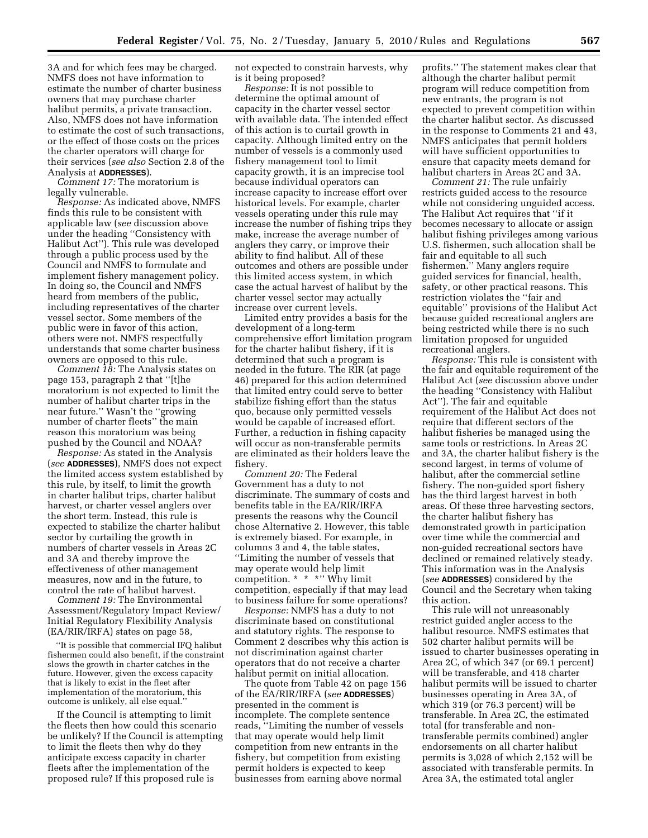3A and for which fees may be charged. NMFS does not have information to estimate the number of charter business owners that may purchase charter halibut permits, a private transaction. Also, NMFS does not have information to estimate the cost of such transactions, or the effect of those costs on the prices the charter operators will charge for their services (*see also* Section 2.8 of the Analysis at **ADDRESSES**).

*Comment 17:* The moratorium is legally vulnerable.

*Response:* As indicated above, NMFS finds this rule to be consistent with applicable law (*see* discussion above under the heading ''Consistency with Halibut Act''). This rule was developed through a public process used by the Council and NMFS to formulate and implement fishery management policy. In doing so, the Council and NMFS heard from members of the public, including representatives of the charter vessel sector. Some members of the public were in favor of this action, others were not. NMFS respectfully understands that some charter business owners are opposed to this rule.

*Comment 18:* The Analysis states on page 153, paragraph 2 that ''[t]he moratorium is not expected to limit the number of halibut charter trips in the near future.'' Wasn't the ''growing number of charter fleets'' the main reason this moratorium was being pushed by the Council and NOAA?

*Response:* As stated in the Analysis (*see* **ADDRESSES**), NMFS does not expect the limited access system established by this rule, by itself, to limit the growth in charter halibut trips, charter halibut harvest, or charter vessel anglers over the short term. Instead, this rule is expected to stabilize the charter halibut sector by curtailing the growth in numbers of charter vessels in Areas 2C and 3A and thereby improve the effectiveness of other management measures, now and in the future, to control the rate of halibut harvest.

*Comment 19:* The Environmental Assessment/Regulatory Impact Review/ Initial Regulatory Flexibility Analysis (EA/RIR/IRFA) states on page 58,

''It is possible that commercial IFQ halibut fishermen could also benefit, if the constraint slows the growth in charter catches in the future. However, given the excess capacity that is likely to exist in the fleet after implementation of the moratorium, this outcome is unlikely, all else equal.''

If the Council is attempting to limit the fleets then how could this scenario be unlikely? If the Council is attempting to limit the fleets then why do they anticipate excess capacity in charter fleets after the implementation of the proposed rule? If this proposed rule is

not expected to constrain harvests, why is it being proposed?

*Response:* It is not possible to determine the optimal amount of capacity in the charter vessel sector with available data. The intended effect of this action is to curtail growth in capacity. Although limited entry on the number of vessels is a commonly used fishery management tool to limit capacity growth, it is an imprecise tool because individual operators can increase capacity to increase effort over historical levels. For example, charter vessels operating under this rule may increase the number of fishing trips they make, increase the average number of anglers they carry, or improve their ability to find halibut. All of these outcomes and others are possible under this limited access system, in which case the actual harvest of halibut by the charter vessel sector may actually increase over current levels.

Limited entry provides a basis for the development of a long-term comprehensive effort limitation program for the charter halibut fishery, if it is determined that such a program is needed in the future. The RIR (at page 46) prepared for this action determined that limited entry could serve to better stabilize fishing effort than the status quo, because only permitted vessels would be capable of increased effort. Further, a reduction in fishing capacity will occur as non-transferable permits are eliminated as their holders leave the fishery.

*Comment 20:* The Federal Government has a duty to not discriminate. The summary of costs and benefits table in the EA/RIR/IRFA presents the reasons why the Council chose Alternative 2. However, this table is extremely biased. For example, in columns 3 and 4, the table states, ''Limiting the number of vessels that may operate would help limit competition. \* \* \*'' Why limit competition, especially if that may lead to business failure for some operations?

*Response:* NMFS has a duty to not discriminate based on constitutional and statutory rights. The response to Comment 2 describes why this action is not discrimination against charter operators that do not receive a charter halibut permit on initial allocation.

The quote from Table 42 on page 156 of the EA/RIR/IRFA (*see* **ADDRESSES**) presented in the comment is incomplete. The complete sentence reads, ''Limiting the number of vessels that may operate would help limit competition from new entrants in the fishery, but competition from existing permit holders is expected to keep businesses from earning above normal

profits.'' The statement makes clear that although the charter halibut permit program will reduce competition from new entrants, the program is not expected to prevent competition within the charter halibut sector. As discussed in the response to Comments 21 and 43, NMFS anticipates that permit holders will have sufficient opportunities to ensure that capacity meets demand for halibut charters in Areas 2C and 3A.

*Comment 21:* The rule unfairly restricts guided access to the resource while not considering unguided access. The Halibut Act requires that ''if it becomes necessary to allocate or assign halibut fishing privileges among various U.S. fishermen, such allocation shall be fair and equitable to all such fishermen.'' Many anglers require guided services for financial, health, safety, or other practical reasons. This restriction violates the ''fair and equitable'' provisions of the Halibut Act because guided recreational anglers are being restricted while there is no such limitation proposed for unguided recreational anglers.

*Response:* This rule is consistent with the fair and equitable requirement of the Halibut Act (*see* discussion above under the heading ''Consistency with Halibut Act''). The fair and equitable requirement of the Halibut Act does not require that different sectors of the halibut fisheries be managed using the same tools or restrictions. In Areas 2C and 3A, the charter halibut fishery is the second largest, in terms of volume of halibut, after the commercial setline fishery. The non-guided sport fishery has the third largest harvest in both areas. Of these three harvesting sectors, the charter halibut fishery has demonstrated growth in participation over time while the commercial and non-guided recreational sectors have declined or remained relatively steady. This information was in the Analysis (*see* **ADDRESSES**) considered by the Council and the Secretary when taking this action.

This rule will not unreasonably restrict guided angler access to the halibut resource. NMFS estimates that 502 charter halibut permits will be issued to charter businesses operating in Area 2C, of which 347 (or 69.1 percent) will be transferable, and 418 charter halibut permits will be issued to charter businesses operating in Area 3A, of which 319 (or 76.3 percent) will be transferable. In Area 2C, the estimated total (for transferable and nontransferable permits combined) angler endorsements on all charter halibut permits is 3,028 of which 2,152 will be associated with transferable permits. In Area 3A, the estimated total angler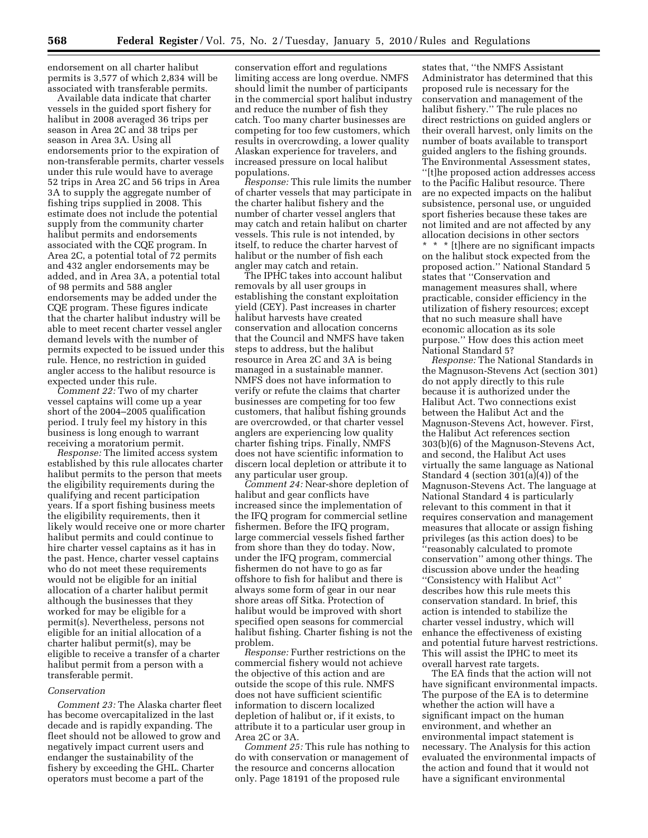endorsement on all charter halibut permits is 3,577 of which 2,834 will be associated with transferable permits.

Available data indicate that charter vessels in the guided sport fishery for halibut in 2008 averaged 36 trips per season in Area 2C and 38 trips per season in Area 3A. Using all endorsements prior to the expiration of non-transferable permits, charter vessels under this rule would have to average 52 trips in Area 2C and 56 trips in Area 3A to supply the aggregate number of fishing trips supplied in 2008. This estimate does not include the potential supply from the community charter halibut permits and endorsements associated with the CQE program. In Area 2C, a potential total of 72 permits and 432 angler endorsements may be added, and in Area 3A, a potential total of 98 permits and 588 angler endorsements may be added under the CQE program. These figures indicate that the charter halibut industry will be able to meet recent charter vessel angler demand levels with the number of permits expected to be issued under this rule. Hence, no restriction in guided angler access to the halibut resource is expected under this rule.

*Comment 22:* Two of my charter vessel captains will come up a year short of the 2004–2005 qualification period. I truly feel my history in this business is long enough to warrant receiving a moratorium permit.

*Response:* The limited access system established by this rule allocates charter halibut permits to the person that meets the eligibility requirements during the qualifying and recent participation years. If a sport fishing business meets the eligibility requirements, then it likely would receive one or more charter halibut permits and could continue to hire charter vessel captains as it has in the past. Hence, charter vessel captains who do not meet these requirements would not be eligible for an initial allocation of a charter halibut permit although the businesses that they worked for may be eligible for a permit(s). Nevertheless, persons not eligible for an initial allocation of a charter halibut permit(s), may be eligible to receive a transfer of a charter halibut permit from a person with a transferable permit.

### *Conservation*

*Comment 23:* The Alaska charter fleet has become overcapitalized in the last decade and is rapidly expanding. The fleet should not be allowed to grow and negatively impact current users and endanger the sustainability of the fishery by exceeding the GHL. Charter operators must become a part of the

conservation effort and regulations limiting access are long overdue. NMFS should limit the number of participants in the commercial sport halibut industry and reduce the number of fish they catch. Too many charter businesses are competing for too few customers, which results in overcrowding, a lower quality Alaskan experience for travelers, and increased pressure on local halibut populations.

*Response:* This rule limits the number of charter vessels that may participate in the charter halibut fishery and the number of charter vessel anglers that may catch and retain halibut on charter vessels. This rule is not intended, by itself, to reduce the charter harvest of halibut or the number of fish each angler may catch and retain.

The IPHC takes into account halibut removals by all user groups in establishing the constant exploitation yield (CEY). Past increases in charter halibut harvests have created conservation and allocation concerns that the Council and NMFS have taken steps to address, but the halibut resource in Area 2C and 3A is being managed in a sustainable manner. NMFS does not have information to verify or refute the claims that charter businesses are competing for too few customers, that halibut fishing grounds are overcrowded, or that charter vessel anglers are experiencing low quality charter fishing trips. Finally, NMFS does not have scientific information to discern local depletion or attribute it to any particular user group.

*Comment 24:* Near-shore depletion of halibut and gear conflicts have increased since the implementation of the IFQ program for commercial setline fishermen. Before the IFQ program, large commercial vessels fished farther from shore than they do today. Now, under the IFQ program, commercial fishermen do not have to go as far offshore to fish for halibut and there is always some form of gear in our near shore areas off Sitka. Protection of halibut would be improved with short specified open seasons for commercial halibut fishing. Charter fishing is not the problem.

*Response:* Further restrictions on the commercial fishery would not achieve the objective of this action and are outside the scope of this rule. NMFS does not have sufficient scientific information to discern localized depletion of halibut or, if it exists, to attribute it to a particular user group in Area 2C or 3A.

*Comment 25:* This rule has nothing to do with conservation or management of the resource and concerns allocation only. Page 18191 of the proposed rule

states that, ''the NMFS Assistant Administrator has determined that this proposed rule is necessary for the conservation and management of the halibut fishery.'' The rule places no direct restrictions on guided anglers or their overall harvest, only limits on the number of boats available to transport guided anglers to the fishing grounds. The Environmental Assessment states, ''[t]he proposed action addresses access to the Pacific Halibut resource. There are no expected impacts on the halibut subsistence, personal use, or unguided sport fisheries because these takes are not limited and are not affected by any allocation decisions in other sectors \* \* \* [t]here are no significant impacts

on the halibut stock expected from the proposed action.'' National Standard 5 states that ''Conservation and management measures shall, where practicable, consider efficiency in the utilization of fishery resources; except that no such measure shall have economic allocation as its sole purpose.'' How does this action meet National Standard 5?

*Response:* The National Standards in the Magnuson-Stevens Act (section 301) do not apply directly to this rule because it is authorized under the Halibut Act. Two connections exist between the Halibut Act and the Magnuson-Stevens Act, however. First, the Halibut Act references section 303(b)(6) of the Magnuson-Stevens Act, and second, the Halibut Act uses virtually the same language as National Standard 4 (section 301(a)(4)) of the Magnuson-Stevens Act. The language at National Standard 4 is particularly relevant to this comment in that it requires conservation and management measures that allocate or assign fishing privileges (as this action does) to be ''reasonably calculated to promote conservation'' among other things. The discussion above under the heading ''Consistency with Halibut Act'' describes how this rule meets this conservation standard. In brief, this action is intended to stabilize the charter vessel industry, which will enhance the effectiveness of existing and potential future harvest restrictions. This will assist the IPHC to meet its overall harvest rate targets.

The EA finds that the action will not have significant environmental impacts. The purpose of the EA is to determine whether the action will have a significant impact on the human environment, and whether an environmental impact statement is necessary. The Analysis for this action evaluated the environmental impacts of the action and found that it would not have a significant environmental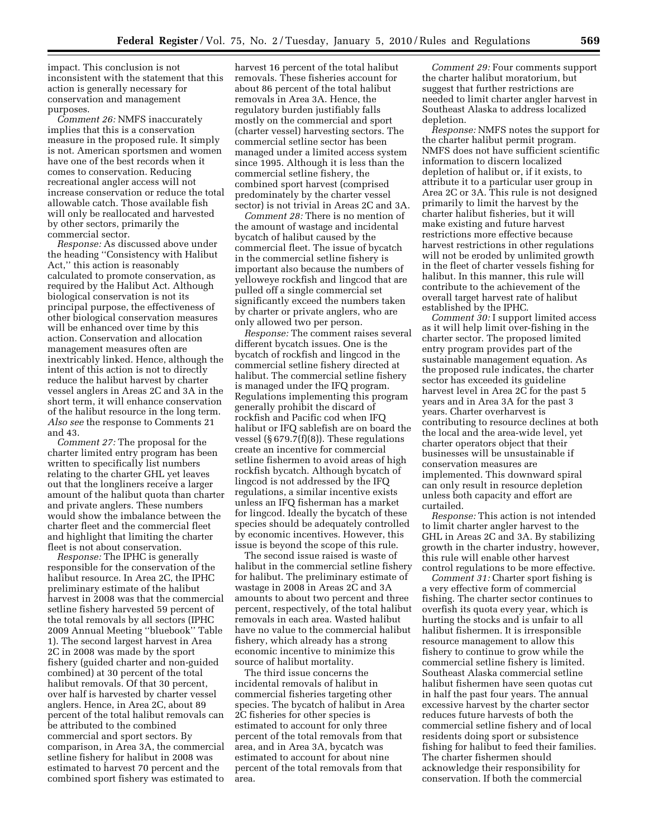impact. This conclusion is not inconsistent with the statement that this action is generally necessary for conservation and management purposes.

*Comment 26:* NMFS inaccurately implies that this is a conservation measure in the proposed rule. It simply is not. American sportsmen and women have one of the best records when it comes to conservation. Reducing recreational angler access will not increase conservation or reduce the total allowable catch. Those available fish will only be reallocated and harvested by other sectors, primarily the commercial sector.

*Response:* As discussed above under the heading ''Consistency with Halibut Act,'' this action is reasonably calculated to promote conservation, as required by the Halibut Act. Although biological conservation is not its principal purpose, the effectiveness of other biological conservation measures will be enhanced over time by this action. Conservation and allocation management measures often are inextricably linked. Hence, although the intent of this action is not to directly reduce the halibut harvest by charter vessel anglers in Areas 2C and 3A in the short term, it will enhance conservation of the halibut resource in the long term. *Also see* the response to Comments 21 and 43.

*Comment 27:* The proposal for the charter limited entry program has been written to specifically list numbers relating to the charter GHL yet leaves out that the longliners receive a larger amount of the halibut quota than charter and private anglers. These numbers would show the imbalance between the charter fleet and the commercial fleet and highlight that limiting the charter fleet is not about conservation.

*Response:* The IPHC is generally responsible for the conservation of the halibut resource. In Area 2C, the IPHC preliminary estimate of the halibut harvest in 2008 was that the commercial setline fishery harvested 59 percent of the total removals by all sectors (IPHC 2009 Annual Meeting ''bluebook'' Table 1). The second largest harvest in Area 2C in 2008 was made by the sport fishery (guided charter and non-guided combined) at 30 percent of the total halibut removals. Of that 30 percent, over half is harvested by charter vessel anglers. Hence, in Area 2C, about 89 percent of the total halibut removals can be attributed to the combined commercial and sport sectors. By comparison, in Area 3A, the commercial setline fishery for halibut in 2008 was estimated to harvest 70 percent and the combined sport fishery was estimated to

harvest 16 percent of the total halibut removals. These fisheries account for about 86 percent of the total halibut removals in Area 3A. Hence, the regulatory burden justifiably falls mostly on the commercial and sport (charter vessel) harvesting sectors. The commercial setline sector has been managed under a limited access system since 1995. Although it is less than the commercial setline fishery, the combined sport harvest (comprised predominately by the charter vessel sector) is not trivial in Areas 2C and 3A.

*Comment 28:* There is no mention of the amount of wastage and incidental bycatch of halibut caused by the commercial fleet. The issue of bycatch in the commercial setline fishery is important also because the numbers of yelloweye rockfish and lingcod that are pulled off a single commercial set significantly exceed the numbers taken by charter or private anglers, who are only allowed two per person.

*Response:* The comment raises several different bycatch issues. One is the bycatch of rockfish and lingcod in the commercial setline fishery directed at halibut. The commercial setline fishery is managed under the IFQ program. Regulations implementing this program generally prohibit the discard of rockfish and Pacific cod when IFQ halibut or IFQ sablefish are on board the vessel (§ 679.7(f)(8)). These regulations create an incentive for commercial setline fishermen to avoid areas of high rockfish bycatch. Although bycatch of lingcod is not addressed by the IFQ regulations, a similar incentive exists unless an IFQ fisherman has a market for lingcod. Ideally the bycatch of these species should be adequately controlled by economic incentives. However, this issue is beyond the scope of this rule.

The second issue raised is waste of halibut in the commercial setline fishery for halibut. The preliminary estimate of wastage in 2008 in Areas 2C and 3A amounts to about two percent and three percent, respectively, of the total halibut removals in each area. Wasted halibut have no value to the commercial halibut fishery, which already has a strong economic incentive to minimize this source of halibut mortality.

The third issue concerns the incidental removals of halibut in commercial fisheries targeting other species. The bycatch of halibut in Area 2C fisheries for other species is estimated to account for only three percent of the total removals from that area, and in Area 3A, bycatch was estimated to account for about nine percent of the total removals from that area.

*Comment 29:* Four comments support the charter halibut moratorium, but suggest that further restrictions are needed to limit charter angler harvest in Southeast Alaska to address localized depletion.

*Response:* NMFS notes the support for the charter halibut permit program. NMFS does not have sufficient scientific information to discern localized depletion of halibut or, if it exists, to attribute it to a particular user group in Area 2C or 3A. This rule is not designed primarily to limit the harvest by the charter halibut fisheries, but it will make existing and future harvest restrictions more effective because harvest restrictions in other regulations will not be eroded by unlimited growth in the fleet of charter vessels fishing for halibut. In this manner, this rule will contribute to the achievement of the overall target harvest rate of halibut established by the IPHC.

*Comment 30:* I support limited access as it will help limit over-fishing in the charter sector. The proposed limited entry program provides part of the sustainable management equation. As the proposed rule indicates, the charter sector has exceeded its guideline harvest level in Area 2C for the past 5 years and in Area 3A for the past 3 years. Charter overharvest is contributing to resource declines at both the local and the area-wide level, yet charter operators object that their businesses will be unsustainable if conservation measures are implemented. This downward spiral can only result in resource depletion unless both capacity and effort are curtailed.

*Response:* This action is not intended to limit charter angler harvest to the GHL in Areas 2C and 3A. By stabilizing growth in the charter industry, however, this rule will enable other harvest control regulations to be more effective.

*Comment 31:* Charter sport fishing is a very effective form of commercial fishing. The charter sector continues to overfish its quota every year, which is hurting the stocks and is unfair to all halibut fishermen. It is irresponsible resource management to allow this fishery to continue to grow while the commercial setline fishery is limited. Southeast Alaska commercial setline halibut fishermen have seen quotas cut in half the past four years. The annual excessive harvest by the charter sector reduces future harvests of both the commercial setline fishery and of local residents doing sport or subsistence fishing for halibut to feed their families. The charter fishermen should acknowledge their responsibility for conservation. If both the commercial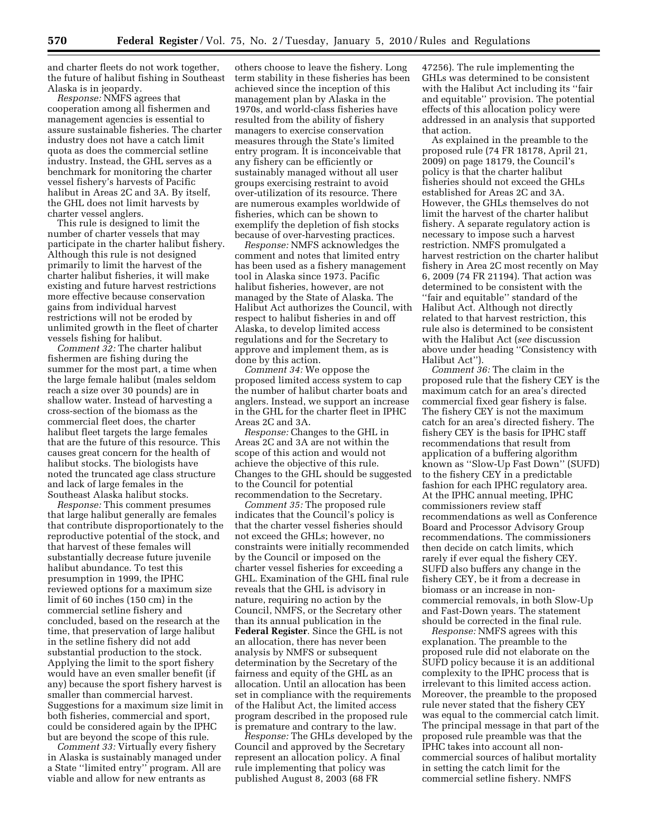and charter fleets do not work together, the future of halibut fishing in Southeast Alaska is in jeopardy.

*Response:* NMFS agrees that cooperation among all fishermen and management agencies is essential to assure sustainable fisheries. The charter industry does not have a catch limit quota as does the commercial setline industry. Instead, the GHL serves as a benchmark for monitoring the charter vessel fishery's harvests of Pacific halibut in Areas 2C and 3A. By itself, the GHL does not limit harvests by charter vessel anglers.

This rule is designed to limit the number of charter vessels that may participate in the charter halibut fishery. Although this rule is not designed primarily to limit the harvest of the charter halibut fisheries, it will make existing and future harvest restrictions more effective because conservation gains from individual harvest restrictions will not be eroded by unlimited growth in the fleet of charter vessels fishing for halibut.

*Comment 32:* The charter halibut fishermen are fishing during the summer for the most part, a time when the large female halibut (males seldom reach a size over 30 pounds) are in shallow water. Instead of harvesting a cross-section of the biomass as the commercial fleet does, the charter halibut fleet targets the large females that are the future of this resource. This causes great concern for the health of halibut stocks. The biologists have noted the truncated age class structure and lack of large females in the Southeast Alaska halibut stocks.

*Response:* This comment presumes that large halibut generally are females that contribute disproportionately to the reproductive potential of the stock, and that harvest of these females will substantially decrease future juvenile halibut abundance. To test this presumption in 1999, the IPHC reviewed options for a maximum size limit of 60 inches (150 cm) in the commercial setline fishery and concluded, based on the research at the time, that preservation of large halibut in the setline fishery did not add substantial production to the stock. Applying the limit to the sport fishery would have an even smaller benefit (if any) because the sport fishery harvest is smaller than commercial harvest. Suggestions for a maximum size limit in both fisheries, commercial and sport, could be considered again by the IPHC but are beyond the scope of this rule.

*Comment 33:* Virtually every fishery in Alaska is sustainably managed under a State ''limited entry'' program. All are viable and allow for new entrants as

others choose to leave the fishery. Long term stability in these fisheries has been achieved since the inception of this management plan by Alaska in the 1970s, and world-class fisheries have resulted from the ability of fishery managers to exercise conservation measures through the State's limited entry program. It is inconceivable that any fishery can be efficiently or sustainably managed without all user groups exercising restraint to avoid over-utilization of its resource. There are numerous examples worldwide of fisheries, which can be shown to exemplify the depletion of fish stocks because of over-harvesting practices.

*Response:* NMFS acknowledges the comment and notes that limited entry has been used as a fishery management tool in Alaska since 1973. Pacific halibut fisheries, however, are not managed by the State of Alaska. The Halibut Act authorizes the Council, with respect to halibut fisheries in and off Alaska, to develop limited access regulations and for the Secretary to approve and implement them, as is done by this action.

*Comment 34:* We oppose the proposed limited access system to cap the number of halibut charter boats and anglers. Instead, we support an increase in the GHL for the charter fleet in IPHC Areas 2C and 3A.

*Response:* Changes to the GHL in Areas 2C and 3A are not within the scope of this action and would not achieve the objective of this rule. Changes to the GHL should be suggested to the Council for potential recommendation to the Secretary.

*Comment 35:* The proposed rule indicates that the Council's policy is that the charter vessel fisheries should not exceed the GHLs; however, no constraints were initially recommended by the Council or imposed on the charter vessel fisheries for exceeding a GHL. Examination of the GHL final rule reveals that the GHL is advisory in nature, requiring no action by the Council, NMFS, or the Secretary other than its annual publication in the **Federal Register**. Since the GHL is not an allocation, there has never been analysis by NMFS or subsequent determination by the Secretary of the fairness and equity of the GHL as an allocation. Until an allocation has been set in compliance with the requirements of the Halibut Act, the limited access program described in the proposed rule is premature and contrary to the law.

*Response:* The GHLs developed by the Council and approved by the Secretary represent an allocation policy. A final rule implementing that policy was published August 8, 2003 (68 FR

47256). The rule implementing the GHLs was determined to be consistent with the Halibut Act including its ''fair and equitable'' provision. The potential effects of this allocation policy were addressed in an analysis that supported that action.

As explained in the preamble to the proposed rule (74 FR 18178, April 21, 2009) on page 18179, the Council's policy is that the charter halibut fisheries should not exceed the GHLs established for Areas 2C and 3A. However, the GHLs themselves do not limit the harvest of the charter halibut fishery. A separate regulatory action is necessary to impose such a harvest restriction. NMFS promulgated a harvest restriction on the charter halibut fishery in Area 2C most recently on May 6, 2009 (74 FR 21194). That action was determined to be consistent with the ''fair and equitable'' standard of the Halibut Act. Although not directly related to that harvest restriction, this rule also is determined to be consistent with the Halibut Act (*see* discussion above under heading ''Consistency with Halibut Act'').

*Comment 36:* The claim in the proposed rule that the fishery CEY is the maximum catch for an area's directed commercial fixed gear fishery is false. The fishery CEY is not the maximum catch for an area's directed fishery. The fishery CEY is the basis for IPHC staff recommendations that result from application of a buffering algorithm known as ''Slow-Up Fast Down'' (SUFD) to the fishery CEY in a predictable fashion for each IPHC regulatory area. At the IPHC annual meeting, IPHC commissioners review staff recommendations as well as Conference Board and Processor Advisory Group recommendations. The commissioners then decide on catch limits, which rarely if ever equal the fishery CEY. SUFD also buffers any change in the fishery CEY, be it from a decrease in biomass or an increase in noncommercial removals, in both Slow-Up and Fast-Down years. The statement should be corrected in the final rule.

*Response:* NMFS agrees with this explanation. The preamble to the proposed rule did not elaborate on the SUFD policy because it is an additional complexity to the IPHC process that is irrelevant to this limited access action. Moreover, the preamble to the proposed rule never stated that the fishery CEY was equal to the commercial catch limit. The principal message in that part of the proposed rule preamble was that the IPHC takes into account all noncommercial sources of halibut mortality in setting the catch limit for the commercial setline fishery. NMFS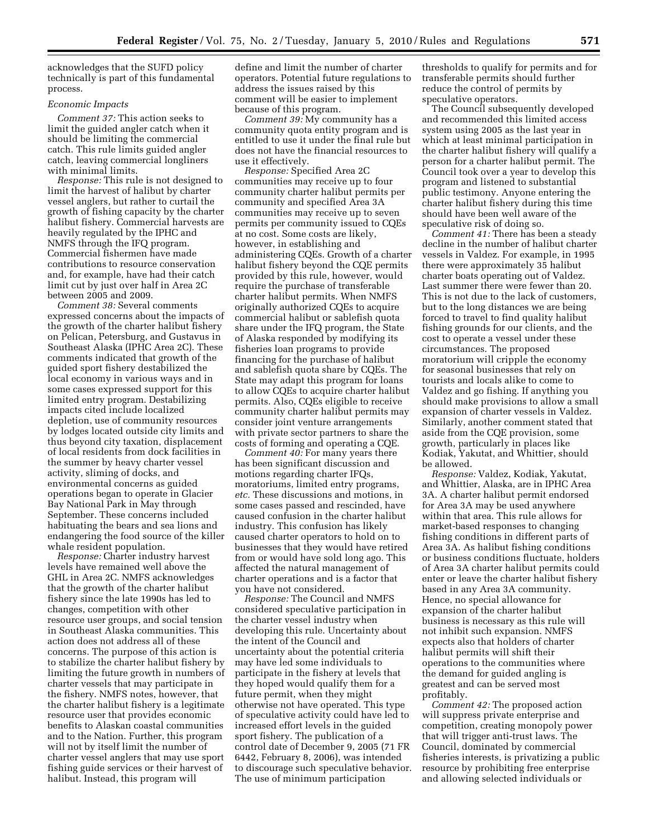acknowledges that the SUFD policy technically is part of this fundamental process.

### *Economic Impacts*

*Comment 37:* This action seeks to limit the guided angler catch when it should be limiting the commercial catch. This rule limits guided angler catch, leaving commercial longliners with minimal limits.

*Response:* This rule is not designed to limit the harvest of halibut by charter vessel anglers, but rather to curtail the growth of fishing capacity by the charter halibut fishery. Commercial harvests are heavily regulated by the IPHC and NMFS through the IFQ program. Commercial fishermen have made contributions to resource conservation and, for example, have had their catch limit cut by just over half in Area 2C between 2005 and 2009.

*Comment 38:* Several comments expressed concerns about the impacts of the growth of the charter halibut fishery on Pelican, Petersburg, and Gustavus in Southeast Alaska (IPHC Area 2C). These comments indicated that growth of the guided sport fishery destabilized the local economy in various ways and in some cases expressed support for this limited entry program. Destabilizing impacts cited include localized depletion, use of community resources by lodges located outside city limits and thus beyond city taxation, displacement of local residents from dock facilities in the summer by heavy charter vessel activity, sliming of docks, and environmental concerns as guided operations began to operate in Glacier Bay National Park in May through September. These concerns included habituating the bears and sea lions and endangering the food source of the killer whale resident population.

*Response:* Charter industry harvest levels have remained well above the GHL in Area 2C. NMFS acknowledges that the growth of the charter halibut fishery since the late 1990s has led to changes, competition with other resource user groups, and social tension in Southeast Alaska communities. This action does not address all of these concerns. The purpose of this action is to stabilize the charter halibut fishery by limiting the future growth in numbers of charter vessels that may participate in the fishery. NMFS notes, however, that the charter halibut fishery is a legitimate resource user that provides economic benefits to Alaskan coastal communities and to the Nation. Further, this program will not by itself limit the number of charter vessel anglers that may use sport fishing guide services or their harvest of halibut. Instead, this program will

define and limit the number of charter operators. Potential future regulations to address the issues raised by this comment will be easier to implement because of this program.

*Comment 39:* My community has a community quota entity program and is entitled to use it under the final rule but does not have the financial resources to use it effectively.

*Response:* Specified Area 2C communities may receive up to four community charter halibut permits per community and specified Area 3A communities may receive up to seven permits per community issued to CQEs at no cost. Some costs are likely, however, in establishing and administering CQEs. Growth of a charter halibut fishery beyond the CQE permits provided by this rule, however, would require the purchase of transferable charter halibut permits. When NMFS originally authorized CQEs to acquire commercial halibut or sablefish quota share under the IFQ program, the State of Alaska responded by modifying its fisheries loan programs to provide financing for the purchase of halibut and sablefish quota share by CQEs. The State may adapt this program for loans to allow CQEs to acquire charter halibut permits. Also, CQEs eligible to receive community charter halibut permits may consider joint venture arrangements with private sector partners to share the costs of forming and operating a CQE.

*Comment 40:* For many years there has been significant discussion and motions regarding charter IFQs, moratoriums, limited entry programs, *etc.* These discussions and motions, in some cases passed and rescinded, have caused confusion in the charter halibut industry. This confusion has likely caused charter operators to hold on to businesses that they would have retired from or would have sold long ago. This affected the natural management of charter operations and is a factor that you have not considered.

*Response:* The Council and NMFS considered speculative participation in the charter vessel industry when developing this rule. Uncertainty about the intent of the Council and uncertainty about the potential criteria may have led some individuals to participate in the fishery at levels that they hoped would qualify them for a future permit, when they might otherwise not have operated. This type of speculative activity could have led to increased effort levels in the guided sport fishery. The publication of a control date of December 9, 2005 (71 FR 6442, February 8, 2006), was intended to discourage such speculative behavior. The use of minimum participation

thresholds to qualify for permits and for transferable permits should further reduce the control of permits by speculative operators.

The Council subsequently developed and recommended this limited access system using 2005 as the last year in which at least minimal participation in the charter halibut fishery will qualify a person for a charter halibut permit. The Council took over a year to develop this program and listened to substantial public testimony. Anyone entering the charter halibut fishery during this time should have been well aware of the speculative risk of doing so.

*Comment 41:* There has been a steady decline in the number of halibut charter vessels in Valdez. For example, in 1995 there were approximately 35 halibut charter boats operating out of Valdez. Last summer there were fewer than 20. This is not due to the lack of customers, but to the long distances we are being forced to travel to find quality halibut fishing grounds for our clients, and the cost to operate a vessel under these circumstances. The proposed moratorium will cripple the economy for seasonal businesses that rely on tourists and locals alike to come to Valdez and go fishing. If anything you should make provisions to allow a small expansion of charter vessels in Valdez. Similarly, another comment stated that aside from the CQE provision, some growth, particularly in places like Kodiak, Yakutat, and Whittier, should be allowed.

*Response:* Valdez, Kodiak, Yakutat, and Whittier, Alaska, are in IPHC Area 3A. A charter halibut permit endorsed for Area 3A may be used anywhere within that area. This rule allows for market-based responses to changing fishing conditions in different parts of Area 3A. As halibut fishing conditions or business conditions fluctuate, holders of Area 3A charter halibut permits could enter or leave the charter halibut fishery based in any Area 3A community. Hence, no special allowance for expansion of the charter halibut business is necessary as this rule will not inhibit such expansion. NMFS expects also that holders of charter halibut permits will shift their operations to the communities where the demand for guided angling is greatest and can be served most profitably.

*Comment 42:* The proposed action will suppress private enterprise and competition, creating monopoly power that will trigger anti-trust laws. The Council, dominated by commercial fisheries interests, is privatizing a public resource by prohibiting free enterprise and allowing selected individuals or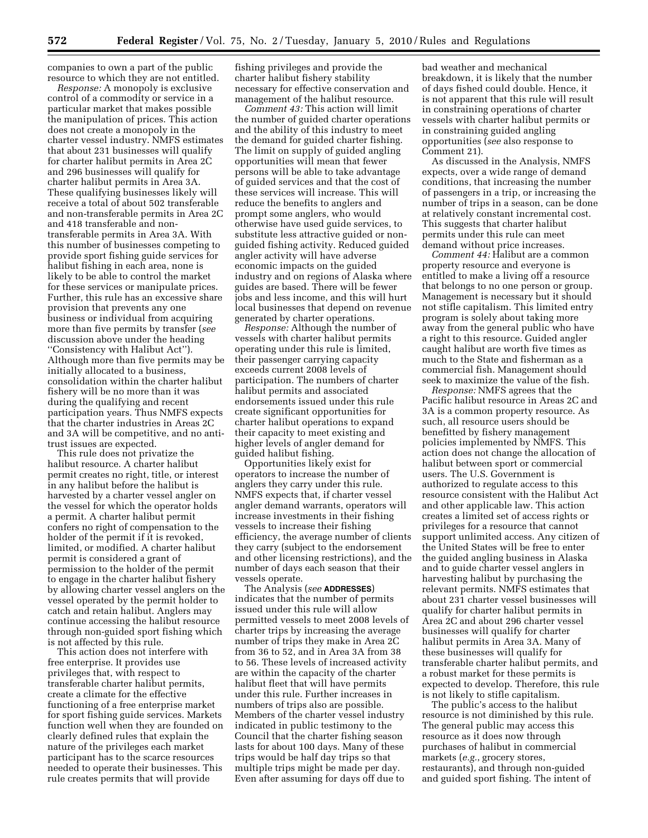companies to own a part of the public resource to which they are not entitled.

*Response:* A monopoly is exclusive control of a commodity or service in a particular market that makes possible the manipulation of prices. This action does not create a monopoly in the charter vessel industry. NMFS estimates that about 231 businesses will qualify for charter halibut permits in Area 2C and 296 businesses will qualify for charter halibut permits in Area 3A. These qualifying businesses likely will receive a total of about 502 transferable and non-transferable permits in Area 2C and 418 transferable and nontransferable permits in Area 3A. With this number of businesses competing to provide sport fishing guide services for halibut fishing in each area, none is likely to be able to control the market for these services or manipulate prices. Further, this rule has an excessive share provision that prevents any one business or individual from acquiring more than five permits by transfer (*see*  discussion above under the heading ''Consistency with Halibut Act''). Although more than five permits may be initially allocated to a business, consolidation within the charter halibut fishery will be no more than it was during the qualifying and recent participation years. Thus NMFS expects that the charter industries in Areas 2C and 3A will be competitive, and no antitrust issues are expected.

This rule does not privatize the halibut resource. A charter halibut permit creates no right, title, or interest in any halibut before the halibut is harvested by a charter vessel angler on the vessel for which the operator holds a permit. A charter halibut permit confers no right of compensation to the holder of the permit if it is revoked, limited, or modified. A charter halibut permit is considered a grant of permission to the holder of the permit to engage in the charter halibut fishery by allowing charter vessel anglers on the vessel operated by the permit holder to catch and retain halibut. Anglers may continue accessing the halibut resource through non-guided sport fishing which is not affected by this rule.

This action does not interfere with free enterprise. It provides use privileges that, with respect to transferable charter halibut permits, create a climate for the effective functioning of a free enterprise market for sport fishing guide services. Markets function well when they are founded on clearly defined rules that explain the nature of the privileges each market participant has to the scarce resources needed to operate their businesses. This rule creates permits that will provide

fishing privileges and provide the charter halibut fishery stability necessary for effective conservation and management of the halibut resource.

*Comment 43:* This action will limit the number of guided charter operations and the ability of this industry to meet the demand for guided charter fishing. The limit on supply of guided angling opportunities will mean that fewer persons will be able to take advantage of guided services and that the cost of these services will increase. This will reduce the benefits to anglers and prompt some anglers, who would otherwise have used guide services, to substitute less attractive guided or nonguided fishing activity. Reduced guided angler activity will have adverse economic impacts on the guided industry and on regions of Alaska where guides are based. There will be fewer jobs and less income, and this will hurt local businesses that depend on revenue generated by charter operations.

*Response:* Although the number of vessels with charter halibut permits operating under this rule is limited, their passenger carrying capacity exceeds current 2008 levels of participation. The numbers of charter halibut permits and associated endorsements issued under this rule create significant opportunities for charter halibut operations to expand their capacity to meet existing and higher levels of angler demand for guided halibut fishing.

Opportunities likely exist for operators to increase the number of anglers they carry under this rule. NMFS expects that, if charter vessel angler demand warrants, operators will increase investments in their fishing vessels to increase their fishing efficiency, the average number of clients they carry (subject to the endorsement and other licensing restrictions), and the number of days each season that their vessels operate.

The Analysis (*see* **ADDRESSES**) indicates that the number of permits issued under this rule will allow permitted vessels to meet 2008 levels of charter trips by increasing the average number of trips they make in Area 2C from 36 to 52, and in Area 3A from 38 to 56. These levels of increased activity are within the capacity of the charter halibut fleet that will have permits under this rule. Further increases in numbers of trips also are possible. Members of the charter vessel industry indicated in public testimony to the Council that the charter fishing season lasts for about 100 days. Many of these trips would be half day trips so that multiple trips might be made per day. Even after assuming for days off due to

bad weather and mechanical breakdown, it is likely that the number of days fished could double. Hence, it is not apparent that this rule will result in constraining operations of charter vessels with charter halibut permits or in constraining guided angling opportunities (*see* also response to Comment 21).

As discussed in the Analysis, NMFS expects, over a wide range of demand conditions, that increasing the number of passengers in a trip, or increasing the number of trips in a season, can be done at relatively constant incremental cost. This suggests that charter halibut permits under this rule can meet demand without price increases.

*Comment 44:* Halibut are a common property resource and everyone is entitled to make a living off a resource that belongs to no one person or group. Management is necessary but it should not stifle capitalism. This limited entry program is solely about taking more away from the general public who have a right to this resource. Guided angler caught halibut are worth five times as much to the State and fisherman as a commercial fish. Management should seek to maximize the value of the fish.

*Response:* NMFS agrees that the Pacific halibut resource in Areas 2C and 3A is a common property resource. As such, all resource users should be benefitted by fishery management policies implemented by NMFS. This action does not change the allocation of halibut between sport or commercial users. The U.S. Government is authorized to regulate access to this resource consistent with the Halibut Act and other applicable law. This action creates a limited set of access rights or privileges for a resource that cannot support unlimited access. Any citizen of the United States will be free to enter the guided angling business in Alaska and to guide charter vessel anglers in harvesting halibut by purchasing the relevant permits. NMFS estimates that about 231 charter vessel businesses will qualify for charter halibut permits in Area 2C and about 296 charter vessel businesses will qualify for charter halibut permits in Area 3A. Many of these businesses will qualify for transferable charter halibut permits, and a robust market for these permits is expected to develop. Therefore, this rule is not likely to stifle capitalism.

The public's access to the halibut resource is not diminished by this rule. The general public may access this resource as it does now through purchases of halibut in commercial markets (*e.g.*, grocery stores, restaurants), and through non-guided and guided sport fishing. The intent of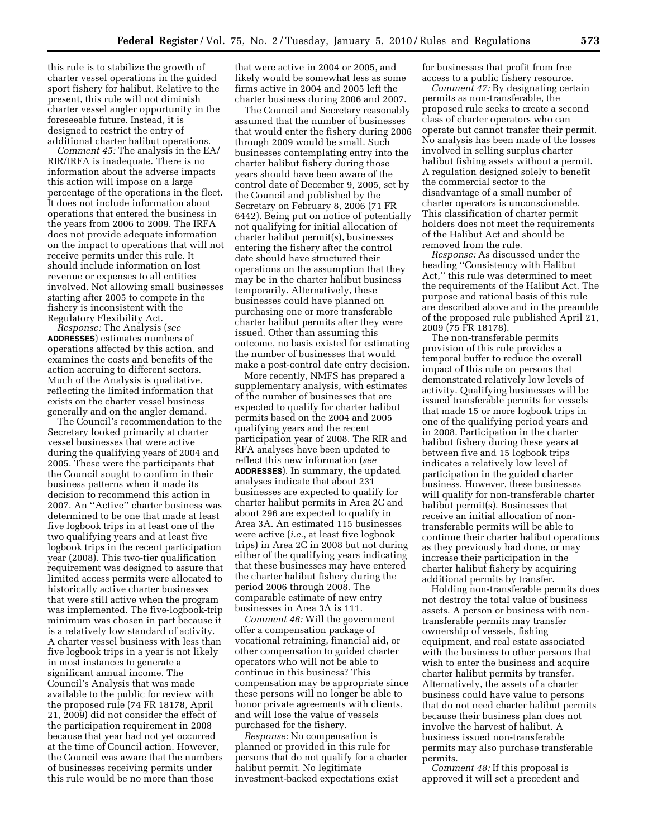this rule is to stabilize the growth of charter vessel operations in the guided sport fishery for halibut. Relative to the present, this rule will not diminish charter vessel angler opportunity in the foreseeable future. Instead, it is designed to restrict the entry of additional charter halibut operations.

*Comment 45:* The analysis in the EA/ RIR/IRFA is inadequate. There is no information about the adverse impacts this action will impose on a large percentage of the operations in the fleet. It does not include information about operations that entered the business in the years from 2006 to 2009. The IRFA does not provide adequate information on the impact to operations that will not receive permits under this rule. It should include information on lost revenue or expenses to all entities involved. Not allowing small businesses starting after 2005 to compete in the fishery is inconsistent with the Regulatory Flexibility Act.

*Response:* The Analysis (*see*  **ADDRESSES**) estimates numbers of operations affected by this action, and examines the costs and benefits of the action accruing to different sectors. Much of the Analysis is qualitative, reflecting the limited information that exists on the charter vessel business generally and on the angler demand.

The Council's recommendation to the Secretary looked primarily at charter vessel businesses that were active during the qualifying years of 2004 and 2005. These were the participants that the Council sought to confirm in their business patterns when it made its decision to recommend this action in 2007. An ''Active'' charter business was determined to be one that made at least five logbook trips in at least one of the two qualifying years and at least five logbook trips in the recent participation year (2008). This two-tier qualification requirement was designed to assure that limited access permits were allocated to historically active charter businesses that were still active when the program was implemented. The five-logbook-trip minimum was chosen in part because it is a relatively low standard of activity. A charter vessel business with less than five logbook trips in a year is not likely in most instances to generate a significant annual income. The Council's Analysis that was made available to the public for review with the proposed rule (74 FR 18178, April 21, 2009) did not consider the effect of the participation requirement in 2008 because that year had not yet occurred at the time of Council action. However, the Council was aware that the numbers of businesses receiving permits under this rule would be no more than those

that were active in 2004 or 2005, and likely would be somewhat less as some firms active in 2004 and 2005 left the charter business during 2006 and 2007.

The Council and Secretary reasonably assumed that the number of businesses that would enter the fishery during 2006 through 2009 would be small. Such businesses contemplating entry into the charter halibut fishery during those years should have been aware of the control date of December 9, 2005, set by the Council and published by the Secretary on February 8, 2006 (71 FR 6442). Being put on notice of potentially not qualifying for initial allocation of charter halibut permit(s), businesses entering the fishery after the control date should have structured their operations on the assumption that they may be in the charter halibut business temporarily. Alternatively, these businesses could have planned on purchasing one or more transferable charter halibut permits after they were issued. Other than assuming this outcome, no basis existed for estimating the number of businesses that would make a post-control date entry decision.

More recently, NMFS has prepared a supplementary analysis, with estimates of the number of businesses that are expected to qualify for charter halibut permits based on the 2004 and 2005 qualifying years and the recent participation year of 2008. The RIR and RFA analyses have been updated to reflect this new information (*see*  **ADDRESSES**). In summary, the updated analyses indicate that about 231 businesses are expected to qualify for charter halibut permits in Area 2C and about 296 are expected to qualify in Area 3A. An estimated 115 businesses were active (*i.e.*, at least five logbook trips) in Area 2C in 2008 but not during either of the qualifying years indicating that these businesses may have entered the charter halibut fishery during the period 2006 through 2008. The comparable estimate of new entry businesses in Area 3A is 111.

*Comment 46:* Will the government offer a compensation package of vocational retraining, financial aid, or other compensation to guided charter operators who will not be able to continue in this business? This compensation may be appropriate since these persons will no longer be able to honor private agreements with clients, and will lose the value of vessels purchased for the fishery.

*Response:* No compensation is planned or provided in this rule for persons that do not qualify for a charter halibut permit. No legitimate investment-backed expectations exist

for businesses that profit from free access to a public fishery resource.

*Comment 47: By designating certain* permits as non-transferable, the proposed rule seeks to create a second class of charter operators who can operate but cannot transfer their permit. No analysis has been made of the losses involved in selling surplus charter halibut fishing assets without a permit. A regulation designed solely to benefit the commercial sector to the disadvantage of a small number of charter operators is unconscionable. This classification of charter permit holders does not meet the requirements of the Halibut Act and should be removed from the rule.

*Response:* As discussed under the heading ''Consistency with Halibut Act,'' this rule was determined to meet the requirements of the Halibut Act. The purpose and rational basis of this rule are described above and in the preamble of the proposed rule published April 21, 2009 (75 FR 18178).

The non-transferable permits provision of this rule provides a temporal buffer to reduce the overall impact of this rule on persons that demonstrated relatively low levels of activity. Qualifying businesses will be issued transferable permits for vessels that made 15 or more logbook trips in one of the qualifying period years and in 2008. Participation in the charter halibut fishery during these years at between five and 15 logbook trips indicates a relatively low level of participation in the guided charter business. However, these businesses will qualify for non-transferable charter halibut permit(s). Businesses that receive an initial allocation of nontransferable permits will be able to continue their charter halibut operations as they previously had done, or may increase their participation in the charter halibut fishery by acquiring additional permits by transfer.

Holding non-transferable permits does not destroy the total value of business assets. A person or business with nontransferable permits may transfer ownership of vessels, fishing equipment, and real estate associated with the business to other persons that wish to enter the business and acquire charter halibut permits by transfer. Alternatively, the assets of a charter business could have value to persons that do not need charter halibut permits because their business plan does not involve the harvest of halibut. A business issued non-transferable permits may also purchase transferable permits.

*Comment 48:* If this proposal is approved it will set a precedent and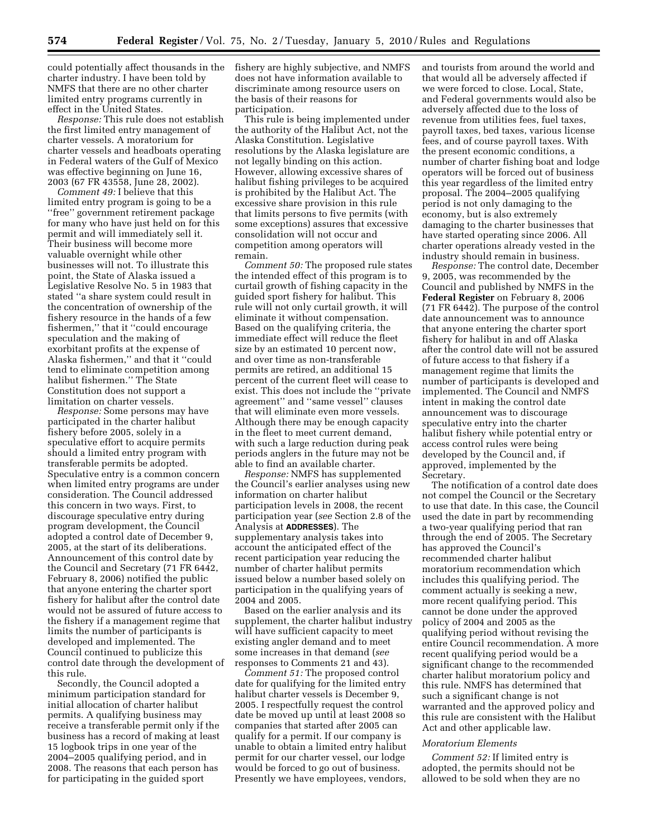could potentially affect thousands in the charter industry. I have been told by NMFS that there are no other charter limited entry programs currently in effect in the United States.

*Response:* This rule does not establish the first limited entry management of charter vessels. A moratorium for charter vessels and headboats operating in Federal waters of the Gulf of Mexico was effective beginning on June 16, 2003 (67 FR 43558, June 28, 2002).

*Comment 49:* I believe that this limited entry program is going to be a ''free'' government retirement package for many who have just held on for this permit and will immediately sell it. Their business will become more valuable overnight while other businesses will not. To illustrate this point, the State of Alaska issued a Legislative Resolve No. 5 in 1983 that stated ''a share system could result in the concentration of ownership of the fishery resource in the hands of a few fishermen,'' that it ''could encourage speculation and the making of exorbitant profits at the expense of Alaska fishermen,'' and that it ''could tend to eliminate competition among halibut fishermen.'' The State Constitution does not support a limitation on charter vessels.

*Response:* Some persons may have participated in the charter halibut fishery before 2005, solely in a speculative effort to acquire permits should a limited entry program with transferable permits be adopted. Speculative entry is a common concern when limited entry programs are under consideration. The Council addressed this concern in two ways. First, to discourage speculative entry during program development, the Council adopted a control date of December 9, 2005, at the start of its deliberations. Announcement of this control date by the Council and Secretary (71 FR 6442, February 8, 2006) notified the public that anyone entering the charter sport fishery for halibut after the control date would not be assured of future access to the fishery if a management regime that limits the number of participants is developed and implemented. The Council continued to publicize this control date through the development of this rule.

Secondly, the Council adopted a minimum participation standard for initial allocation of charter halibut permits. A qualifying business may receive a transferable permit only if the business has a record of making at least 15 logbook trips in one year of the 2004–2005 qualifying period, and in 2008. The reasons that each person has for participating in the guided sport

fishery are highly subjective, and NMFS does not have information available to discriminate among resource users on the basis of their reasons for participation.

This rule is being implemented under the authority of the Halibut Act, not the Alaska Constitution. Legislative resolutions by the Alaska legislature are not legally binding on this action. However, allowing excessive shares of halibut fishing privileges to be acquired is prohibited by the Halibut Act. The excessive share provision in this rule that limits persons to five permits (with some exceptions) assures that excessive consolidation will not occur and competition among operators will remain.

*Comment 50:* The proposed rule states the intended effect of this program is to curtail growth of fishing capacity in the guided sport fishery for halibut. This rule will not only curtail growth, it will eliminate it without compensation. Based on the qualifying criteria, the immediate effect will reduce the fleet size by an estimated 10 percent now, and over time as non-transferable permits are retired, an additional 15 percent of the current fleet will cease to exist. This does not include the ''private agreement'' and ''same vessel'' clauses that will eliminate even more vessels. Although there may be enough capacity in the fleet to meet current demand, with such a large reduction during peak periods anglers in the future may not be able to find an available charter.

*Response:* NMFS has supplemented the Council's earlier analyses using new information on charter halibut participation levels in 2008, the recent participation year (*see* Section 2.8 of the Analysis at **ADDRESSES**). The supplementary analysis takes into account the anticipated effect of the recent participation year reducing the number of charter halibut permits issued below a number based solely on participation in the qualifying years of 2004 and 2005.

Based on the earlier analysis and its supplement, the charter halibut industry will have sufficient capacity to meet existing angler demand and to meet some increases in that demand (*see*  responses to Comments 21 and 43).

*Comment 51:* The proposed control date for qualifying for the limited entry halibut charter vessels is December 9, 2005. I respectfully request the control date be moved up until at least 2008 so companies that started after 2005 can qualify for a permit. If our company is unable to obtain a limited entry halibut permit for our charter vessel, our lodge would be forced to go out of business. Presently we have employees, vendors,

and tourists from around the world and that would all be adversely affected if we were forced to close. Local, State, and Federal governments would also be adversely affected due to the loss of revenue from utilities fees, fuel taxes, payroll taxes, bed taxes, various license fees, and of course payroll taxes. With the present economic conditions, a number of charter fishing boat and lodge operators will be forced out of business this year regardless of the limited entry proposal. The 2004–2005 qualifying period is not only damaging to the economy, but is also extremely damaging to the charter businesses that have started operating since 2006. All charter operations already vested in the industry should remain in business.

*Response:* The control date, December 9, 2005, was recommended by the Council and published by NMFS in the **Federal Register** on February 8, 2006 (71 FR 6442). The purpose of the control date announcement was to announce that anyone entering the charter sport fishery for halibut in and off Alaska after the control date will not be assured of future access to that fishery if a management regime that limits the number of participants is developed and implemented. The Council and NMFS intent in making the control date announcement was to discourage speculative entry into the charter halibut fishery while potential entry or access control rules were being developed by the Council and, if approved, implemented by the Secretary.

The notification of a control date does not compel the Council or the Secretary to use that date. In this case, the Council used the date in part by recommending a two-year qualifying period that ran through the end of 2005. The Secretary has approved the Council's recommended charter halibut moratorium recommendation which includes this qualifying period. The comment actually is seeking a new, more recent qualifying period. This cannot be done under the approved policy of 2004 and 2005 as the qualifying period without revising the entire Council recommendation. A more recent qualifying period would be a significant change to the recommended charter halibut moratorium policy and this rule. NMFS has determined that such a significant change is not warranted and the approved policy and this rule are consistent with the Halibut Act and other applicable law.

#### *Moratorium Elements*

*Comment 52:* If limited entry is adopted, the permits should not be allowed to be sold when they are no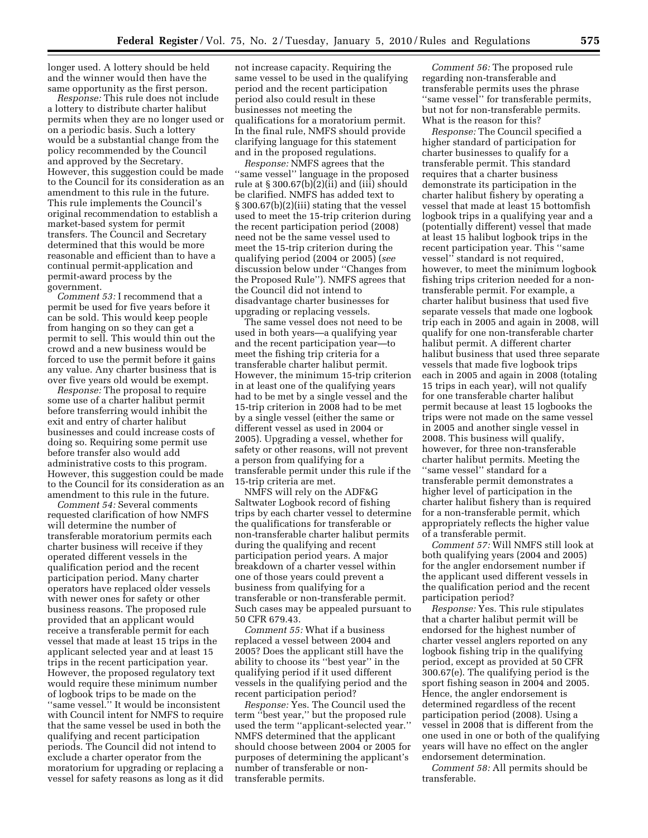longer used. A lottery should be held and the winner would then have the same opportunity as the first person.

*Response:* This rule does not include a lottery to distribute charter halibut permits when they are no longer used or on a periodic basis. Such a lottery would be a substantial change from the policy recommended by the Council and approved by the Secretary. However, this suggestion could be made to the Council for its consideration as an amendment to this rule in the future. This rule implements the Council's original recommendation to establish a market-based system for permit transfers. The Council and Secretary determined that this would be more reasonable and efficient than to have a continual permit-application and permit-award process by the government.

*Comment 53:* I recommend that a permit be used for five years before it can be sold. This would keep people from hanging on so they can get a permit to sell. This would thin out the crowd and a new business would be forced to use the permit before it gains any value. Any charter business that is over five years old would be exempt.

*Response:* The proposal to require some use of a charter halibut permit before transferring would inhibit the exit and entry of charter halibut businesses and could increase costs of doing so. Requiring some permit use before transfer also would add administrative costs to this program. However, this suggestion could be made to the Council for its consideration as an amendment to this rule in the future.

*Comment 54:* Several comments requested clarification of how NMFS will determine the number of transferable moratorium permits each charter business will receive if they operated different vessels in the qualification period and the recent participation period. Many charter operators have replaced older vessels with newer ones for safety or other business reasons. The proposed rule provided that an applicant would receive a transferable permit for each vessel that made at least 15 trips in the applicant selected year and at least 15 trips in the recent participation year. However, the proposed regulatory text would require these minimum number of logbook trips to be made on the ''same vessel.'' It would be inconsistent with Council intent for NMFS to require that the same vessel be used in both the qualifying and recent participation periods. The Council did not intend to exclude a charter operator from the moratorium for upgrading or replacing a vessel for safety reasons as long as it did

not increase capacity. Requiring the same vessel to be used in the qualifying period and the recent participation period also could result in these businesses not meeting the qualifications for a moratorium permit. In the final rule, NMFS should provide clarifying language for this statement and in the proposed regulations.

*Response:* NMFS agrees that the ''same vessel'' language in the proposed rule at § 300.67(b)(2)(ii) and (iii) should be clarified. NMFS has added text to § 300.67(b)(2)(iii) stating that the vessel used to meet the 15-trip criterion during the recent participation period (2008) need not be the same vessel used to meet the 15-trip criterion during the qualifying period (2004 or 2005) (*see*  discussion below under ''Changes from the Proposed Rule''). NMFS agrees that the Council did not intend to disadvantage charter businesses for upgrading or replacing vessels.

The same vessel does not need to be used in both years—a qualifying year and the recent participation year—to meet the fishing trip criteria for a transferable charter halibut permit. However, the minimum 15-trip criterion in at least one of the qualifying years had to be met by a single vessel and the 15-trip criterion in 2008 had to be met by a single vessel (either the same or different vessel as used in 2004 or 2005). Upgrading a vessel, whether for safety or other reasons, will not prevent a person from qualifying for a transferable permit under this rule if the 15-trip criteria are met.

NMFS will rely on the ADF&G Saltwater Logbook record of fishing trips by each charter vessel to determine the qualifications for transferable or non-transferable charter halibut permits during the qualifying and recent participation period years. A major breakdown of a charter vessel within one of those years could prevent a business from qualifying for a transferable or non-transferable permit. Such cases may be appealed pursuant to 50 CFR 679.43.

*Comment 55:* What if a business replaced a vessel between 2004 and 2005? Does the applicant still have the ability to choose its ''best year'' in the qualifying period if it used different vessels in the qualifying period and the recent participation period?

*Response:* Yes. The Council used the term "best year," but the proposed rule used the term ''applicant-selected year.'' NMFS determined that the applicant should choose between 2004 or 2005 for purposes of determining the applicant's number of transferable or nontransferable permits.

*Comment 56:* The proposed rule regarding non-transferable and transferable permits uses the phrase ''same vessel'' for transferable permits, but not for non-transferable permits. What is the reason for this?

*Response:* The Council specified a higher standard of participation for charter businesses to qualify for a transferable permit. This standard requires that a charter business demonstrate its participation in the charter halibut fishery by operating a vessel that made at least 15 bottomfish logbook trips in a qualifying year and a (potentially different) vessel that made at least 15 halibut logbook trips in the recent participation year. This ''same vessel'' standard is not required, however, to meet the minimum logbook fishing trips criterion needed for a nontransferable permit. For example, a charter halibut business that used five separate vessels that made one logbook trip each in 2005 and again in 2008, will qualify for one non-transferable charter halibut permit. A different charter halibut business that used three separate vessels that made five logbook trips each in 2005 and again in 2008 (totaling 15 trips in each year), will not qualify for one transferable charter halibut permit because at least 15 logbooks the trips were not made on the same vessel in 2005 and another single vessel in 2008. This business will qualify, however, for three non-transferable charter halibut permits. Meeting the ''same vessel'' standard for a transferable permit demonstrates a higher level of participation in the charter halibut fishery than is required for a non-transferable permit, which appropriately reflects the higher value of a transferable permit.

*Comment 57:* Will NMFS still look at both qualifying years (2004 and 2005) for the angler endorsement number if the applicant used different vessels in the qualification period and the recent participation period?

*Response:* Yes. This rule stipulates that a charter halibut permit will be endorsed for the highest number of charter vessel anglers reported on any logbook fishing trip in the qualifying period, except as provided at 50 CFR 300.67(e). The qualifying period is the sport fishing season in 2004 and 2005. Hence, the angler endorsement is determined regardless of the recent participation period (2008). Using a vessel in 2008 that is different from the one used in one or both of the qualifying years will have no effect on the angler endorsement determination.

*Comment 58:* All permits should be transferable.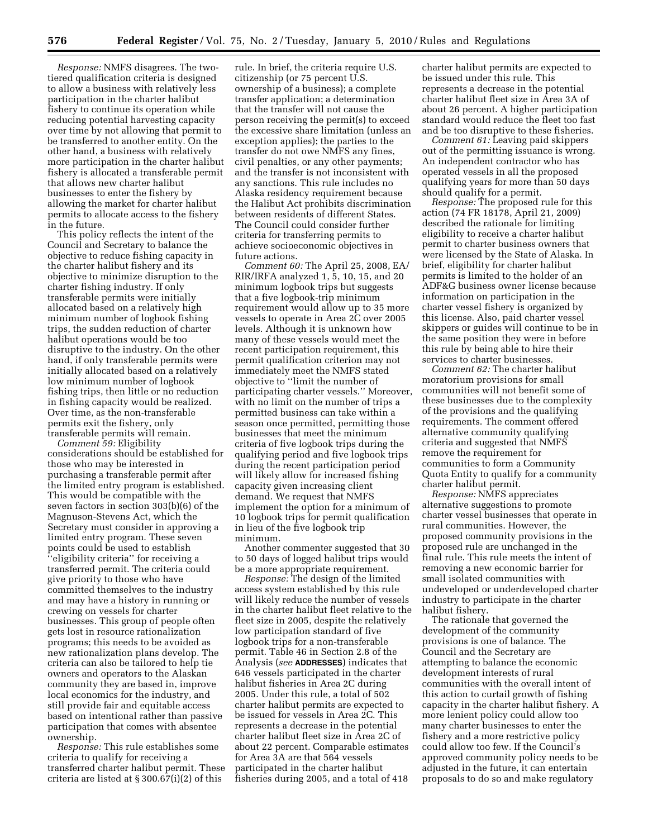*Response:* NMFS disagrees. The twotiered qualification criteria is designed to allow a business with relatively less participation in the charter halibut fishery to continue its operation while reducing potential harvesting capacity over time by not allowing that permit to be transferred to another entity. On the other hand, a business with relatively more participation in the charter halibut fishery is allocated a transferable permit that allows new charter halibut businesses to enter the fishery by allowing the market for charter halibut permits to allocate access to the fishery in the future.

This policy reflects the intent of the Council and Secretary to balance the objective to reduce fishing capacity in the charter halibut fishery and its objective to minimize disruption to the charter fishing industry. If only transferable permits were initially allocated based on a relatively high minimum number of logbook fishing trips, the sudden reduction of charter halibut operations would be too disruptive to the industry. On the other hand, if only transferable permits were initially allocated based on a relatively low minimum number of logbook fishing trips, then little or no reduction in fishing capacity would be realized. Over time, as the non-transferable permits exit the fishery, only transferable permits will remain.

*Comment 59:* Eligibility considerations should be established for those who may be interested in purchasing a transferable permit after the limited entry program is established. This would be compatible with the seven factors in section 303(b)(6) of the Magnuson-Stevens Act, which the Secretary must consider in approving a limited entry program. These seven points could be used to establish 'eligibility criteria" for receiving a transferred permit. The criteria could give priority to those who have committed themselves to the industry and may have a history in running or crewing on vessels for charter businesses. This group of people often gets lost in resource rationalization programs; this needs to be avoided as new rationalization plans develop. The criteria can also be tailored to help tie owners and operators to the Alaskan community they are based in, improve local economics for the industry, and still provide fair and equitable access based on intentional rather than passive participation that comes with absentee ownership.

*Response:* This rule establishes some criteria to qualify for receiving a transferred charter halibut permit. These criteria are listed at § 300.67(i)(2) of this

rule. In brief, the criteria require U.S. citizenship (or 75 percent U.S. ownership of a business); a complete transfer application; a determination that the transfer will not cause the person receiving the permit(s) to exceed the excessive share limitation (unless an exception applies); the parties to the transfer do not owe NMFS any fines, civil penalties, or any other payments; and the transfer is not inconsistent with any sanctions. This rule includes no Alaska residency requirement because the Halibut Act prohibits discrimination between residents of different States. The Council could consider further criteria for transferring permits to achieve socioeconomic objectives in future actions.

*Comment 60:* The April 25, 2008, EA/ RIR/IRFA analyzed 1, 5, 10, 15, and 20 minimum logbook trips but suggests that a five logbook-trip minimum requirement would allow up to 35 more vessels to operate in Area 2C over 2005 levels. Although it is unknown how many of these vessels would meet the recent participation requirement, this permit qualification criterion may not immediately meet the NMFS stated objective to ''limit the number of participating charter vessels.'' Moreover, with no limit on the number of trips a permitted business can take within a season once permitted, permitting those businesses that meet the minimum criteria of five logbook trips during the qualifying period and five logbook trips during the recent participation period will likely allow for increased fishing capacity given increasing client demand. We request that NMFS implement the option for a minimum of 10 logbook trips for permit qualification in lieu of the five logbook trip minimum.

Another commenter suggested that 30 to 50 days of logged halibut trips would be a more appropriate requirement.

*Response:* The design of the limited access system established by this rule will likely reduce the number of vessels in the charter halibut fleet relative to the fleet size in 2005, despite the relatively low participation standard of five logbook trips for a non-transferable permit. Table 46 in Section 2.8 of the Analysis (*see* **ADDRESSES**) indicates that 646 vessels participated in the charter halibut fisheries in Area 2C during 2005. Under this rule, a total of 502 charter halibut permits are expected to be issued for vessels in Area 2C. This represents a decrease in the potential charter halibut fleet size in Area 2C of about 22 percent. Comparable estimates for Area 3A are that 564 vessels participated in the charter halibut fisheries during 2005, and a total of 418

charter halibut permits are expected to be issued under this rule. This represents a decrease in the potential charter halibut fleet size in Area 3A of about 26 percent. A higher participation standard would reduce the fleet too fast and be too disruptive to these fisheries.

*Comment 61:* Leaving paid skippers out of the permitting issuance is wrong. An independent contractor who has operated vessels in all the proposed qualifying years for more than 50 days should qualify for a permit.

*Response:* The proposed rule for this action (74 FR 18178, April 21, 2009) described the rationale for limiting eligibility to receive a charter halibut permit to charter business owners that were licensed by the State of Alaska. In brief, eligibility for charter halibut permits is limited to the holder of an ADF&G business owner license because information on participation in the charter vessel fishery is organized by this license. Also, paid charter vessel skippers or guides will continue to be in the same position they were in before this rule by being able to hire their services to charter businesses.

*Comment 62:* The charter halibut moratorium provisions for small communities will not benefit some of these businesses due to the complexity of the provisions and the qualifying requirements. The comment offered alternative community qualifying criteria and suggested that NMFS remove the requirement for communities to form a Community Quota Entity to qualify for a community charter halibut permit.

*Response:* NMFS appreciates alternative suggestions to promote charter vessel businesses that operate in rural communities. However, the proposed community provisions in the proposed rule are unchanged in the final rule. This rule meets the intent of removing a new economic barrier for small isolated communities with undeveloped or underdeveloped charter industry to participate in the charter halibut fishery.

The rationale that governed the development of the community provisions is one of balance. The Council and the Secretary are attempting to balance the economic development interests of rural communities with the overall intent of this action to curtail growth of fishing capacity in the charter halibut fishery. A more lenient policy could allow too many charter businesses to enter the fishery and a more restrictive policy could allow too few. If the Council's approved community policy needs to be adjusted in the future, it can entertain proposals to do so and make regulatory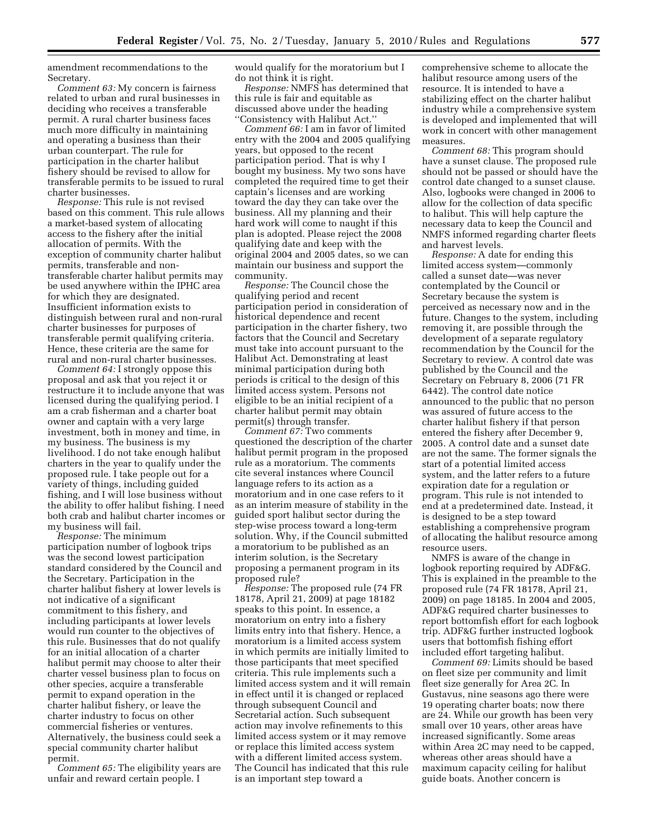amendment recommendations to the Secretary.

*Comment 63:* My concern is fairness related to urban and rural businesses in deciding who receives a transferable permit. A rural charter business faces much more difficulty in maintaining and operating a business than their urban counterpart. The rule for participation in the charter halibut fishery should be revised to allow for transferable permits to be issued to rural charter businesses.

*Response:* This rule is not revised based on this comment. This rule allows a market-based system of allocating access to the fishery after the initial allocation of permits. With the exception of community charter halibut permits, transferable and nontransferable charter halibut permits may be used anywhere within the IPHC area for which they are designated. Insufficient information exists to distinguish between rural and non-rural charter businesses for purposes of transferable permit qualifying criteria. Hence, these criteria are the same for rural and non-rural charter businesses.

*Comment 64:* I strongly oppose this proposal and ask that you reject it or restructure it to include anyone that was licensed during the qualifying period. I am a crab fisherman and a charter boat owner and captain with a very large investment, both in money and time, in my business. The business is my livelihood. I do not take enough halibut charters in the year to qualify under the proposed rule. I take people out for a variety of things, including guided fishing, and I will lose business without the ability to offer halibut fishing. I need both crab and halibut charter incomes or my business will fail.

*Response:* The minimum participation number of logbook trips was the second lowest participation standard considered by the Council and the Secretary. Participation in the charter halibut fishery at lower levels is not indicative of a significant commitment to this fishery, and including participants at lower levels would run counter to the objectives of this rule. Businesses that do not qualify for an initial allocation of a charter halibut permit may choose to alter their charter vessel business plan to focus on other species, acquire a transferable permit to expand operation in the charter halibut fishery, or leave the charter industry to focus on other commercial fisheries or ventures. Alternatively, the business could seek a special community charter halibut permit.

*Comment 65:* The eligibility years are unfair and reward certain people. I

would qualify for the moratorium but I do not think it is right.

*Response:* NMFS has determined that this rule is fair and equitable as discussed above under the heading ''Consistency with Halibut Act.''

*Comment 66:* I am in favor of limited entry with the 2004 and 2005 qualifying years, but opposed to the recent participation period. That is why I bought my business. My two sons have completed the required time to get their captain's licenses and are working toward the day they can take over the business. All my planning and their hard work will come to naught if this plan is adopted. Please reject the 2008 qualifying date and keep with the original 2004 and 2005 dates, so we can maintain our business and support the community.

*Response:* The Council chose the qualifying period and recent participation period in consideration of historical dependence and recent participation in the charter fishery, two factors that the Council and Secretary must take into account pursuant to the Halibut Act. Demonstrating at least minimal participation during both periods is critical to the design of this limited access system. Persons not eligible to be an initial recipient of a charter halibut permit may obtain permit(s) through transfer.

*Comment 67:* Two comments questioned the description of the charter halibut permit program in the proposed rule as a moratorium. The comments cite several instances where Council language refers to its action as a moratorium and in one case refers to it as an interim measure of stability in the guided sport halibut sector during the step-wise process toward a long-term solution. Why, if the Council submitted a moratorium to be published as an interim solution, is the Secretary proposing a permanent program in its proposed rule?

*Response:* The proposed rule (74 FR 18178, April 21, 2009) at page 18182 speaks to this point. In essence, a moratorium on entry into a fishery limits entry into that fishery. Hence, a moratorium is a limited access system in which permits are initially limited to those participants that meet specified criteria. This rule implements such a limited access system and it will remain in effect until it is changed or replaced through subsequent Council and Secretarial action. Such subsequent action may involve refinements to this limited access system or it may remove or replace this limited access system with a different limited access system. The Council has indicated that this rule is an important step toward a

comprehensive scheme to allocate the halibut resource among users of the resource. It is intended to have a stabilizing effect on the charter halibut industry while a comprehensive system is developed and implemented that will work in concert with other management measures.

*Comment 68:* This program should have a sunset clause. The proposed rule should not be passed or should have the control date changed to a sunset clause. Also, logbooks were changed in 2006 to allow for the collection of data specific to halibut. This will help capture the necessary data to keep the Council and NMFS informed regarding charter fleets and harvest levels.

*Response:* A date for ending this limited access system—commonly called a sunset date—was never contemplated by the Council or Secretary because the system is perceived as necessary now and in the future. Changes to the system, including removing it, are possible through the development of a separate regulatory recommendation by the Council for the Secretary to review. A control date was published by the Council and the Secretary on February 8, 2006 (71 FR 6442). The control date notice announced to the public that no person was assured of future access to the charter halibut fishery if that person entered the fishery after December 9, 2005. A control date and a sunset date are not the same. The former signals the start of a potential limited access system, and the latter refers to a future expiration date for a regulation or program. This rule is not intended to end at a predetermined date. Instead, it is designed to be a step toward establishing a comprehensive program of allocating the halibut resource among resource users.

NMFS is aware of the change in logbook reporting required by ADF&G. This is explained in the preamble to the proposed rule (74 FR 18178, April 21, 2009) on page 18185. In 2004 and 2005, ADF&G required charter businesses to report bottomfish effort for each logbook trip. ADF&G further instructed logbook users that bottomfish fishing effort included effort targeting halibut.

*Comment 69:* Limits should be based on fleet size per community and limit fleet size generally for Area 2C. In Gustavus, nine seasons ago there were 19 operating charter boats; now there are 24. While our growth has been very small over 10 years, other areas have increased significantly. Some areas within Area 2C may need to be capped, whereas other areas should have a maximum capacity ceiling for halibut guide boats. Another concern is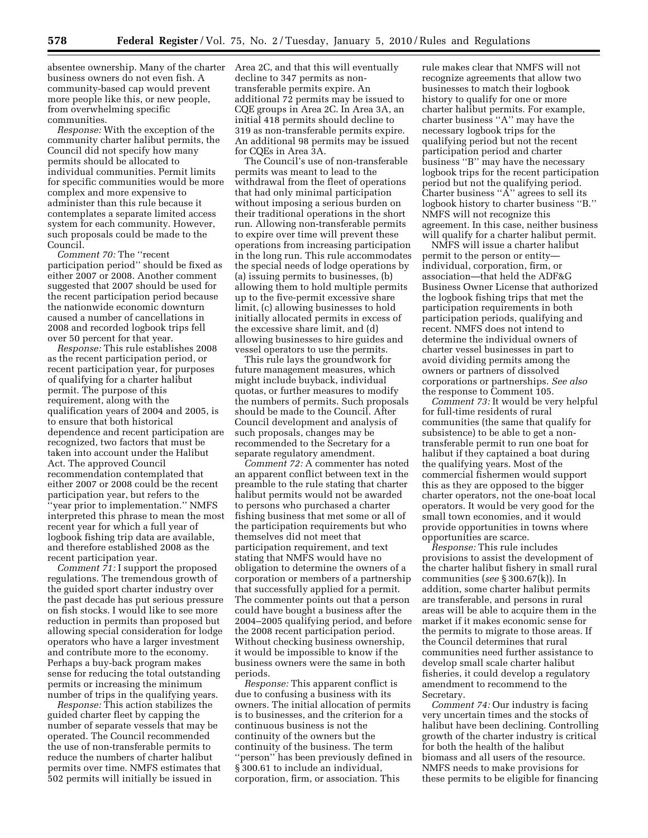absentee ownership. Many of the charter business owners do not even fish. A community-based cap would prevent more people like this, or new people, from overwhelming specific communities.

*Response:* With the exception of the community charter halibut permits, the Council did not specify how many permits should be allocated to individual communities. Permit limits for specific communities would be more complex and more expensive to administer than this rule because it contemplates a separate limited access system for each community. However, such proposals could be made to the Council.

*Comment 70:* The ''recent participation period'' should be fixed as either 2007 or 2008. Another comment suggested that 2007 should be used for the recent participation period because the nationwide economic downturn caused a number of cancellations in 2008 and recorded logbook trips fell over 50 percent for that year.

*Response:* This rule establishes 2008 as the recent participation period, or recent participation year, for purposes of qualifying for a charter halibut permit. The purpose of this requirement, along with the qualification years of 2004 and 2005, is to ensure that both historical dependence and recent participation are recognized, two factors that must be taken into account under the Halibut Act. The approved Council recommendation contemplated that either 2007 or 2008 could be the recent participation year, but refers to the ''year prior to implementation.'' NMFS interpreted this phrase to mean the most recent year for which a full year of logbook fishing trip data are available, and therefore established 2008 as the recent participation year.

*Comment 71:* I support the proposed regulations. The tremendous growth of the guided sport charter industry over the past decade has put serious pressure on fish stocks. I would like to see more reduction in permits than proposed but allowing special consideration for lodge operators who have a larger investment and contribute more to the economy. Perhaps a buy-back program makes sense for reducing the total outstanding permits or increasing the minimum number of trips in the qualifying years.

*Response:* This action stabilizes the guided charter fleet by capping the number of separate vessels that may be operated. The Council recommended the use of non-transferable permits to reduce the numbers of charter halibut permits over time. NMFS estimates that 502 permits will initially be issued in

Area 2C, and that this will eventually decline to 347 permits as nontransferable permits expire. An additional 72 permits may be issued to CQE groups in Area 2C. In Area 3A, an initial 418 permits should decline to 319 as non-transferable permits expire. An additional 98 permits may be issued for CQEs in Area 3A.

The Council's use of non-transferable permits was meant to lead to the withdrawal from the fleet of operations that had only minimal participation without imposing a serious burden on their traditional operations in the short run. Allowing non-transferable permits to expire over time will prevent these operations from increasing participation in the long run. This rule accommodates the special needs of lodge operations by (a) issuing permits to businesses, (b) allowing them to hold multiple permits up to the five-permit excessive share limit, (c) allowing businesses to hold initially allocated permits in excess of the excessive share limit, and (d) allowing businesses to hire guides and vessel operators to use the permits.

This rule lays the groundwork for future management measures, which might include buyback, individual quotas, or further measures to modify the numbers of permits. Such proposals should be made to the Council. After Council development and analysis of such proposals, changes may be recommended to the Secretary for a separate regulatory amendment.

*Comment 72:* A commenter has noted an apparent conflict between text in the preamble to the rule stating that charter halibut permits would not be awarded to persons who purchased a charter fishing business that met some or all of the participation requirements but who themselves did not meet that participation requirement, and text stating that NMFS would have no obligation to determine the owners of a corporation or members of a partnership that successfully applied for a permit. The commenter points out that a person could have bought a business after the 2004–2005 qualifying period, and before the 2008 recent participation period. Without checking business ownership, it would be impossible to know if the business owners were the same in both periods.

*Response:* This apparent conflict is due to confusing a business with its owners. The initial allocation of permits is to businesses, and the criterion for a continuous business is not the continuity of the owners but the continuity of the business. The term ''person'' has been previously defined in § 300.61 to include an individual, corporation, firm, or association. This

rule makes clear that NMFS will not recognize agreements that allow two businesses to match their logbook history to qualify for one or more charter halibut permits. For example, charter business ''A'' may have the necessary logbook trips for the qualifying period but not the recent participation period and charter business ''B'' may have the necessary logbook trips for the recent participation period but not the qualifying period. Charter business " $A$ " agrees to sell its logbook history to charter business ''B.'' NMFS will not recognize this agreement. In this case, neither business will qualify for a charter halibut permit.

NMFS will issue a charter halibut permit to the person or entity individual, corporation, firm, or association—that held the ADF&G Business Owner License that authorized the logbook fishing trips that met the participation requirements in both participation periods, qualifying and recent. NMFS does not intend to determine the individual owners of charter vessel businesses in part to avoid dividing permits among the owners or partners of dissolved corporations or partnerships. *See also*  the response to Comment 105.

*Comment 73:* It would be very helpful for full-time residents of rural communities (the same that qualify for subsistence) to be able to get a nontransferable permit to run one boat for halibut if they captained a boat during the qualifying years. Most of the commercial fishermen would support this as they are opposed to the bigger charter operators, not the one-boat local operators. It would be very good for the small town economies, and it would provide opportunities in towns where opportunities are scarce.

*Response:* This rule includes provisions to assist the development of the charter halibut fishery in small rural communities (*see* § 300.67(k)). In addition, some charter halibut permits are transferable, and persons in rural areas will be able to acquire them in the market if it makes economic sense for the permits to migrate to those areas. If the Council determines that rural communities need further assistance to develop small scale charter halibut fisheries, it could develop a regulatory amendment to recommend to the Secretary.

*Comment 74:* Our industry is facing very uncertain times and the stocks of halibut have been declining. Controlling growth of the charter industry is critical for both the health of the halibut biomass and all users of the resource. NMFS needs to make provisions for these permits to be eligible for financing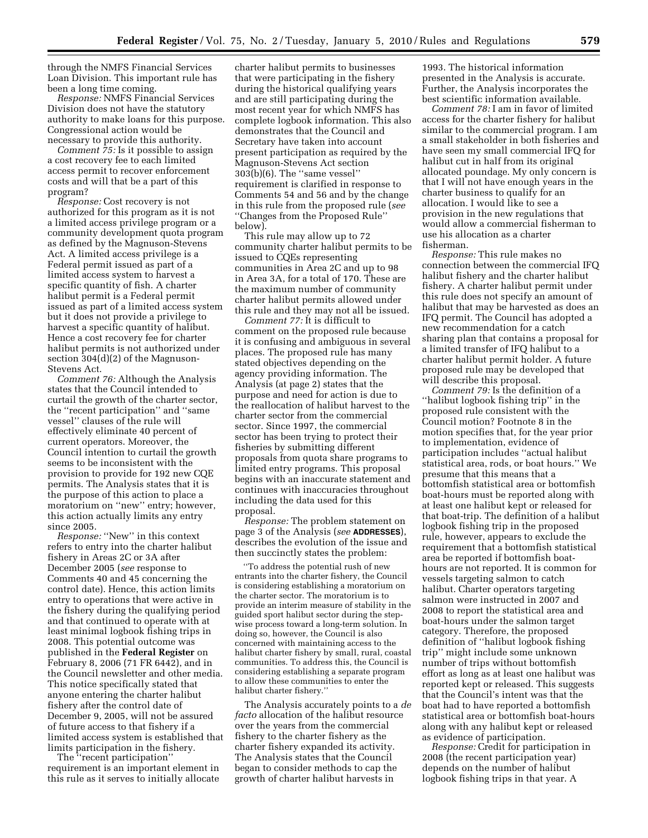through the NMFS Financial Services Loan Division. This important rule has been a long time coming.

*Response:* NMFS Financial Services Division does not have the statutory authority to make loans for this purpose. Congressional action would be necessary to provide this authority.

*Comment 75:* Is it possible to assign a cost recovery fee to each limited access permit to recover enforcement costs and will that be a part of this program?

*Response:* Cost recovery is not authorized for this program as it is not a limited access privilege program or a community development quota program as defined by the Magnuson-Stevens Act. A limited access privilege is a Federal permit issued as part of a limited access system to harvest a specific quantity of fish. A charter halibut permit is a Federal permit issued as part of a limited access system but it does not provide a privilege to harvest a specific quantity of halibut. Hence a cost recovery fee for charter halibut permits is not authorized under section 304(d)(2) of the Magnuson-Stevens Act.

*Comment 76:* Although the Analysis states that the Council intended to curtail the growth of the charter sector, the ''recent participation'' and ''same vessel'' clauses of the rule will effectively eliminate 40 percent of current operators. Moreover, the Council intention to curtail the growth seems to be inconsistent with the provision to provide for 192 new CQE permits. The Analysis states that it is the purpose of this action to place a moratorium on ''new'' entry; however, this action actually limits any entry since 2005.

*Response:* "New" in this context refers to entry into the charter halibut fishery in Areas 2C or 3A after December 2005 (*see* response to Comments 40 and 45 concerning the control date). Hence, this action limits entry to operations that were active in the fishery during the qualifying period and that continued to operate with at least minimal logbook fishing trips in 2008. This potential outcome was published in the **Federal Register** on February 8, 2006 (71 FR 6442), and in the Council newsletter and other media. This notice specifically stated that anyone entering the charter halibut fishery after the control date of December 9, 2005, will not be assured of future access to that fishery if a limited access system is established that limits participation in the fishery.

The ''recent participation'' requirement is an important element in this rule as it serves to initially allocate

charter halibut permits to businesses that were participating in the fishery during the historical qualifying years and are still participating during the most recent year for which NMFS has complete logbook information. This also demonstrates that the Council and Secretary have taken into account present participation as required by the Magnuson-Stevens Act section 303(b)(6). The ''same vessel'' requirement is clarified in response to Comments 54 and 56 and by the change in this rule from the proposed rule (*see*  ''Changes from the Proposed Rule'' below).

This rule may allow up to 72 community charter halibut permits to be issued to CQEs representing communities in Area 2C and up to 98 in Area 3A, for a total of 170. These are the maximum number of community charter halibut permits allowed under this rule and they may not all be issued.

*Comment 77:* It is difficult to comment on the proposed rule because it is confusing and ambiguous in several places. The proposed rule has many stated objectives depending on the agency providing information. The Analysis (at page 2) states that the purpose and need for action is due to the reallocation of halibut harvest to the charter sector from the commercial sector. Since 1997, the commercial sector has been trying to protect their fisheries by submitting different proposals from quota share programs to limited entry programs. This proposal begins with an inaccurate statement and continues with inaccuracies throughout including the data used for this proposal.

*Response:* The problem statement on page 3 of the Analysis (*see* **ADDRESSES**), describes the evolution of the issue and then succinctly states the problem:

''To address the potential rush of new entrants into the charter fishery, the Council is considering establishing a moratorium on the charter sector. The moratorium is to provide an interim measure of stability in the guided sport halibut sector during the stepwise process toward a long-term solution. In doing so, however, the Council is also concerned with maintaining access to the halibut charter fishery by small, rural, coastal communities. To address this, the Council is considering establishing a separate program to allow these communities to enter the halibut charter fishery.''

The Analysis accurately points to a *de facto* allocation of the halibut resource over the years from the commercial fishery to the charter fishery as the charter fishery expanded its activity. The Analysis states that the Council began to consider methods to cap the growth of charter halibut harvests in

1993. The historical information presented in the Analysis is accurate. Further, the Analysis incorporates the best scientific information available.

*Comment 78:* I am in favor of limited access for the charter fishery for halibut similar to the commercial program. I am a small stakeholder in both fisheries and have seen my small commercial IFQ for halibut cut in half from its original allocated poundage. My only concern is that I will not have enough years in the charter business to qualify for an allocation. I would like to see a provision in the new regulations that would allow a commercial fisherman to use his allocation as a charter fisherman.

*Response:* This rule makes no connection between the commercial IFQ halibut fishery and the charter halibut fishery. A charter halibut permit under this rule does not specify an amount of halibut that may be harvested as does an IFQ permit. The Council has adopted a new recommendation for a catch sharing plan that contains a proposal for a limited transfer of IFQ halibut to a charter halibut permit holder. A future proposed rule may be developed that will describe this proposal.

*Comment 79:* Is the definition of a ''halibut logbook fishing trip'' in the proposed rule consistent with the Council motion? Footnote 8 in the motion specifies that, for the year prior to implementation, evidence of participation includes ''actual halibut statistical area, rods, or boat hours.'' We presume that this means that a bottomfish statistical area or bottomfish boat-hours must be reported along with at least one halibut kept or released for that boat-trip. The definition of a halibut logbook fishing trip in the proposed rule, however, appears to exclude the requirement that a bottomfish statistical area be reported if bottomfish boathours are not reported. It is common for vessels targeting salmon to catch halibut. Charter operators targeting salmon were instructed in 2007 and 2008 to report the statistical area and boat-hours under the salmon target category. Therefore, the proposed definition of ''halibut logbook fishing trip'' might include some unknown number of trips without bottomfish effort as long as at least one halibut was reported kept or released. This suggests that the Council's intent was that the boat had to have reported a bottomfish statistical area or bottomfish boat-hours along with any halibut kept or released as evidence of participation.

*Response:* Credit for participation in 2008 (the recent participation year) depends on the number of halibut logbook fishing trips in that year. A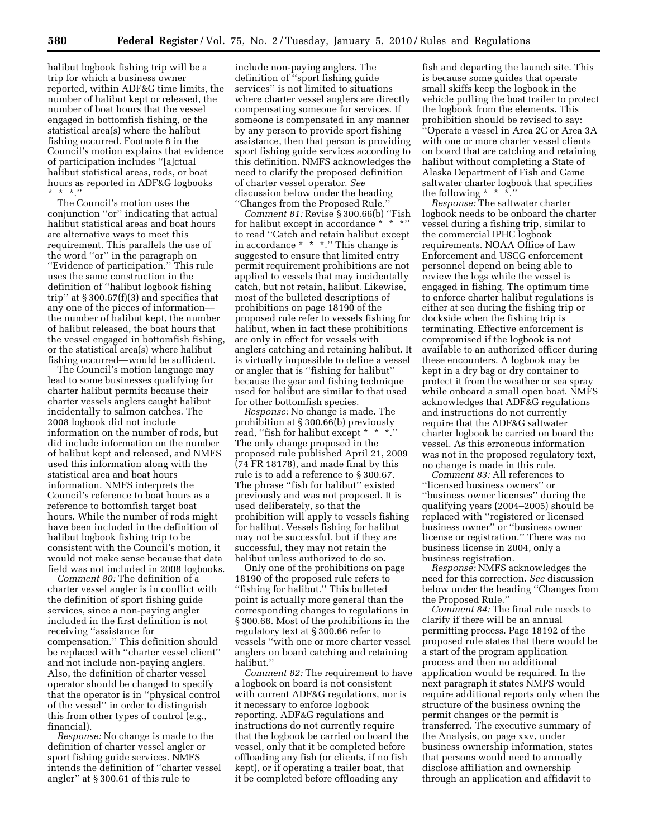halibut logbook fishing trip will be a trip for which a business owner reported, within ADF&G time limits, the number of halibut kept or released, the number of boat hours that the vessel engaged in bottomfish fishing, or the statistical area(s) where the halibut fishing occurred. Footnote 8 in the Council's motion explains that evidence of participation includes ''[a]ctual halibut statistical areas, rods, or boat hours as reported in ADF&G logbooks \* \* \*.''

The Council's motion uses the conjunction ''or'' indicating that actual halibut statistical areas and boat hours are alternative ways to meet this requirement. This parallels the use of the word ''or'' in the paragraph on ''Evidence of participation.'' This rule uses the same construction in the definition of ''halibut logbook fishing trip'' at § 300.67(f)(3) and specifies that any one of the pieces of information the number of halibut kept, the number of halibut released, the boat hours that the vessel engaged in bottomfish fishing, or the statistical area(s) where halibut fishing occurred—would be sufficient.

The Council's motion language may lead to some businesses qualifying for charter halibut permits because their charter vessels anglers caught halibut incidentally to salmon catches. The 2008 logbook did not include information on the number of rods, but did include information on the number of halibut kept and released, and NMFS used this information along with the statistical area and boat hours information. NMFS interprets the Council's reference to boat hours as a reference to bottomfish target boat hours. While the number of rods might have been included in the definition of halibut logbook fishing trip to be consistent with the Council's motion, it would not make sense because that data field was not included in 2008 logbooks.

*Comment 80:* The definition of a charter vessel angler is in conflict with the definition of sport fishing guide services, since a non-paying angler included in the first definition is not receiving ''assistance for compensation.'' This definition should be replaced with ''charter vessel client'' and not include non-paying anglers. Also, the definition of charter vessel operator should be changed to specify that the operator is in ''physical control of the vessel'' in order to distinguish this from other types of control (*e.g.,*  financial).

*Response:* No change is made to the definition of charter vessel angler or sport fishing guide services. NMFS intends the definition of ''charter vessel angler'' at § 300.61 of this rule to

include non-paying anglers. The definition of ''sport fishing guide services'' is not limited to situations where charter vessel anglers are directly compensating someone for services. If someone is compensated in any manner by any person to provide sport fishing assistance, then that person is providing sport fishing guide services according to this definition. NMFS acknowledges the need to clarify the proposed definition of charter vessel operator. *See*  discussion below under the heading ''Changes from the Proposed Rule.''

*Comment 81:* Revise § 300.66(b) ''Fish for halibut except in accordance \* \* to read ''Catch and retain halibut except in accordance \* \* \*.'' This change is suggested to ensure that limited entry permit requirement prohibitions are not applied to vessels that may incidentally catch, but not retain, halibut. Likewise, most of the bulleted descriptions of prohibitions on page 18190 of the proposed rule refer to vessels fishing for halibut, when in fact these prohibitions are only in effect for vessels with anglers catching and retaining halibut. It is virtually impossible to define a vessel or angler that is ''fishing for halibut'' because the gear and fishing technique used for halibut are similar to that used for other bottomfish species.

*Response:* No change is made. The prohibition at § 300.66(b) previously read, ''fish for halibut except \* \* \*.'' The only change proposed in the proposed rule published April 21, 2009 (74 FR 18178), and made final by this rule is to add a reference to § 300.67. The phrase ''fish for halibut'' existed previously and was not proposed. It is used deliberately, so that the prohibition will apply to vessels fishing for halibut. Vessels fishing for halibut may not be successful, but if they are successful, they may not retain the halibut unless authorized to do so.

Only one of the prohibitions on page 18190 of the proposed rule refers to ''fishing for halibut.'' This bulleted point is actually more general than the corresponding changes to regulations in § 300.66. Most of the prohibitions in the regulatory text at § 300.66 refer to vessels ''with one or more charter vessel anglers on board catching and retaining halibut.''

*Comment 82:* The requirement to have a logbook on board is not consistent with current ADF&G regulations, nor is it necessary to enforce logbook reporting. ADF&G regulations and instructions do not currently require that the logbook be carried on board the vessel, only that it be completed before offloading any fish (or clients, if no fish kept), or if operating a trailer boat, that it be completed before offloading any

fish and departing the launch site. This is because some guides that operate small skiffs keep the logbook in the vehicle pulling the boat trailer to protect the logbook from the elements. This prohibition should be revised to say: ''Operate a vessel in Area 2C or Area 3A with one or more charter vessel clients on board that are catching and retaining halibut without completing a State of Alaska Department of Fish and Game saltwater charter logbook that specifies the following \*  $*$  \*  $*$ .

*Response:* The saltwater charter logbook needs to be onboard the charter vessel during a fishing trip, similar to the commercial IPHC logbook requirements. NOAA Office of Law Enforcement and USCG enforcement personnel depend on being able to review the logs while the vessel is engaged in fishing. The optimum time to enforce charter halibut regulations is either at sea during the fishing trip or dockside when the fishing trip is terminating. Effective enforcement is compromised if the logbook is not available to an authorized officer during these encounters. A logbook may be kept in a dry bag or dry container to protect it from the weather or sea spray while onboard a small open boat. NMFS acknowledges that ADF&G regulations and instructions do not currently require that the ADF&G saltwater charter logbook be carried on board the vessel. As this erroneous information was not in the proposed regulatory text, no change is made in this rule.

*Comment 83:* All references to ''licensed business owners'' or ''business owner licenses'' during the qualifying years (2004–2005) should be replaced with ''registered or licensed business owner'' or ''business owner license or registration.'' There was no business license in 2004, only a business registration.

*Response:* NMFS acknowledges the need for this correction. *See* discussion below under the heading ''Changes from the Proposed Rule.''

*Comment 84:* The final rule needs to clarify if there will be an annual permitting process. Page 18192 of the proposed rule states that there would be a start of the program application process and then no additional application would be required. In the next paragraph it states NMFS would require additional reports only when the structure of the business owning the permit changes or the permit is transferred. The executive summary of the Analysis, on page xxv, under business ownership information, states that persons would need to annually disclose affiliation and ownership through an application and affidavit to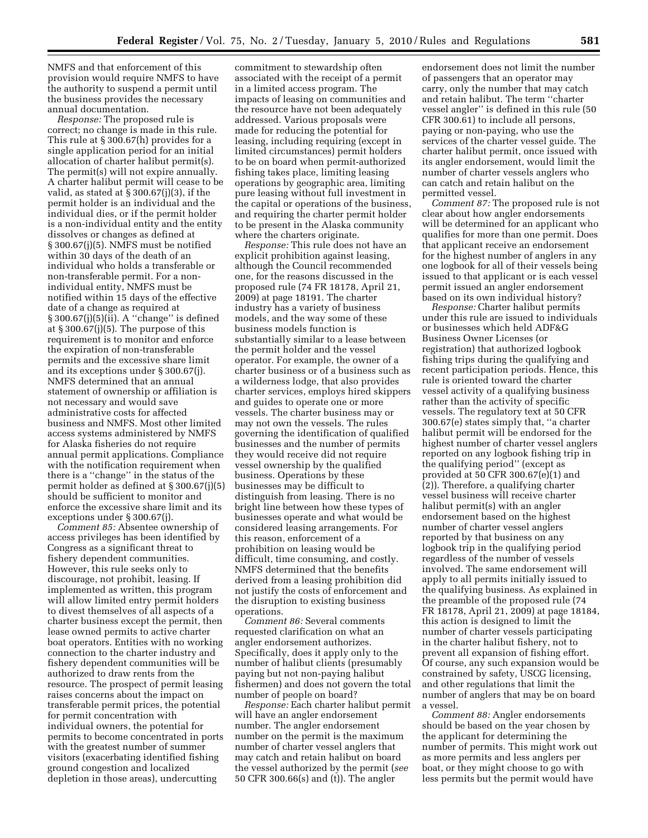NMFS and that enforcement of this provision would require NMFS to have the authority to suspend a permit until the business provides the necessary annual documentation.

*Response:* The proposed rule is correct; no change is made in this rule. This rule at § 300.67(h) provides for a single application period for an initial allocation of charter halibut permit(s). The permit(s) will not expire annually. A charter halibut permit will cease to be valid, as stated at  $\S 300.67(i)(3)$ , if the permit holder is an individual and the individual dies, or if the permit holder is a non-individual entity and the entity dissolves or changes as defined at § 300.67(j)(5). NMFS must be notified within 30 days of the death of an individual who holds a transferable or non-transferable permit. For a nonindividual entity, NMFS must be notified within 15 days of the effective date of a change as required at § 300.67(j)(5)(ii). A ''change'' is defined at  $\S 300.67(j)(5)$ . The purpose of this requirement is to monitor and enforce the expiration of non-transferable permits and the excessive share limit and its exceptions under § 300.67(j). NMFS determined that an annual statement of ownership or affiliation is not necessary and would save administrative costs for affected business and NMFS. Most other limited access systems administered by NMFS for Alaska fisheries do not require annual permit applications. Compliance with the notification requirement when there is a ''change'' in the status of the permit holder as defined at § 300.67(j)(5) should be sufficient to monitor and enforce the excessive share limit and its exceptions under § 300.67(j).

*Comment 85:* Absentee ownership of access privileges has been identified by Congress as a significant threat to fishery dependent communities. However, this rule seeks only to discourage, not prohibit, leasing. If implemented as written, this program will allow limited entry permit holders to divest themselves of all aspects of a charter business except the permit, then lease owned permits to active charter boat operators. Entities with no working connection to the charter industry and fishery dependent communities will be authorized to draw rents from the resource. The prospect of permit leasing raises concerns about the impact on transferable permit prices, the potential for permit concentration with individual owners, the potential for permits to become concentrated in ports with the greatest number of summer visitors (exacerbating identified fishing ground congestion and localized depletion in those areas), undercutting

commitment to stewardship often associated with the receipt of a permit in a limited access program. The impacts of leasing on communities and the resource have not been adequately addressed. Various proposals were made for reducing the potential for leasing, including requiring (except in limited circumstances) permit holders to be on board when permit-authorized fishing takes place, limiting leasing operations by geographic area, limiting pure leasing without full investment in the capital or operations of the business, and requiring the charter permit holder to be present in the Alaska community where the charters originate.

*Response:* This rule does not have an explicit prohibition against leasing, although the Council recommended one, for the reasons discussed in the proposed rule (74 FR 18178, April 21, 2009) at page 18191. The charter industry has a variety of business models, and the way some of these business models function is substantially similar to a lease between the permit holder and the vessel operator. For example, the owner of a charter business or of a business such as a wilderness lodge, that also provides charter services, employs hired skippers and guides to operate one or more vessels. The charter business may or may not own the vessels. The rules governing the identification of qualified businesses and the number of permits they would receive did not require vessel ownership by the qualified business. Operations by these businesses may be difficult to distinguish from leasing. There is no bright line between how these types of businesses operate and what would be considered leasing arrangements. For this reason, enforcement of a prohibition on leasing would be difficult, time consuming, and costly. NMFS determined that the benefits derived from a leasing prohibition did not justify the costs of enforcement and the disruption to existing business operations.

*Comment 86:* Several comments requested clarification on what an angler endorsement authorizes. Specifically, does it apply only to the number of halibut clients (presumably paying but not non-paying halibut fishermen) and does not govern the total number of people on board?

*Response:* Each charter halibut permit will have an angler endorsement number. The angler endorsement number on the permit is the maximum number of charter vessel anglers that may catch and retain halibut on board the vessel authorized by the permit (*see*  50 CFR 300.66(s) and (t)). The angler

endorsement does not limit the number of passengers that an operator may carry, only the number that may catch and retain halibut. The term ''charter vessel angler'' is defined in this rule (50 CFR 300.61) to include all persons, paying or non-paying, who use the services of the charter vessel guide. The charter halibut permit, once issued with its angler endorsement, would limit the number of charter vessels anglers who can catch and retain halibut on the permitted vessel.

*Comment 87:* The proposed rule is not clear about how angler endorsements will be determined for an applicant who qualifies for more than one permit. Does that applicant receive an endorsement for the highest number of anglers in any one logbook for all of their vessels being issued to that applicant or is each vessel permit issued an angler endorsement based on its own individual history?

*Response:* Charter halibut permits under this rule are issued to individuals or businesses which held ADF&G Business Owner Licenses (or registration) that authorized logbook fishing trips during the qualifying and recent participation periods. Hence, this rule is oriented toward the charter vessel activity of a qualifying business rather than the activity of specific vessels. The regulatory text at 50 CFR 300.67(e) states simply that, ''a charter halibut permit will be endorsed for the highest number of charter vessel anglers reported on any logbook fishing trip in the qualifying period'' (except as provided at 50 CFR 300.67(e)(1) and (2)). Therefore, a qualifying charter vessel business will receive charter halibut permit(s) with an angler endorsement based on the highest number of charter vessel anglers reported by that business on any logbook trip in the qualifying period regardless of the number of vessels involved. The same endorsement will apply to all permits initially issued to the qualifying business. As explained in the preamble of the proposed rule (74 FR 18178, April 21, 2009) at page 18184, this action is designed to limit the number of charter vessels participating in the charter halibut fishery, not to prevent all expansion of fishing effort. Of course, any such expansion would be constrained by safety, USCG licensing, and other regulations that limit the number of anglers that may be on board a vessel.

*Comment 88:* Angler endorsements should be based on the year chosen by the applicant for determining the number of permits. This might work out as more permits and less anglers per boat, or they might choose to go with less permits but the permit would have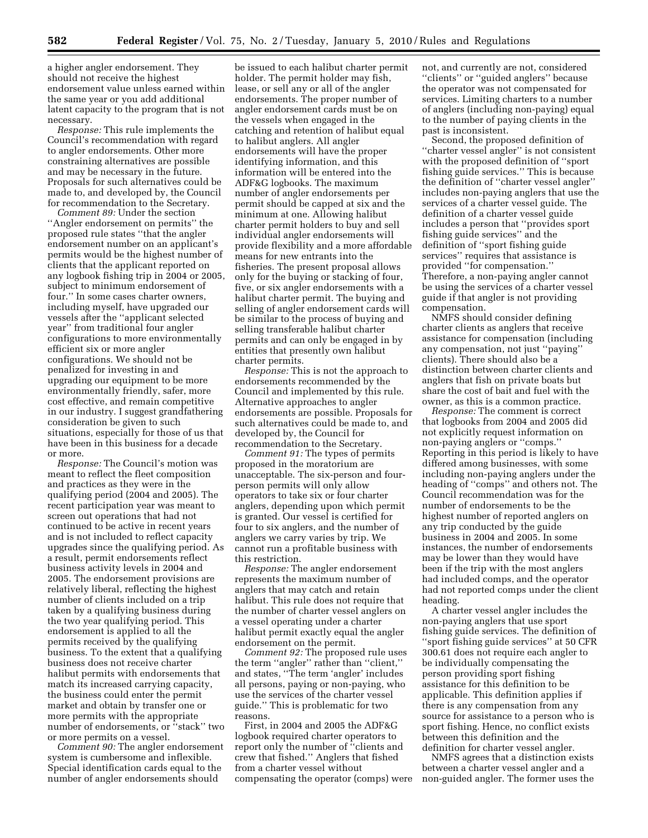a higher angler endorsement. They should not receive the highest endorsement value unless earned within the same year or you add additional latent capacity to the program that is not necessary.

*Response:* This rule implements the Council's recommendation with regard to angler endorsements. Other more constraining alternatives are possible and may be necessary in the future. Proposals for such alternatives could be made to, and developed by, the Council for recommendation to the Secretary.

*Comment 89:* Under the section ''Angler endorsement on permits'' the proposed rule states ''that the angler endorsement number on an applicant's permits would be the highest number of clients that the applicant reported on any logbook fishing trip in 2004 or 2005, subject to minimum endorsement of four.'' In some cases charter owners, including myself, have upgraded our vessels after the ''applicant selected year'' from traditional four angler configurations to more environmentally efficient six or more angler configurations. We should not be penalized for investing in and upgrading our equipment to be more environmentally friendly, safer, more cost effective, and remain competitive in our industry. I suggest grandfathering consideration be given to such situations, especially for those of us that have been in this business for a decade or more.

*Response:* The Council's motion was meant to reflect the fleet composition and practices as they were in the qualifying period (2004 and 2005). The recent participation year was meant to screen out operations that had not continued to be active in recent years and is not included to reflect capacity upgrades since the qualifying period. As a result, permit endorsements reflect business activity levels in 2004 and 2005. The endorsement provisions are relatively liberal, reflecting the highest number of clients included on a trip taken by a qualifying business during the two year qualifying period. This endorsement is applied to all the permits received by the qualifying business. To the extent that a qualifying business does not receive charter halibut permits with endorsements that match its increased carrying capacity, the business could enter the permit market and obtain by transfer one or more permits with the appropriate number of endorsements, or ''stack'' two or more permits on a vessel.

*Comment 90:* The angler endorsement system is cumbersome and inflexible. Special identification cards equal to the number of angler endorsements should

be issued to each halibut charter permit holder. The permit holder may fish, lease, or sell any or all of the angler endorsements. The proper number of angler endorsement cards must be on the vessels when engaged in the catching and retention of halibut equal to halibut anglers. All angler endorsements will have the proper identifying information, and this information will be entered into the ADF&G logbooks. The maximum number of angler endorsements per permit should be capped at six and the minimum at one. Allowing halibut charter permit holders to buy and sell individual angler endorsements will provide flexibility and a more affordable means for new entrants into the fisheries. The present proposal allows only for the buying or stacking of four, five, or six angler endorsements with a halibut charter permit. The buying and selling of angler endorsement cards will be similar to the process of buying and selling transferable halibut charter permits and can only be engaged in by entities that presently own halibut charter permits.

*Response:* This is not the approach to endorsements recommended by the Council and implemented by this rule. Alternative approaches to angler endorsements are possible. Proposals for such alternatives could be made to, and developed by, the Council for recommendation to the Secretary.

*Comment 91:* The types of permits proposed in the moratorium are unacceptable. The six-person and fourperson permits will only allow operators to take six or four charter anglers, depending upon which permit is granted. Our vessel is certified for four to six anglers, and the number of anglers we carry varies by trip. We cannot run a profitable business with this restriction.

*Response:* The angler endorsement represents the maximum number of anglers that may catch and retain halibut. This rule does not require that the number of charter vessel anglers on a vessel operating under a charter halibut permit exactly equal the angler endorsement on the permit.

*Comment 92:* The proposed rule uses the term ''angler'' rather than ''client,'' and states, ''The term 'angler' includes all persons, paying or non-paying, who use the services of the charter vessel guide.'' This is problematic for two reasons.

First, in 2004 and 2005 the ADF&G logbook required charter operators to report only the number of ''clients and crew that fished.'' Anglers that fished from a charter vessel without compensating the operator (comps) were not, and currently are not, considered ''clients'' or ''guided anglers'' because the operator was not compensated for services. Limiting charters to a number of anglers (including non-paying) equal to the number of paying clients in the past is inconsistent.

Second, the proposed definition of "charter vessel angler" is not consistent with the proposed definition of ''sport fishing guide services.'' This is because the definition of ''charter vessel angler'' includes non-paying anglers that use the services of a charter vessel guide. The definition of a charter vessel guide includes a person that ''provides sport fishing guide services'' and the definition of ''sport fishing guide services'' requires that assistance is provided ''for compensation.'' Therefore, a non-paying angler cannot be using the services of a charter vessel guide if that angler is not providing compensation.

NMFS should consider defining charter clients as anglers that receive assistance for compensation (including any compensation, not just ''paying'' clients). There should also be a distinction between charter clients and anglers that fish on private boats but share the cost of bait and fuel with the owner, as this is a common practice.

*Response:* The comment is correct that logbooks from 2004 and 2005 did not explicitly request information on non-paying anglers or ''comps.'' Reporting in this period is likely to have differed among businesses, with some including non-paying anglers under the heading of ''comps'' and others not. The Council recommendation was for the number of endorsements to be the highest number of reported anglers on any trip conducted by the guide business in 2004 and 2005. In some instances, the number of endorsements may be lower than they would have been if the trip with the most anglers had included comps, and the operator had not reported comps under the client heading.

A charter vessel angler includes the non-paying anglers that use sport fishing guide services. The definition of ''sport fishing guide services'' at 50 CFR 300.61 does not require each angler to be individually compensating the person providing sport fishing assistance for this definition to be applicable. This definition applies if there is any compensation from any source for assistance to a person who is sport fishing. Hence, no conflict exists between this definition and the definition for charter vessel angler.

NMFS agrees that a distinction exists between a charter vessel angler and a non-guided angler. The former uses the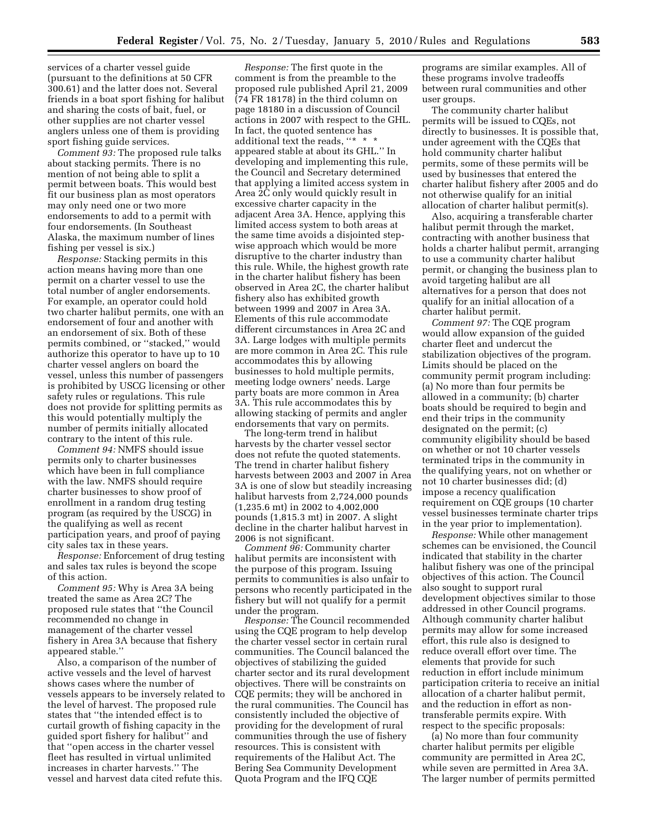services of a charter vessel guide (pursuant to the definitions at 50 CFR 300.61) and the latter does not. Several friends in a boat sport fishing for halibut and sharing the costs of bait, fuel, or other supplies are not charter vessel anglers unless one of them is providing sport fishing guide services.

*Comment 93:* The proposed rule talks about stacking permits. There is no mention of not being able to split a permit between boats. This would best fit our business plan as most operators may only need one or two more endorsements to add to a permit with four endorsements. (In Southeast Alaska, the maximum number of lines fishing per vessel is six.)

*Response:* Stacking permits in this action means having more than one permit on a charter vessel to use the total number of angler endorsements. For example, an operator could hold two charter halibut permits, one with an endorsement of four and another with an endorsement of six. Both of these permits combined, or ''stacked,'' would authorize this operator to have up to 10 charter vessel anglers on board the vessel, unless this number of passengers is prohibited by USCG licensing or other safety rules or regulations. This rule does not provide for splitting permits as this would potentially multiply the number of permits initially allocated contrary to the intent of this rule.

*Comment 94:* NMFS should issue permits only to charter businesses which have been in full compliance with the law. NMFS should require charter businesses to show proof of enrollment in a random drug testing program (as required by the USCG) in the qualifying as well as recent participation years, and proof of paying city sales tax in these years.

*Response:* Enforcement of drug testing and sales tax rules is beyond the scope of this action.

*Comment 95:* Why is Area 3A being treated the same as Area 2C? The proposed rule states that ''the Council recommended no change in management of the charter vessel fishery in Area 3A because that fishery appeared stable.''

Also, a comparison of the number of active vessels and the level of harvest shows cases where the number of vessels appears to be inversely related to the level of harvest. The proposed rule states that ''the intended effect is to curtail growth of fishing capacity in the guided sport fishery for halibut'' and that ''open access in the charter vessel fleet has resulted in virtual unlimited increases in charter harvests.'' The vessel and harvest data cited refute this.

*Response:* The first quote in the comment is from the preamble to the proposed rule published April 21, 2009 (74 FR 18178) in the third column on page 18180 in a discussion of Council actions in 2007 with respect to the GHL. In fact, the quoted sentence has additional text the reads, ''\*  $*$  ' appeared stable at about its GHL.'' In developing and implementing this rule, the Council and Secretary determined that applying a limited access system in Area 2C only would quickly result in excessive charter capacity in the adjacent Area 3A. Hence, applying this limited access system to both areas at the same time avoids a disjointed stepwise approach which would be more disruptive to the charter industry than this rule. While, the highest growth rate in the charter halibut fishery has been observed in Area 2C, the charter halibut fishery also has exhibited growth between 1999 and 2007 in Area 3A. Elements of this rule accommodate different circumstances in Area 2C and 3A. Large lodges with multiple permits are more common in Area 2C. This rule accommodates this by allowing businesses to hold multiple permits, meeting lodge owners' needs. Large party boats are more common in Area 3A. This rule accommodates this by allowing stacking of permits and angler endorsements that vary on permits.

The long-term trend in halibut harvests by the charter vessel sector does not refute the quoted statements. The trend in charter halibut fishery harvests between 2003 and 2007 in Area 3A is one of slow but steadily increasing halibut harvests from 2,724,000 pounds (1,235.6 mt) in 2002 to 4,002,000 pounds (1,815.3 mt) in 2007. A slight decline in the charter halibut harvest in 2006 is not significant.

*Comment 96:* Community charter halibut permits are inconsistent with the purpose of this program. Issuing permits to communities is also unfair to persons who recently participated in the fishery but will not qualify for a permit under the program.

*Response:* The Council recommended using the CQE program to help develop the charter vessel sector in certain rural communities. The Council balanced the objectives of stabilizing the guided charter sector and its rural development objectives. There will be constraints on CQE permits; they will be anchored in the rural communities. The Council has consistently included the objective of providing for the development of rural communities through the use of fishery resources. This is consistent with requirements of the Halibut Act. The Bering Sea Community Development Quota Program and the IFQ CQE

programs are similar examples. All of these programs involve tradeoffs between rural communities and other user groups.

The community charter halibut permits will be issued to CQEs, not directly to businesses. It is possible that, under agreement with the CQEs that hold community charter halibut permits, some of these permits will be used by businesses that entered the charter halibut fishery after 2005 and do not otherwise qualify for an initial allocation of charter halibut permit(s).

Also, acquiring a transferable charter halibut permit through the market, contracting with another business that holds a charter halibut permit, arranging to use a community charter halibut permit, or changing the business plan to avoid targeting halibut are all alternatives for a person that does not qualify for an initial allocation of a charter halibut permit.

*Comment 97:* The CQE program would allow expansion of the guided charter fleet and undercut the stabilization objectives of the program. Limits should be placed on the community permit program including: (a) No more than four permits be allowed in a community; (b) charter boats should be required to begin and end their trips in the community designated on the permit; (c) community eligibility should be based on whether or not 10 charter vessels terminated trips in the community in the qualifying years, not on whether or not 10 charter businesses did; (d) impose a recency qualification requirement on CQE groups (10 charter vessel businesses terminate charter trips in the year prior to implementation).

*Response:* While other management schemes can be envisioned, the Council indicated that stability in the charter halibut fishery was one of the principal objectives of this action. The Council also sought to support rural development objectives similar to those addressed in other Council programs. Although community charter halibut permits may allow for some increased effort, this rule also is designed to reduce overall effort over time. The elements that provide for such reduction in effort include minimum participation criteria to receive an initial allocation of a charter halibut permit, and the reduction in effort as nontransferable permits expire. With respect to the specific proposals:

(a) No more than four community charter halibut permits per eligible community are permitted in Area 2C, while seven are permitted in Area 3A. The larger number of permits permitted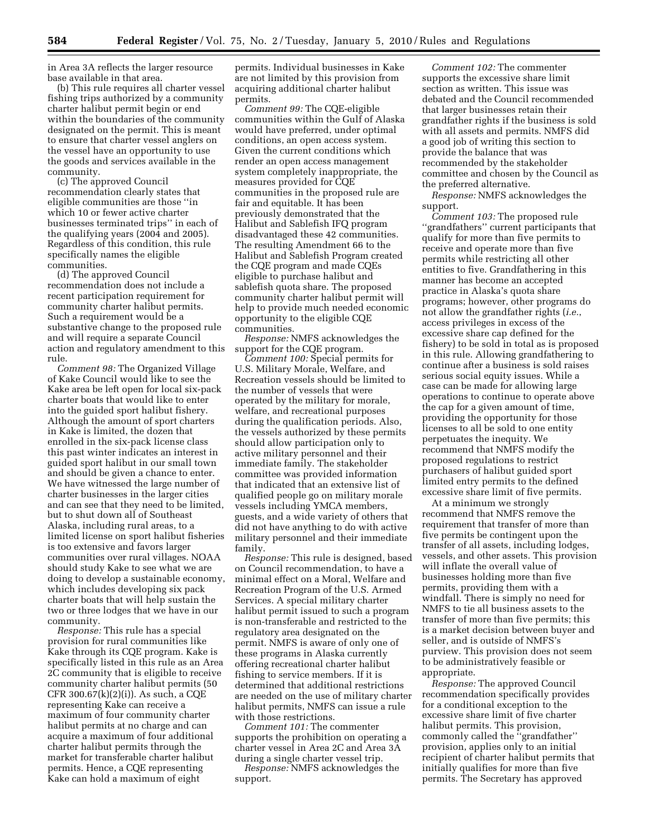in Area 3A reflects the larger resource base available in that area.

(b) This rule requires all charter vessel fishing trips authorized by a community charter halibut permit begin or end within the boundaries of the community designated on the permit. This is meant to ensure that charter vessel anglers on the vessel have an opportunity to use the goods and services available in the community.

(c) The approved Council recommendation clearly states that eligible communities are those ''in which 10 or fewer active charter businesses terminated trips'' in each of the qualifying years (2004 and 2005). Regardless of this condition, this rule specifically names the eligible communities.

(d) The approved Council recommendation does not include a recent participation requirement for community charter halibut permits. Such a requirement would be a substantive change to the proposed rule and will require a separate Council action and regulatory amendment to this rule.

*Comment 98:* The Organized Village of Kake Council would like to see the Kake area be left open for local six-pack charter boats that would like to enter into the guided sport halibut fishery. Although the amount of sport charters in Kake is limited, the dozen that enrolled in the six-pack license class this past winter indicates an interest in guided sport halibut in our small town and should be given a chance to enter. We have witnessed the large number of charter businesses in the larger cities and can see that they need to be limited, but to shut down all of Southeast Alaska, including rural areas, to a limited license on sport halibut fisheries is too extensive and favors larger communities over rural villages. NOAA should study Kake to see what we are doing to develop a sustainable economy, which includes developing six pack charter boats that will help sustain the two or three lodges that we have in our community.

*Response:* This rule has a special provision for rural communities like Kake through its CQE program. Kake is specifically listed in this rule as an Area 2C community that is eligible to receive community charter halibut permits (50 CFR 300.67(k)(2)(i)). As such, a CQE representing Kake can receive a maximum of four community charter halibut permits at no charge and can acquire a maximum of four additional charter halibut permits through the market for transferable charter halibut permits. Hence, a CQE representing Kake can hold a maximum of eight

permits. Individual businesses in Kake are not limited by this provision from acquiring additional charter halibut permits.

*Comment 99:* The CQE-eligible communities within the Gulf of Alaska would have preferred, under optimal conditions, an open access system. Given the current conditions which render an open access management system completely inappropriate, the measures provided for CQE communities in the proposed rule are fair and equitable. It has been previously demonstrated that the Halibut and Sablefish IFQ program disadvantaged these 42 communities. The resulting Amendment 66 to the Halibut and Sablefish Program created the CQE program and made CQEs eligible to purchase halibut and sablefish quota share. The proposed community charter halibut permit will help to provide much needed economic opportunity to the eligible CQE communities.

*Response:* NMFS acknowledges the support for the CQE program.

*Comment 100:* Special permits for U.S. Military Morale, Welfare, and Recreation vessels should be limited to the number of vessels that were operated by the military for morale, welfare, and recreational purposes during the qualification periods. Also, the vessels authorized by these permits should allow participation only to active military personnel and their immediate family. The stakeholder committee was provided information that indicated that an extensive list of qualified people go on military morale vessels including YMCA members, guests, and a wide variety of others that did not have anything to do with active military personnel and their immediate family.

*Response:* This rule is designed, based on Council recommendation, to have a minimal effect on a Moral, Welfare and Recreation Program of the U.S. Armed Services. A special military charter halibut permit issued to such a program is non-transferable and restricted to the regulatory area designated on the permit. NMFS is aware of only one of these programs in Alaska currently offering recreational charter halibut fishing to service members. If it is determined that additional restrictions are needed on the use of military charter halibut permits, NMFS can issue a rule with those restrictions.

*Comment 101:* The commenter supports the prohibition on operating a charter vessel in Area 2C and Area 3A during a single charter vessel trip.

*Response:* NMFS acknowledges the support.

*Comment 102:* The commenter supports the excessive share limit section as written. This issue was debated and the Council recommended that larger businesses retain their grandfather rights if the business is sold with all assets and permits. NMFS did a good job of writing this section to provide the balance that was recommended by the stakeholder committee and chosen by the Council as the preferred alternative.

*Response:* NMFS acknowledges the support.

*Comment 103:* The proposed rule ''grandfathers'' current participants that qualify for more than five permits to receive and operate more than five permits while restricting all other entities to five. Grandfathering in this manner has become an accepted practice in Alaska's quota share programs; however, other programs do not allow the grandfather rights (*i.e.*, access privileges in excess of the excessive share cap defined for the fishery) to be sold in total as is proposed in this rule. Allowing grandfathering to continue after a business is sold raises serious social equity issues. While a case can be made for allowing large operations to continue to operate above the cap for a given amount of time, providing the opportunity for those licenses to all be sold to one entity perpetuates the inequity. We recommend that NMFS modify the proposed regulations to restrict purchasers of halibut guided sport limited entry permits to the defined excessive share limit of five permits.

At a minimum we strongly recommend that NMFS remove the requirement that transfer of more than five permits be contingent upon the transfer of all assets, including lodges, vessels, and other assets. This provision will inflate the overall value of businesses holding more than five permits, providing them with a windfall. There is simply no need for NMFS to tie all business assets to the transfer of more than five permits; this is a market decision between buyer and seller, and is outside of NMFS's purview. This provision does not seem to be administratively feasible or appropriate.

*Response:* The approved Council recommendation specifically provides for a conditional exception to the excessive share limit of five charter halibut permits. This provision, commonly called the ''grandfather'' provision, applies only to an initial recipient of charter halibut permits that initially qualifies for more than five permits. The Secretary has approved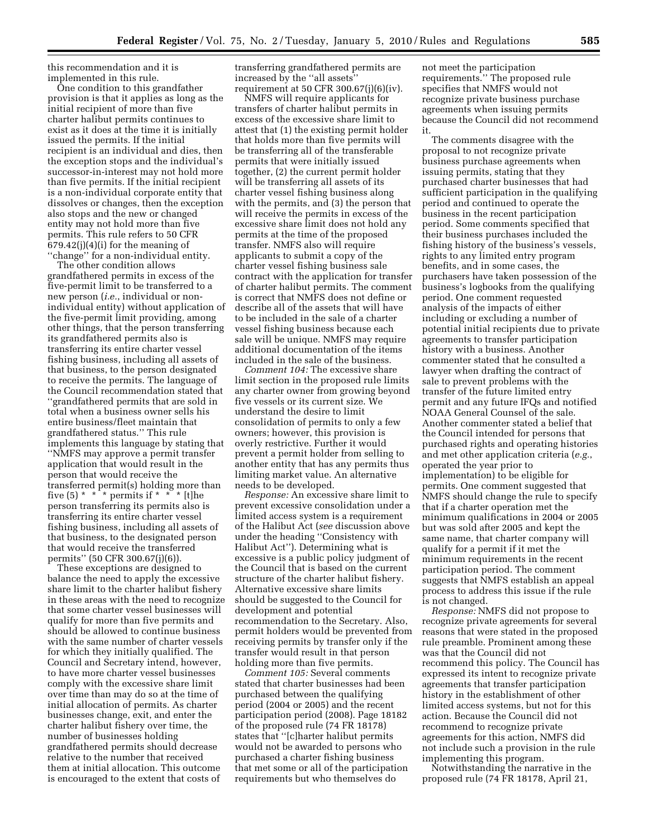this recommendation and it is implemented in this rule.

One condition to this grandfather provision is that it applies as long as the initial recipient of more than five charter halibut permits continues to exist as it does at the time it is initially issued the permits. If the initial recipient is an individual and dies, then the exception stops and the individual's successor-in-interest may not hold more than five permits. If the initial recipient is a non-individual corporate entity that dissolves or changes, then the exception also stops and the new or changed entity may not hold more than five permits. This rule refers to 50 CFR  $679.42(j)(4)(i)$  for the meaning of ''change'' for a non-individual entity.

The other condition allows grandfathered permits in excess of the five-permit limit to be transferred to a new person (*i.e.*, individual or nonindividual entity) without application of the five-permit limit providing, among other things, that the person transferring its grandfathered permits also is transferring its entire charter vessel fishing business, including all assets of that business, to the person designated to receive the permits. The language of the Council recommendation stated that ''grandfathered permits that are sold in total when a business owner sells his entire business/fleet maintain that grandfathered status.'' This rule implements this language by stating that ''NMFS may approve a permit transfer application that would result in the person that would receive the transferred permit(s) holding more than five  $(5)$  \* \* \* permits if \* \* \* [t]he person transferring its permits also is transferring its entire charter vessel fishing business, including all assets of that business, to the designated person that would receive the transferred permits'' (50 CFR 300.67(j)(6)).

These exceptions are designed to balance the need to apply the excessive share limit to the charter halibut fishery in these areas with the need to recognize that some charter vessel businesses will qualify for more than five permits and should be allowed to continue business with the same number of charter vessels for which they initially qualified. The Council and Secretary intend, however, to have more charter vessel businesses comply with the excessive share limit over time than may do so at the time of initial allocation of permits. As charter businesses change, exit, and enter the charter halibut fishery over time, the number of businesses holding grandfathered permits should decrease relative to the number that received them at initial allocation. This outcome is encouraged to the extent that costs of

transferring grandfathered permits are increased by the ''all assets'' requirement at 50 CFR 300.67(j)(6)(iv).

NMFS will require applicants for transfers of charter halibut permits in excess of the excessive share limit to attest that (1) the existing permit holder that holds more than five permits will be transferring all of the transferable permits that were initially issued together, (2) the current permit holder will be transferring all assets of its charter vessel fishing business along with the permits, and (3) the person that will receive the permits in excess of the excessive share limit does not hold any permits at the time of the proposed transfer. NMFS also will require applicants to submit a copy of the charter vessel fishing business sale contract with the application for transfer of charter halibut permits. The comment is correct that NMFS does not define or describe all of the assets that will have to be included in the sale of a charter vessel fishing business because each sale will be unique. NMFS may require additional documentation of the items included in the sale of the business.

*Comment 104:* The excessive share limit section in the proposed rule limits any charter owner from growing beyond five vessels or its current size. We understand the desire to limit consolidation of permits to only a few owners; however, this provision is overly restrictive. Further it would prevent a permit holder from selling to another entity that has any permits thus limiting market value. An alternative needs to be developed.

*Response:* An excessive share limit to prevent excessive consolidation under a limited access system is a requirement of the Halibut Act (*see* discussion above under the heading ''Consistency with Halibut Act''). Determining what is excessive is a public policy judgment of the Council that is based on the current structure of the charter halibut fishery. Alternative excessive share limits should be suggested to the Council for development and potential recommendation to the Secretary. Also, permit holders would be prevented from receiving permits by transfer only if the transfer would result in that person holding more than five permits.

*Comment 105:* Several comments stated that charter businesses had been purchased between the qualifying period (2004 or 2005) and the recent participation period (2008). Page 18182 of the proposed rule (74 FR 18178) states that ''[c]harter halibut permits would not be awarded to persons who purchased a charter fishing business that met some or all of the participation requirements but who themselves do

not meet the participation requirements.'' The proposed rule specifies that NMFS would not recognize private business purchase agreements when issuing permits because the Council did not recommend it.

The comments disagree with the proposal to not recognize private business purchase agreements when issuing permits, stating that they purchased charter businesses that had sufficient participation in the qualifying period and continued to operate the business in the recent participation period. Some comments specified that their business purchases included the fishing history of the business's vessels, rights to any limited entry program benefits, and in some cases, the purchasers have taken possession of the business's logbooks from the qualifying period. One comment requested analysis of the impacts of either including or excluding a number of potential initial recipients due to private agreements to transfer participation history with a business. Another commenter stated that he consulted a lawyer when drafting the contract of sale to prevent problems with the transfer of the future limited entry permit and any future IFQs and notified NOAA General Counsel of the sale. Another commenter stated a belief that the Council intended for persons that purchased rights and operating histories and met other application criteria (*e.g.*, operated the year prior to implementation) to be eligible for permits. One comment suggested that NMFS should change the rule to specify that if a charter operation met the minimum qualifications in 2004 or 2005 but was sold after 2005 and kept the same name, that charter company will qualify for a permit if it met the minimum requirements in the recent participation period. The comment suggests that NMFS establish an appeal process to address this issue if the rule is not changed.

*Response:* NMFS did not propose to recognize private agreements for several reasons that were stated in the proposed rule preamble. Prominent among these was that the Council did not recommend this policy. The Council has expressed its intent to recognize private agreements that transfer participation history in the establishment of other limited access systems, but not for this action. Because the Council did not recommend to recognize private agreements for this action, NMFS did not include such a provision in the rule implementing this program.

Notwithstanding the narrative in the proposed rule (74 FR 18178, April 21,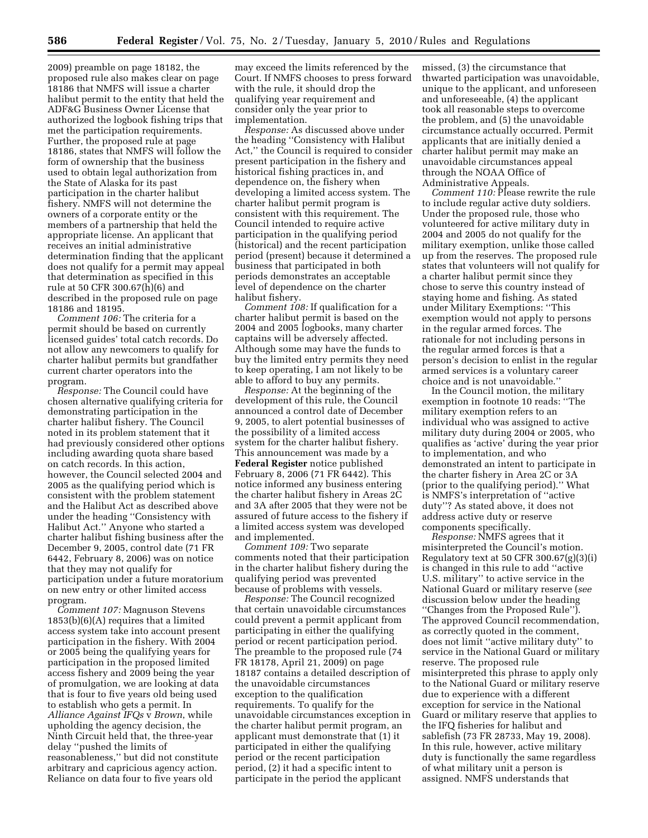2009) preamble on page 18182, the proposed rule also makes clear on page 18186 that NMFS will issue a charter halibut permit to the entity that held the ADF&G Business Owner License that authorized the logbook fishing trips that met the participation requirements. Further, the proposed rule at page 18186, states that NMFS will follow the form of ownership that the business used to obtain legal authorization from the State of Alaska for its past participation in the charter halibut fishery. NMFS will not determine the owners of a corporate entity or the members of a partnership that held the appropriate license. An applicant that receives an initial administrative determination finding that the applicant does not qualify for a permit may appeal that determination as specified in this rule at 50 CFR 300.67(h)(6) and described in the proposed rule on page 18186 and 18195.

*Comment 106:* The criteria for a permit should be based on currently licensed guides' total catch records. Do not allow any newcomers to qualify for charter halibut permits but grandfather current charter operators into the program.

*Response:* The Council could have chosen alternative qualifying criteria for demonstrating participation in the charter halibut fishery. The Council noted in its problem statement that it had previously considered other options including awarding quota share based on catch records. In this action, however, the Council selected 2004 and 2005 as the qualifying period which is consistent with the problem statement and the Halibut Act as described above under the heading ''Consistency with Halibut Act.'' Anyone who started a charter halibut fishing business after the December 9, 2005, control date (71 FR 6442, February 8, 2006) was on notice that they may not qualify for participation under a future moratorium on new entry or other limited access program.

*Comment 107:* Magnuson Stevens 1853(b)(6)(A) requires that a limited access system take into account present participation in the fishery. With 2004 or 2005 being the qualifying years for participation in the proposed limited access fishery and 2009 being the year of promulgation, we are looking at data that is four to five years old being used to establish who gets a permit. In *Alliance Against IFQs* v *Brown*, while upholding the agency decision, the Ninth Circuit held that, the three-year delay ''pushed the limits of reasonableness,'' but did not constitute arbitrary and capricious agency action. Reliance on data four to five years old

may exceed the limits referenced by the Court. If NMFS chooses to press forward with the rule, it should drop the qualifying year requirement and consider only the year prior to implementation.

*Response:* As discussed above under the heading ''Consistency with Halibut Act,'' the Council is required to consider present participation in the fishery and historical fishing practices in, and dependence on, the fishery when developing a limited access system. The charter halibut permit program is consistent with this requirement. The Council intended to require active participation in the qualifying period (historical) and the recent participation period (present) because it determined a business that participated in both periods demonstrates an acceptable level of dependence on the charter halibut fishery.

*Comment 108:* If qualification for a charter halibut permit is based on the 2004 and 2005 logbooks, many charter captains will be adversely affected. Although some may have the funds to buy the limited entry permits they need to keep operating, I am not likely to be able to afford to buy any permits.

*Response:* At the beginning of the development of this rule, the Council announced a control date of December 9, 2005, to alert potential businesses of the possibility of a limited access system for the charter halibut fishery. This announcement was made by a **Federal Register** notice published February 8, 2006 (71 FR 6442). This notice informed any business entering the charter halibut fishery in Areas 2C and 3A after 2005 that they were not be assured of future access to the fishery if a limited access system was developed and implemented.

*Comment 109:* Two separate comments noted that their participation in the charter halibut fishery during the qualifying period was prevented because of problems with vessels.

*Response:* The Council recognized that certain unavoidable circumstances could prevent a permit applicant from participating in either the qualifying period or recent participation period. The preamble to the proposed rule (74 FR 18178, April 21, 2009) on page 18187 contains a detailed description of the unavoidable circumstances exception to the qualification requirements. To qualify for the unavoidable circumstances exception in the charter halibut permit program, an applicant must demonstrate that (1) it participated in either the qualifying period or the recent participation period, (2) it had a specific intent to participate in the period the applicant

missed, (3) the circumstance that thwarted participation was unavoidable, unique to the applicant, and unforeseen and unforeseeable, (4) the applicant took all reasonable steps to overcome the problem, and (5) the unavoidable circumstance actually occurred. Permit applicants that are initially denied a charter halibut permit may make an unavoidable circumstances appeal through the NOAA Office of Administrative Appeals.

*Comment 110:* Please rewrite the rule to include regular active duty soldiers. Under the proposed rule, those who volunteered for active military duty in 2004 and 2005 do not qualify for the military exemption, unlike those called up from the reserves. The proposed rule states that volunteers will not qualify for a charter halibut permit since they chose to serve this country instead of staying home and fishing. As stated under Military Exemptions: ''This exemption would not apply to persons in the regular armed forces. The rationale for not including persons in the regular armed forces is that a person's decision to enlist in the regular armed services is a voluntary career choice and is not unavoidable.''

In the Council motion, the military exemption in footnote 10 reads: ''The military exemption refers to an individual who was assigned to active military duty during 2004 or 2005, who qualifies as 'active' during the year prior to implementation, and who demonstrated an intent to participate in the charter fishery in Area 2C or 3A (prior to the qualifying period).'' What is NMFS's interpretation of ''active duty''? As stated above, it does not address active duty or reserve components specifically.

*Response:* NMFS agrees that it misinterpreted the Council's motion. Regulatory text at 50 CFR 300.67(g)(3)(i) is changed in this rule to add ''active U.S. military'' to active service in the National Guard or military reserve (*see*  discussion below under the heading ''Changes from the Proposed Rule''). The approved Council recommendation, as correctly quoted in the comment, does not limit ''active military duty'' to service in the National Guard or military reserve. The proposed rule misinterpreted this phrase to apply only to the National Guard or military reserve due to experience with a different exception for service in the National Guard or military reserve that applies to the IFQ fisheries for halibut and sablefish (73 FR 28733, May 19, 2008). In this rule, however, active military duty is functionally the same regardless of what military unit a person is assigned. NMFS understands that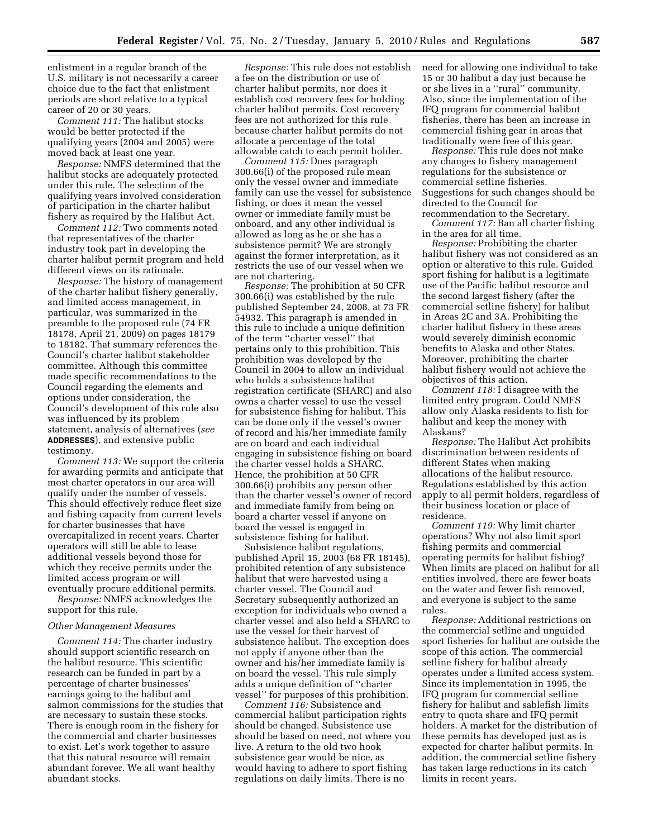enlistment in a regular branch of the U.S. military is not necessarily a career choice due to the fact that enlistment periods are short relative to a typical career of 20 or 30 years.

*Comment 111:* The halibut stocks would be better protected if the qualifying years (2004 and 2005) were moved back at least one year.

*Response:* NMFS determined that the halibut stocks are adequately protected under this rule. The selection of the qualifying years involved consideration of participation in the charter halibut fishery as required by the Halibut Act.

*Comment 112:* Two comments noted that representatives of the charter industry took part in developing the charter halibut permit program and held different views on its rationale.

*Response:* The history of management of the charter halibut fishery generally, and limited access management, in particular, was summarized in the preamble to the proposed rule (74 FR 18178, April 21, 2009) on pages 18179 to 18182. That summary references the Council's charter halibut stakeholder committee. Although this committee made specific recommendations to the Council regarding the elements and options under consideration, the Council's development of this rule also was influenced by its problem statement, analysis of alternatives (*see*  **ADDRESSES**), and extensive public testimony.

*Comment 113:* We support the criteria for awarding permits and anticipate that most charter operators in our area will qualify under the number of vessels. This should effectively reduce fleet size and fishing capacity from current levels for charter businesses that have overcapitalized in recent years. Charter operators will still be able to lease additional vessels beyond those for which they receive permits under the limited access program or will eventually procure additional permits.

*Response:* NMFS acknowledges the support for this rule.

#### *Other Management Measures*

*Comment 114:* The charter industry should support scientific research on the halibut resource. This scientific research can be funded in part by a percentage of charter businesses' earnings going to the halibut and salmon commissions for the studies that are necessary to sustain these stocks. There is enough room in the fishery for the commercial and charter businesses to exist. Let's work together to assure that this natural resource will remain abundant forever. We all want healthy abundant stocks.

*Response:* This rule does not establish a fee on the distribution or use of charter halibut permits, nor does it establish cost recovery fees for holding charter halibut permits. Cost recovery fees are not authorized for this rule because charter halibut permits do not allocate a percentage of the total allowable catch to each permit holder.

*Comment 115:* Does paragraph 300.66(i) of the proposed rule mean only the vessel owner and immediate family can use the vessel for subsistence fishing, or does it mean the vessel owner or immediate family must be onboard, and any other individual is allowed as long as he or she has a subsistence permit? We are strongly against the former interpretation, as it restricts the use of our vessel when we are not chartering.

*Response:* The prohibition at 50 CFR 300.66(i) was established by the rule published September 24, 2008, at 73 FR 54932. This paragraph is amended in this rule to include a unique definition of the term ''charter vessel'' that pertains only to this prohibition. This prohibition was developed by the Council in 2004 to allow an individual who holds a subsistence halibut registration certificate (SHARC) and also owns a charter vessel to use the vessel for subsistence fishing for halibut. This can be done only if the vessel's owner of record and his/her immediate family are on board and each individual engaging in subsistence fishing on board the charter vessel holds a SHARC. Hence, the prohibition at 50 CFR 300.66(i) prohibits any person other than the charter vessel's owner of record and immediate family from being on board a charter vessel if anyone on board the vessel is engaged in subsistence fishing for halibut.

Subsistence halibut regulations, published April 15, 2003 (68 FR 18145), prohibited retention of any subsistence halibut that were harvested using a charter vessel. The Council and Secretary subsequently authorized an exception for individuals who owned a charter vessel and also held a SHARC to use the vessel for their harvest of subsistence halibut. The exception does not apply if anyone other than the owner and his/her immediate family is on board the vessel. This rule simply adds a unique definition of ''charter vessel'' for purposes of this prohibition.

*Comment 116:* Subsistence and commercial halibut participation rights should be changed. Subsistence use should be based on need, not where you live. A return to the old two hook subsistence gear would be nice, as would having to adhere to sport fishing regulations on daily limits. There is no

need for allowing one individual to take 15 or 30 halibut a day just because he or she lives in a ''rural'' community. Also, since the implementation of the IFQ program for commercial halibut fisheries, there has been an increase in commercial fishing gear in areas that traditionally were free of this gear.

*Response:* This rule does not make any changes to fishery management regulations for the subsistence or commercial setline fisheries. Suggestions for such changes should be directed to the Council for recommendation to the Secretary.

*Comment 117:* Ban all charter fishing in the area for all time.

*Response:* Prohibiting the charter halibut fishery was not considered as an option or alterative to this rule. Guided sport fishing for halibut is a legitimate use of the Pacific halibut resource and the second largest fishery (after the commercial setline fishery) for halibut in Areas 2C and 3A. Prohibiting the charter halibut fishery in these areas would severely diminish economic benefits to Alaska and other States. Moreover, prohibiting the charter halibut fishery would not achieve the objectives of this action.

*Comment 118:* I disagree with the limited entry program. Could NMFS allow only Alaska residents to fish for halibut and keep the money with Alaskans?

*Response:* The Halibut Act prohibits discrimination between residents of different States when making allocations of the halibut resource. Regulations established by this action apply to all permit holders, regardless of their business location or place of residence.

*Comment 119:* Why limit charter operations? Why not also limit sport fishing permits and commercial operating permits for halibut fishing? When limits are placed on halibut for all entities involved, there are fewer boats on the water and fewer fish removed, and everyone is subject to the same rules.

*Response:* Additional restrictions on the commercial setline and unguided sport fisheries for halibut are outside the scope of this action. The commercial setline fishery for halibut already operates under a limited access system. Since its implementation in 1995, the IFQ program for commercial setline fishery for halibut and sablefish limits entry to quota share and IFQ permit holders. A market for the distribution of these permits has developed just as is expected for charter halibut permits. In addition, the commercial setline fishery has taken large reductions in its catch limits in recent years.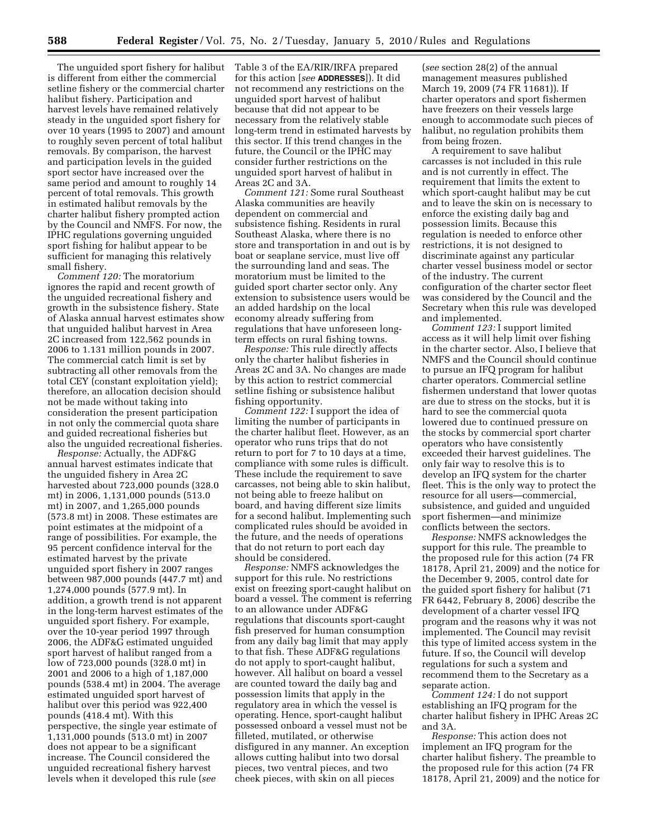The unguided sport fishery for halibut is different from either the commercial setline fishery or the commercial charter halibut fishery. Participation and harvest levels have remained relatively steady in the unguided sport fishery for over 10 years (1995 to 2007) and amount to roughly seven percent of total halibut removals. By comparison, the harvest and participation levels in the guided sport sector have increased over the same period and amount to roughly 14 percent of total removals. This growth in estimated halibut removals by the charter halibut fishery prompted action by the Council and NMFS. For now, the IPHC regulations governing unguided sport fishing for halibut appear to be sufficient for managing this relatively small fishery.

*Comment 120:* The moratorium ignores the rapid and recent growth of the unguided recreational fishery and growth in the subsistence fishery. State of Alaska annual harvest estimates show that unguided halibut harvest in Area 2C increased from 122,562 pounds in 2006 to 1.131 million pounds in 2007. The commercial catch limit is set by subtracting all other removals from the total CEY (constant exploitation yield); therefore, an allocation decision should not be made without taking into consideration the present participation in not only the commercial quota share and guided recreational fisheries but also the unguided recreational fisheries.

*Response:* Actually, the ADF&G annual harvest estimates indicate that the unguided fishery in Area 2C harvested about 723,000 pounds (328.0 mt) in 2006, 1,131,000 pounds (513.0 mt) in 2007, and 1,265,000 pounds (573.8 mt) in 2008. These estimates are point estimates at the midpoint of a range of possibilities. For example, the 95 percent confidence interval for the estimated harvest by the private unguided sport fishery in 2007 ranges between 987,000 pounds (447.7 mt) and 1,274,000 pounds (577.9 mt). In addition, a growth trend is not apparent in the long-term harvest estimates of the unguided sport fishery. For example, over the 10-year period 1997 through 2006, the ADF&G estimated unguided sport harvest of halibut ranged from a low of 723,000 pounds (328.0 mt) in 2001 and 2006 to a high of 1,187,000 pounds (538.4 mt) in 2004. The average estimated unguided sport harvest of halibut over this period was 922,400 pounds (418.4 mt). With this perspective, the single year estimate of 1,131,000 pounds (513.0 mt) in 2007 does not appear to be a significant increase. The Council considered the unguided recreational fishery harvest levels when it developed this rule (*see* 

Table 3 of the EA/RIR/IRFA prepared for this action [*see* **ADDRESSES**]). It did not recommend any restrictions on the unguided sport harvest of halibut because that did not appear to be necessary from the relatively stable long-term trend in estimated harvests by this sector. If this trend changes in the future, the Council or the IPHC may consider further restrictions on the unguided sport harvest of halibut in Areas 2C and 3A.

*Comment 121:* Some rural Southeast Alaska communities are heavily dependent on commercial and subsistence fishing. Residents in rural Southeast Alaska, where there is no store and transportation in and out is by boat or seaplane service, must live off the surrounding land and seas. The moratorium must be limited to the guided sport charter sector only. Any extension to subsistence users would be an added hardship on the local economy already suffering from regulations that have unforeseen longterm effects on rural fishing towns.

*Response:* This rule directly affects only the charter halibut fisheries in Areas 2C and 3A. No changes are made by this action to restrict commercial setline fishing or subsistence halibut fishing opportunity.

*Comment 122:* I support the idea of limiting the number of participants in the charter halibut fleet. However, as an operator who runs trips that do not return to port for 7 to 10 days at a time, compliance with some rules is difficult. These include the requirement to save carcasses, not being able to skin halibut, not being able to freeze halibut on board, and having different size limits for a second halibut. Implementing such complicated rules should be avoided in the future, and the needs of operations that do not return to port each day should be considered.

*Response:* NMFS acknowledges the support for this rule. No restrictions exist on freezing sport-caught halibut on board a vessel. The comment is referring to an allowance under ADF&G regulations that discounts sport-caught fish preserved for human consumption from any daily bag limit that may apply to that fish. These ADF&G regulations do not apply to sport-caught halibut, however. All halibut on board a vessel are counted toward the daily bag and possession limits that apply in the regulatory area in which the vessel is operating. Hence, sport-caught halibut possessed onboard a vessel must not be filleted, mutilated, or otherwise disfigured in any manner. An exception allows cutting halibut into two dorsal pieces, two ventral pieces, and two cheek pieces, with skin on all pieces

(*see* section 28(2) of the annual management measures published March 19, 2009 (74 FR 11681)). If charter operators and sport fishermen have freezers on their vessels large enough to accommodate such pieces of halibut, no regulation prohibits them from being frozen.

A requirement to save halibut carcasses is not included in this rule and is not currently in effect. The requirement that limits the extent to which sport-caught halibut may be cut and to leave the skin on is necessary to enforce the existing daily bag and possession limits. Because this regulation is needed to enforce other restrictions, it is not designed to discriminate against any particular charter vessel business model or sector of the industry. The current configuration of the charter sector fleet was considered by the Council and the Secretary when this rule was developed and implemented.

*Comment 123:* I support limited access as it will help limit over fishing in the charter sector. Also, I believe that NMFS and the Council should continue to pursue an IFQ program for halibut charter operators. Commercial setline fishermen understand that lower quotas are due to stress on the stocks, but it is hard to see the commercial quota lowered due to continued pressure on the stocks by commercial sport charter operators who have consistently exceeded their harvest guidelines. The only fair way to resolve this is to develop an IFQ system for the charter fleet. This is the only way to protect the resource for all users—commercial, subsistence, and guided and unguided sport fishermen—and minimize conflicts between the sectors.

*Response:* NMFS acknowledges the support for this rule. The preamble to the proposed rule for this action (74 FR 18178, April 21, 2009) and the notice for the December 9, 2005, control date for the guided sport fishery for halibut (71 FR 6442, February 8, 2006) describe the development of a charter vessel IFQ program and the reasons why it was not implemented. The Council may revisit this type of limited access system in the future. If so, the Council will develop regulations for such a system and recommend them to the Secretary as a separate action.

*Comment 124:* I do not support establishing an IFQ program for the charter halibut fishery in IPHC Areas 2C and 3A.

*Response:* This action does not implement an IFQ program for the charter halibut fishery. The preamble to the proposed rule for this action (74 FR 18178, April 21, 2009) and the notice for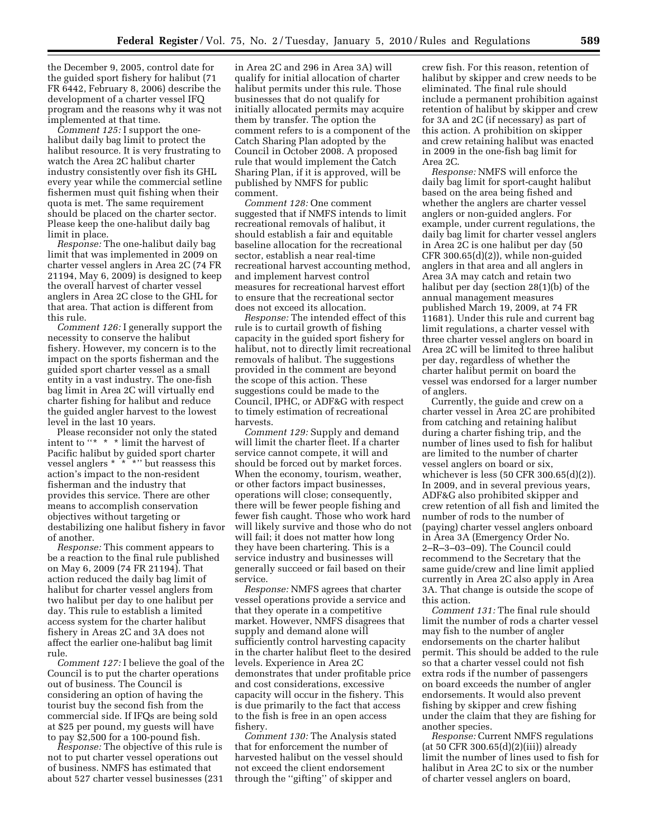the December 9, 2005, control date for the guided sport fishery for halibut (71 FR 6442, February 8, 2006) describe the development of a charter vessel IFQ program and the reasons why it was not implemented at that time.

*Comment 125:* I support the onehalibut daily bag limit to protect the halibut resource. It is very frustrating to watch the Area 2C halibut charter industry consistently over fish its GHL every year while the commercial setline fishermen must quit fishing when their quota is met. The same requirement should be placed on the charter sector. Please keep the one-halibut daily bag limit in place.

*Response:* The one-halibut daily bag limit that was implemented in 2009 on charter vessel anglers in Area 2C (74 FR 21194, May 6, 2009) is designed to keep the overall harvest of charter vessel anglers in Area 2C close to the GHL for that area. That action is different from this rule.

*Comment 126:* I generally support the necessity to conserve the halibut fishery. However, my concern is to the impact on the sports fisherman and the guided sport charter vessel as a small entity in a vast industry. The one-fish bag limit in Area 2C will virtually end charter fishing for halibut and reduce the guided angler harvest to the lowest level in the last 10 years.

Please reconsider not only the stated intent to ''\* \* \* limit the harvest of Pacific halibut by guided sport charter vessel anglers \* \* \*'' but reassess this action's impact to the non-resident fisherman and the industry that provides this service. There are other means to accomplish conservation objectives without targeting or destabilizing one halibut fishery in favor of another.

*Response:* This comment appears to be a reaction to the final rule published on May 6, 2009 (74 FR 21194). That action reduced the daily bag limit of halibut for charter vessel anglers from two halibut per day to one halibut per day. This rule to establish a limited access system for the charter halibut fishery in Areas 2C and 3A does not affect the earlier one-halibut bag limit rule.

*Comment 127:* I believe the goal of the Council is to put the charter operations out of business. The Council is considering an option of having the tourist buy the second fish from the commercial side. If IFQs are being sold at \$25 per pound, my guests will have to pay \$2,500 for a 100-pound fish.

*Response:* The objective of this rule is not to put charter vessel operations out of business. NMFS has estimated that about 527 charter vessel businesses (231

in Area 2C and 296 in Area 3A) will qualify for initial allocation of charter halibut permits under this rule. Those businesses that do not qualify for initially allocated permits may acquire them by transfer. The option the comment refers to is a component of the Catch Sharing Plan adopted by the Council in October 2008. A proposed rule that would implement the Catch Sharing Plan, if it is approved, will be published by NMFS for public comment.

*Comment 128:* One comment suggested that if NMFS intends to limit recreational removals of halibut, it should establish a fair and equitable baseline allocation for the recreational sector, establish a near real-time recreational harvest accounting method, and implement harvest control measures for recreational harvest effort to ensure that the recreational sector does not exceed its allocation.

*Response:* The intended effect of this rule is to curtail growth of fishing capacity in the guided sport fishery for halibut, not to directly limit recreational removals of halibut. The suggestions provided in the comment are beyond the scope of this action. These suggestions could be made to the Council, IPHC, or ADF&G with respect to timely estimation of recreational harvests.

*Comment 129:* Supply and demand will limit the charter fleet. If a charter service cannot compete, it will and should be forced out by market forces. When the economy, tourism, weather, or other factors impact businesses, operations will close; consequently, there will be fewer people fishing and fewer fish caught. Those who work hard will likely survive and those who do not will fail; it does not matter how long they have been chartering. This is a service industry and businesses will generally succeed or fail based on their service.

*Response:* NMFS agrees that charter vessel operations provide a service and that they operate in a competitive market. However, NMFS disagrees that supply and demand alone will sufficiently control harvesting capacity in the charter halibut fleet to the desired levels. Experience in Area 2C demonstrates that under profitable price and cost considerations, excessive capacity will occur in the fishery. This is due primarily to the fact that access to the fish is free in an open access fishery.

*Comment 130:* The Analysis stated that for enforcement the number of harvested halibut on the vessel should not exceed the client endorsement through the ''gifting'' of skipper and

crew fish. For this reason, retention of halibut by skipper and crew needs to be eliminated. The final rule should include a permanent prohibition against retention of halibut by skipper and crew for 3A and 2C (if necessary) as part of this action. A prohibition on skipper and crew retaining halibut was enacted in 2009 in the one-fish bag limit for Area 2C.

*Response:* NMFS will enforce the daily bag limit for sport-caught halibut based on the area being fished and whether the anglers are charter vessel anglers or non-guided anglers. For example, under current regulations, the daily bag limit for charter vessel anglers in Area 2C is one halibut per day (50 CFR 300.65(d)(2)), while non-guided anglers in that area and all anglers in Area 3A may catch and retain two halibut per day (section 28(1)(b) of the annual management measures published March 19, 2009, at 74 FR 11681). Under this rule and current bag limit regulations, a charter vessel with three charter vessel anglers on board in Area 2C will be limited to three halibut per day, regardless of whether the charter halibut permit on board the vessel was endorsed for a larger number of anglers.

Currently, the guide and crew on a charter vessel in Area 2C are prohibited from catching and retaining halibut during a charter fishing trip, and the number of lines used to fish for halibut are limited to the number of charter vessel anglers on board or six, whichever is less (50 CFR 300.65(d)(2)). In 2009, and in several previous years, ADF&G also prohibited skipper and crew retention of all fish and limited the number of rods to the number of (paying) charter vessel anglers onboard in Area 3A (Emergency Order No. 2–R–3–03–09). The Council could recommend to the Secretary that the same guide/crew and line limit applied currently in Area 2C also apply in Area 3A. That change is outside the scope of this action.

*Comment 131:* The final rule should limit the number of rods a charter vessel may fish to the number of angler endorsements on the charter halibut permit. This should be added to the rule so that a charter vessel could not fish extra rods if the number of passengers on board exceeds the number of angler endorsements. It would also prevent fishing by skipper and crew fishing under the claim that they are fishing for another species.

*Response:* Current NMFS regulations (at 50 CFR 300.65(d)(2)(iii)) already limit the number of lines used to fish for halibut in Area 2C to six or the number of charter vessel anglers on board,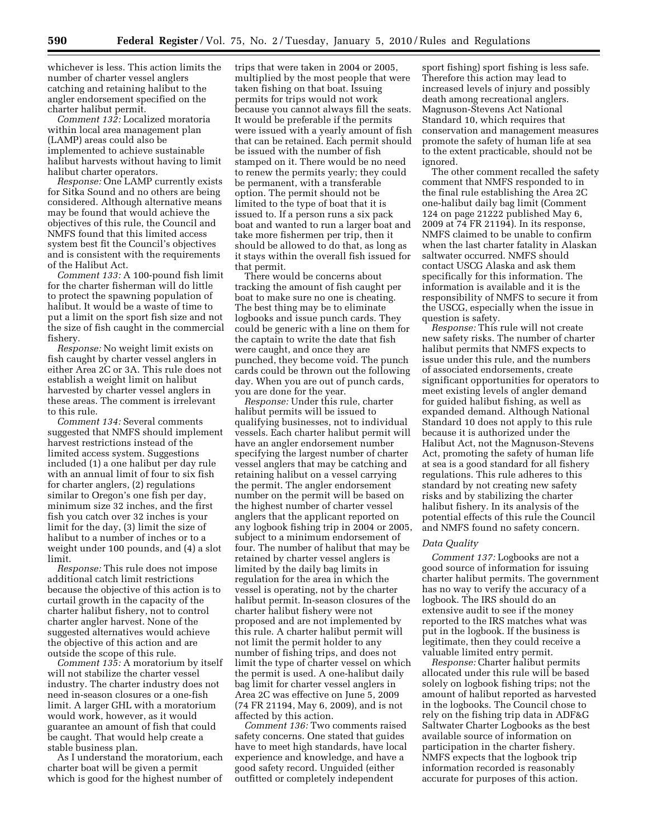whichever is less. This action limits the number of charter vessel anglers catching and retaining halibut to the angler endorsement specified on the charter halibut permit.

*Comment 132:* Localized moratoria within local area management plan (LAMP) areas could also be implemented to achieve sustainable halibut harvests without having to limit halibut charter operators.

*Response:* One LAMP currently exists for Sitka Sound and no others are being considered. Although alternative means may be found that would achieve the objectives of this rule, the Council and NMFS found that this limited access system best fit the Council's objectives and is consistent with the requirements of the Halibut Act.

*Comment 133:* A 100-pound fish limit for the charter fisherman will do little to protect the spawning population of halibut. It would be a waste of time to put a limit on the sport fish size and not the size of fish caught in the commercial fishery.

*Response:* No weight limit exists on fish caught by charter vessel anglers in either Area 2C or 3A. This rule does not establish a weight limit on halibut harvested by charter vessel anglers in these areas. The comment is irrelevant to this rule.

*Comment 134:* Several comments suggested that NMFS should implement harvest restrictions instead of the limited access system. Suggestions included (1) a one halibut per day rule with an annual limit of four to six fish for charter anglers, (2) regulations similar to Oregon's one fish per day, minimum size 32 inches, and the first fish you catch over 32 inches is your limit for the day, (3) limit the size of halibut to a number of inches or to a weight under 100 pounds, and (4) a slot limit.

*Response:* This rule does not impose additional catch limit restrictions because the objective of this action is to curtail growth in the capacity of the charter halibut fishery, not to control charter angler harvest. None of the suggested alternatives would achieve the objective of this action and are outside the scope of this rule.

*Comment 135:* A moratorium by itself will not stabilize the charter vessel industry. The charter industry does not need in-season closures or a one-fish limit. A larger GHL with a moratorium would work, however, as it would guarantee an amount of fish that could be caught. That would help create a stable business plan.

As I understand the moratorium, each charter boat will be given a permit which is good for the highest number of

trips that were taken in 2004 or 2005, multiplied by the most people that were taken fishing on that boat. Issuing permits for trips would not work because you cannot always fill the seats. It would be preferable if the permits were issued with a yearly amount of fish that can be retained. Each permit should be issued with the number of fish stamped on it. There would be no need to renew the permits yearly; they could be permanent, with a transferable option. The permit should not be limited to the type of boat that it is issued to. If a person runs a six pack boat and wanted to run a larger boat and take more fishermen per trip, then it should be allowed to do that, as long as it stays within the overall fish issued for that permit.

There would be concerns about tracking the amount of fish caught per boat to make sure no one is cheating. The best thing may be to eliminate logbooks and issue punch cards. They could be generic with a line on them for the captain to write the date that fish were caught, and once they are punched, they become void. The punch cards could be thrown out the following day. When you are out of punch cards, you are done for the year.

*Response:* Under this rule, charter halibut permits will be issued to qualifying businesses, not to individual vessels. Each charter halibut permit will have an angler endorsement number specifying the largest number of charter vessel anglers that may be catching and retaining halibut on a vessel carrying the permit. The angler endorsement number on the permit will be based on the highest number of charter vessel anglers that the applicant reported on any logbook fishing trip in 2004 or 2005, subject to a minimum endorsement of four. The number of halibut that may be retained by charter vessel anglers is limited by the daily bag limits in regulation for the area in which the vessel is operating, not by the charter halibut permit. In-season closures of the charter halibut fishery were not proposed and are not implemented by this rule. A charter halibut permit will not limit the permit holder to any number of fishing trips, and does not limit the type of charter vessel on which the permit is used. A one-halibut daily bag limit for charter vessel anglers in Area 2C was effective on June 5, 2009 (74 FR 21194, May 6, 2009), and is not affected by this action.

*Comment 136:* Two comments raised safety concerns. One stated that guides have to meet high standards, have local experience and knowledge, and have a good safety record. Unguided (either outfitted or completely independent

sport fishing) sport fishing is less safe. Therefore this action may lead to increased levels of injury and possibly death among recreational anglers. Magnuson-Stevens Act National Standard 10, which requires that conservation and management measures promote the safety of human life at sea to the extent practicable, should not be ignored.

The other comment recalled the safety comment that NMFS responded to in the final rule establishing the Area 2C one-halibut daily bag limit (Comment 124 on page 21222 published May 6, 2009 at 74 FR 21194). In its response, NMFS claimed to be unable to confirm when the last charter fatality in Alaskan saltwater occurred. NMFS should contact USCG Alaska and ask them specifically for this information. The information is available and it is the responsibility of NMFS to secure it from the USCG, especially when the issue in question is safety.

*Response:* This rule will not create new safety risks. The number of charter halibut permits that NMFS expects to issue under this rule, and the numbers of associated endorsements, create significant opportunities for operators to meet existing levels of angler demand for guided halibut fishing, as well as expanded demand. Although National Standard 10 does not apply to this rule because it is authorized under the Halibut Act, not the Magnuson-Stevens Act, promoting the safety of human life at sea is a good standard for all fishery regulations. This rule adheres to this standard by not creating new safety risks and by stabilizing the charter halibut fishery. In its analysis of the potential effects of this rule the Council and NMFS found no safety concern.

### *Data Quality*

*Comment 137:* Logbooks are not a good source of information for issuing charter halibut permits. The government has no way to verify the accuracy of a logbook. The IRS should do an extensive audit to see if the money reported to the IRS matches what was put in the logbook. If the business is legitimate, then they could receive a valuable limited entry permit.

*Response:* Charter halibut permits allocated under this rule will be based solely on logbook fishing trips; not the amount of halibut reported as harvested in the logbooks. The Council chose to rely on the fishing trip data in ADF&G Saltwater Charter Logbooks as the best available source of information on participation in the charter fishery. NMFS expects that the logbook trip information recorded is reasonably accurate for purposes of this action.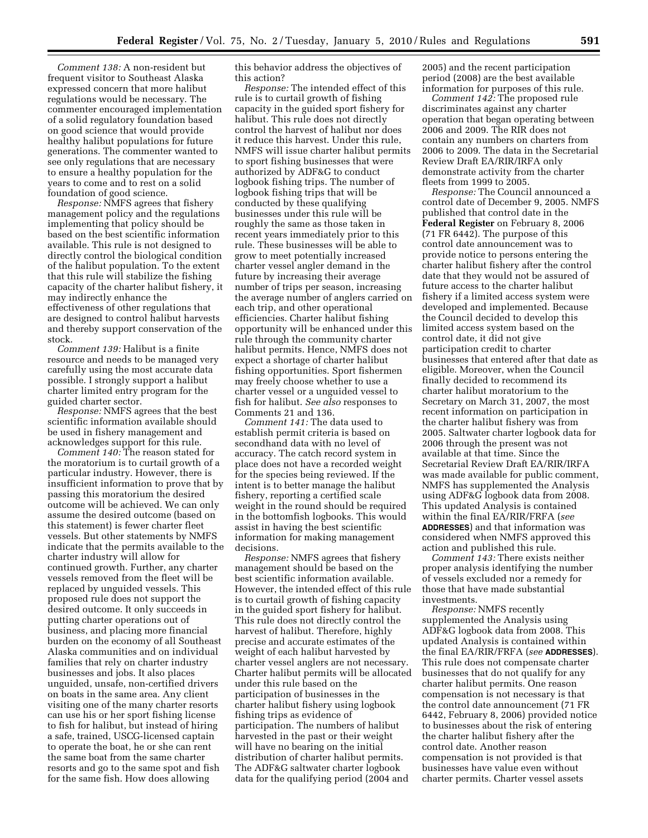*Comment 138:* A non-resident but frequent visitor to Southeast Alaska expressed concern that more halibut regulations would be necessary. The commenter encouraged implementation of a solid regulatory foundation based on good science that would provide healthy halibut populations for future generations. The commenter wanted to see only regulations that are necessary to ensure a healthy population for the years to come and to rest on a solid foundation of good science.

*Response:* NMFS agrees that fishery management policy and the regulations implementing that policy should be based on the best scientific information available. This rule is not designed to directly control the biological condition of the halibut population. To the extent that this rule will stabilize the fishing capacity of the charter halibut fishery, it may indirectly enhance the effectiveness of other regulations that are designed to control halibut harvests and thereby support conservation of the stock.

*Comment 139:* Halibut is a finite resource and needs to be managed very carefully using the most accurate data possible. I strongly support a halibut charter limited entry program for the guided charter sector.

*Response:* NMFS agrees that the best scientific information available should be used in fishery management and acknowledges support for this rule.

*Comment 140:* The reason stated for the moratorium is to curtail growth of a particular industry. However, there is insufficient information to prove that by passing this moratorium the desired outcome will be achieved. We can only assume the desired outcome (based on this statement) is fewer charter fleet vessels. But other statements by NMFS indicate that the permits available to the charter industry will allow for continued growth. Further, any charter vessels removed from the fleet will be replaced by unguided vessels. This proposed rule does not support the desired outcome. It only succeeds in putting charter operations out of business, and placing more financial burden on the economy of all Southeast Alaska communities and on individual families that rely on charter industry businesses and jobs. It also places unguided, unsafe, non-certified drivers on boats in the same area. Any client visiting one of the many charter resorts can use his or her sport fishing license to fish for halibut, but instead of hiring a safe, trained, USCG-licensed captain to operate the boat, he or she can rent the same boat from the same charter resorts and go to the same spot and fish for the same fish. How does allowing

this behavior address the objectives of this action?

*Response:* The intended effect of this rule is to curtail growth of fishing capacity in the guided sport fishery for halibut. This rule does not directly control the harvest of halibut nor does it reduce this harvest. Under this rule, NMFS will issue charter halibut permits to sport fishing businesses that were authorized by ADF&G to conduct logbook fishing trips. The number of logbook fishing trips that will be conducted by these qualifying businesses under this rule will be roughly the same as those taken in recent years immediately prior to this rule. These businesses will be able to grow to meet potentially increased charter vessel angler demand in the future by increasing their average number of trips per season, increasing the average number of anglers carried on each trip, and other operational efficiencies. Charter halibut fishing opportunity will be enhanced under this rule through the community charter halibut permits. Hence, NMFS does not expect a shortage of charter halibut fishing opportunities. Sport fishermen may freely choose whether to use a charter vessel or a unguided vessel to fish for halibut. *See also* responses to Comments 21 and 136.

*Comment 141:* The data used to establish permit criteria is based on secondhand data with no level of accuracy. The catch record system in place does not have a recorded weight for the species being reviewed. If the intent is to better manage the halibut fishery, reporting a certified scale weight in the round should be required in the bottomfish logbooks. This would assist in having the best scientific information for making management decisions.

*Response:* NMFS agrees that fishery management should be based on the best scientific information available. However, the intended effect of this rule is to curtail growth of fishing capacity in the guided sport fishery for halibut. This rule does not directly control the harvest of halibut. Therefore, highly precise and accurate estimates of the weight of each halibut harvested by charter vessel anglers are not necessary. Charter halibut permits will be allocated under this rule based on the participation of businesses in the charter halibut fishery using logbook fishing trips as evidence of participation. The numbers of halibut harvested in the past or their weight will have no bearing on the initial distribution of charter halibut permits. The ADF&G saltwater charter logbook data for the qualifying period (2004 and

2005) and the recent participation period (2008) are the best available information for purposes of this rule.

*Comment 142:* The proposed rule discriminates against any charter operation that began operating between 2006 and 2009. The RIR does not contain any numbers on charters from 2006 to 2009. The data in the Secretarial Review Draft EA/RIR/IRFA only demonstrate activity from the charter fleets from 1999 to 2005.

*Response:* The Council announced a control date of December 9, 2005. NMFS published that control date in the **Federal Register** on February 8, 2006 (71 FR 6442). The purpose of this control date announcement was to provide notice to persons entering the charter halibut fishery after the control date that they would not be assured of future access to the charter halibut fishery if a limited access system were developed and implemented. Because the Council decided to develop this limited access system based on the control date, it did not give participation credit to charter businesses that entered after that date as eligible. Moreover, when the Council finally decided to recommend its charter halibut moratorium to the Secretary on March 31, 2007, the most recent information on participation in the charter halibut fishery was from 2005. Saltwater charter logbook data for 2006 through the present was not available at that time. Since the Secretarial Review Draft EA/RIR/IRFA was made available for public comment, NMFS has supplemented the Analysis using ADF&G logbook data from 2008. This updated Analysis is contained within the final EA/RIR/FRFA (*see*  **ADDRESSES**) and that information was considered when NMFS approved this action and published this rule.

*Comment 143:* There exists neither proper analysis identifying the number of vessels excluded nor a remedy for those that have made substantial investments.

*Response:* NMFS recently supplemented the Analysis using ADF&G logbook data from 2008. This updated Analysis is contained within the final EA/RIR/FRFA (*see* **ADDRESSES**). This rule does not compensate charter businesses that do not qualify for any charter halibut permits. One reason compensation is not necessary is that the control date announcement (71 FR 6442, February 8, 2006) provided notice to businesses about the risk of entering the charter halibut fishery after the control date. Another reason compensation is not provided is that businesses have value even without charter permits. Charter vessel assets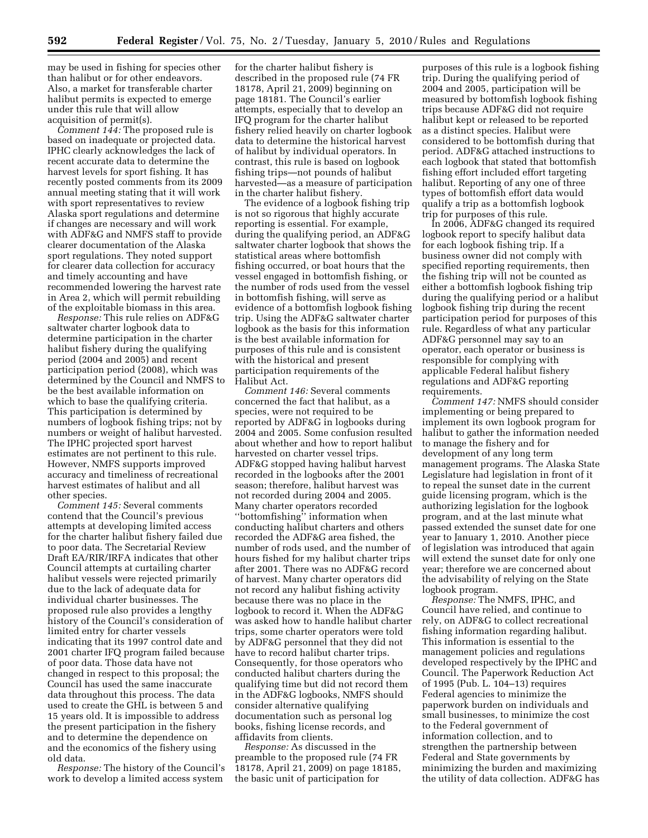may be used in fishing for species other than halibut or for other endeavors. Also, a market for transferable charter halibut permits is expected to emerge under this rule that will allow acquisition of permit(s).

*Comment 144:* The proposed rule is based on inadequate or projected data. IPHC clearly acknowledges the lack of recent accurate data to determine the harvest levels for sport fishing. It has recently posted comments from its 2009 annual meeting stating that it will work with sport representatives to review Alaska sport regulations and determine if changes are necessary and will work with ADF&G and NMFS staff to provide clearer documentation of the Alaska sport regulations. They noted support for clearer data collection for accuracy and timely accounting and have recommended lowering the harvest rate in Area 2, which will permit rebuilding of the exploitable biomass in this area.

*Response:* This rule relies on ADF&G saltwater charter logbook data to determine participation in the charter halibut fishery during the qualifying period (2004 and 2005) and recent participation period (2008), which was determined by the Council and NMFS to be the best available information on which to base the qualifying criteria. This participation is determined by numbers of logbook fishing trips; not by numbers or weight of halibut harvested. The IPHC projected sport harvest estimates are not pertinent to this rule. However, NMFS supports improved accuracy and timeliness of recreational harvest estimates of halibut and all other species.

*Comment 145:* Several comments contend that the Council's previous attempts at developing limited access for the charter halibut fishery failed due to poor data. The Secretarial Review Draft EA/RIR/IRFA indicates that other Council attempts at curtailing charter halibut vessels were rejected primarily due to the lack of adequate data for individual charter businesses. The proposed rule also provides a lengthy history of the Council's consideration of limited entry for charter vessels indicating that its 1997 control date and 2001 charter IFQ program failed because of poor data. Those data have not changed in respect to this proposal; the Council has used the same inaccurate data throughout this process. The data used to create the GHL is between 5 and 15 years old. It is impossible to address the present participation in the fishery and to determine the dependence on and the economics of the fishery using old data.

*Response:* The history of the Council's work to develop a limited access system

for the charter halibut fishery is described in the proposed rule (74 FR 18178, April 21, 2009) beginning on page 18181. The Council's earlier attempts, especially that to develop an IFQ program for the charter halibut fishery relied heavily on charter logbook data to determine the historical harvest of halibut by individual operators. In contrast, this rule is based on logbook fishing trips—not pounds of halibut harvested—as a measure of participation in the charter halibut fishery.

The evidence of a logbook fishing trip is not so rigorous that highly accurate reporting is essential. For example, during the qualifying period, an ADF&G saltwater charter logbook that shows the statistical areas where bottomfish fishing occurred, or boat hours that the vessel engaged in bottomfish fishing, or the number of rods used from the vessel in bottomfish fishing, will serve as evidence of a bottomfish logbook fishing trip. Using the ADF&G saltwater charter logbook as the basis for this information is the best available information for purposes of this rule and is consistent with the historical and present participation requirements of the Halibut Act.

*Comment 146:* Several comments concerned the fact that halibut, as a species, were not required to be reported by ADF&G in logbooks during 2004 and 2005. Some confusion resulted about whether and how to report halibut harvested on charter vessel trips. ADF&G stopped having halibut harvest recorded in the logbooks after the 2001 season; therefore, halibut harvest was not recorded during 2004 and 2005. Many charter operators recorded ''bottomfishing'' information when conducting halibut charters and others recorded the ADF&G area fished, the number of rods used, and the number of hours fished for my halibut charter trips after 2001. There was no ADF&G record of harvest. Many charter operators did not record any halibut fishing activity because there was no place in the logbook to record it. When the ADF&G was asked how to handle halibut charter trips, some charter operators were told by ADF&G personnel that they did not have to record halibut charter trips. Consequently, for those operators who conducted halibut charters during the qualifying time but did not record them in the ADF&G logbooks, NMFS should consider alternative qualifying documentation such as personal log books, fishing license records, and affidavits from clients.

*Response:* As discussed in the preamble to the proposed rule (74 FR 18178, April 21, 2009) on page 18185, the basic unit of participation for

purposes of this rule is a logbook fishing trip. During the qualifying period of 2004 and 2005, participation will be measured by bottomfish logbook fishing trips because ADF&G did not require halibut kept or released to be reported as a distinct species. Halibut were considered to be bottomfish during that period. ADF&G attached instructions to each logbook that stated that bottomfish fishing effort included effort targeting halibut. Reporting of any one of three types of bottomfish effort data would qualify a trip as a bottomfish logbook trip for purposes of this rule.

In 2006, ADF&G changed its required logbook report to specify halibut data for each logbook fishing trip. If a business owner did not comply with specified reporting requirements, then the fishing trip will not be counted as either a bottomfish logbook fishing trip during the qualifying period or a halibut logbook fishing trip during the recent participation period for purposes of this rule. Regardless of what any particular ADF&G personnel may say to an operator, each operator or business is responsible for complying with applicable Federal halibut fishery regulations and ADF&G reporting requirements.

*Comment 147:* NMFS should consider implementing or being prepared to implement its own logbook program for halibut to gather the information needed to manage the fishery and for development of any long term management programs. The Alaska State Legislature had legislation in front of it to repeal the sunset date in the current guide licensing program, which is the authorizing legislation for the logbook program, and at the last minute what passed extended the sunset date for one year to January 1, 2010. Another piece of legislation was introduced that again will extend the sunset date for only one year; therefore we are concerned about the advisability of relying on the State logbook program.

*Response:* The NMFS, IPHC, and Council have relied, and continue to rely, on ADF&G to collect recreational fishing information regarding halibut. This information is essential to the management policies and regulations developed respectively by the IPHC and Council. The Paperwork Reduction Act of 1995 (Pub. L. 104–13) requires Federal agencies to minimize the paperwork burden on individuals and small businesses, to minimize the cost to the Federal government of information collection, and to strengthen the partnership between Federal and State governments by minimizing the burden and maximizing the utility of data collection. ADF&G has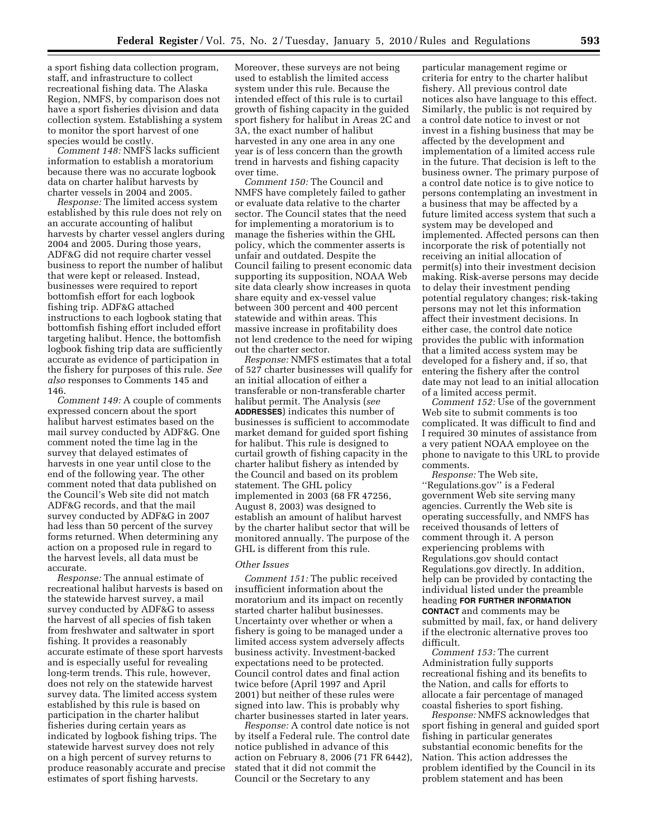a sport fishing data collection program, staff, and infrastructure to collect recreational fishing data. The Alaska Region, NMFS, by comparison does not have a sport fisheries division and data collection system. Establishing a system to monitor the sport harvest of one species would be costly.

*Comment 148:* NMFS lacks sufficient information to establish a moratorium because there was no accurate logbook data on charter halibut harvests by charter vessels in 2004 and 2005.

*Response:* The limited access system established by this rule does not rely on an accurate accounting of halibut harvests by charter vessel anglers during 2004 and 2005. During those years, ADF&G did not require charter vessel business to report the number of halibut that were kept or released. Instead, businesses were required to report bottomfish effort for each logbook fishing trip. ADF&G attached instructions to each logbook stating that bottomfish fishing effort included effort targeting halibut. Hence, the bottomfish logbook fishing trip data are sufficiently accurate as evidence of participation in the fishery for purposes of this rule. *See also* responses to Comments 145 and 146.

*Comment 149:* A couple of comments expressed concern about the sport halibut harvest estimates based on the mail survey conducted by ADF&G. One comment noted the time lag in the survey that delayed estimates of harvests in one year until close to the end of the following year. The other comment noted that data published on the Council's Web site did not match ADF&G records, and that the mail survey conducted by ADF&G in 2007 had less than 50 percent of the survey forms returned. When determining any action on a proposed rule in regard to the harvest levels, all data must be accurate.

*Response:* The annual estimate of recreational halibut harvests is based on the statewide harvest survey, a mail survey conducted by ADF&G to assess the harvest of all species of fish taken from freshwater and saltwater in sport fishing. It provides a reasonably accurate estimate of these sport harvests and is especially useful for revealing long-term trends. This rule, however, does not rely on the statewide harvest survey data. The limited access system established by this rule is based on participation in the charter halibut fisheries during certain years as indicated by logbook fishing trips. The statewide harvest survey does not rely on a high percent of survey returns to produce reasonably accurate and precise estimates of sport fishing harvests.

Moreover, these surveys are not being used to establish the limited access system under this rule. Because the intended effect of this rule is to curtail growth of fishing capacity in the guided sport fishery for halibut in Areas 2C and 3A, the exact number of halibut harvested in any one area in any one year is of less concern than the growth trend in harvests and fishing capacity over time.

*Comment 150:* The Council and NMFS have completely failed to gather or evaluate data relative to the charter sector. The Council states that the need for implementing a moratorium is to manage the fisheries within the GHL policy, which the commenter asserts is unfair and outdated. Despite the Council failing to present economic data supporting its supposition, NOAA Web site data clearly show increases in quota share equity and ex-vessel value between 300 percent and 400 percent statewide and within areas. This massive increase in profitability does not lend credence to the need for wiping out the charter sector.

*Response:* NMFS estimates that a total of 527 charter businesses will qualify for an initial allocation of either a transferable or non-transferable charter halibut permit. The Analysis (*see*  **ADDRESSES**) indicates this number of businesses is sufficient to accommodate market demand for guided sport fishing for halibut. This rule is designed to curtail growth of fishing capacity in the charter halibut fishery as intended by the Council and based on its problem statement. The GHL policy implemented in 2003 (68 FR 47256, August 8, 2003) was designed to establish an amount of halibut harvest by the charter halibut sector that will be monitored annually. The purpose of the GHL is different from this rule.

#### *Other Issues*

*Comment 151:* The public received insufficient information about the moratorium and its impact on recently started charter halibut businesses. Uncertainty over whether or when a fishery is going to be managed under a limited access system adversely affects business activity. Investment-backed expectations need to be protected. Council control dates and final action twice before (April 1997 and April 2001) but neither of these rules were signed into law. This is probably why charter businesses started in later years.

*Response:* A control date notice is not by itself a Federal rule. The control date notice published in advance of this action on February 8, 2006 (71 FR 6442), stated that it did not commit the Council or the Secretary to any

particular management regime or criteria for entry to the charter halibut fishery. All previous control date notices also have language to this effect. Similarly, the public is not required by a control date notice to invest or not invest in a fishing business that may be affected by the development and implementation of a limited access rule in the future. That decision is left to the business owner. The primary purpose of a control date notice is to give notice to persons contemplating an investment in a business that may be affected by a future limited access system that such a system may be developed and implemented. Affected persons can then incorporate the risk of potentially not receiving an initial allocation of permit(s) into their investment decision making. Risk-averse persons may decide to delay their investment pending potential regulatory changes; risk-taking persons may not let this information affect their investment decisions. In either case, the control date notice provides the public with information that a limited access system may be developed for a fishery and, if so, that entering the fishery after the control date may not lead to an initial allocation of a limited access permit.

*Comment 152:* Use of the government Web site to submit comments is too complicated. It was difficult to find and I required 30 minutes of assistance from a very patient NOAA employee on the phone to navigate to this URL to provide comments.

*Response:* The Web site, ''Regulations.gov'' is a Federal government Web site serving many agencies. Currently the Web site is operating successfully, and NMFS has received thousands of letters of comment through it. A person experiencing problems with Regulations.gov should contact Regulations.gov directly. In addition, help can be provided by contacting the individual listed under the preamble heading **FOR FURTHER INFORMATION CONTACT** and comments may be submitted by mail, fax, or hand delivery if the electronic alternative proves too difficult.

*Comment 153:* The current Administration fully supports recreational fishing and its benefits to the Nation, and calls for efforts to allocate a fair percentage of managed coastal fisheries to sport fishing.

*Response:* NMFS acknowledges that sport fishing in general and guided sport fishing in particular generates substantial economic benefits for the Nation. This action addresses the problem identified by the Council in its problem statement and has been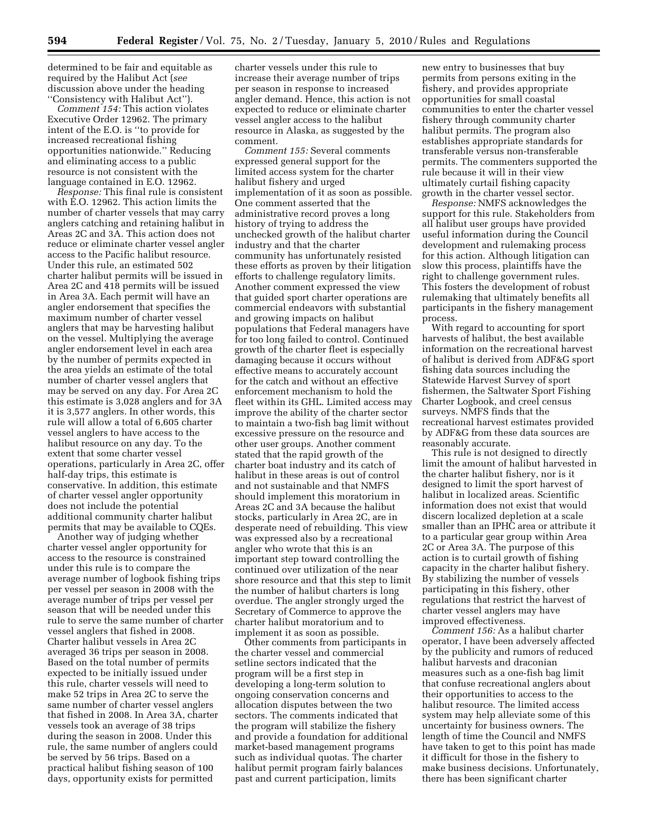determined to be fair and equitable as required by the Halibut Act (*see*  discussion above under the heading ''Consistency with Halibut Act'').

*Comment 154:* This action violates Executive Order 12962. The primary intent of the E.O. is ''to provide for increased recreational fishing opportunities nationwide.'' Reducing and eliminating access to a public resource is not consistent with the language contained in E.O. 12962.

*Response:* This final rule is consistent with E.O. 12962. This action limits the number of charter vessels that may carry anglers catching and retaining halibut in Areas 2C and 3A. This action does not reduce or eliminate charter vessel angler access to the Pacific halibut resource. Under this rule, an estimated 502 charter halibut permits will be issued in Area 2C and 418 permits will be issued in Area 3A. Each permit will have an angler endorsement that specifies the maximum number of charter vessel anglers that may be harvesting halibut on the vessel. Multiplying the average angler endorsement level in each area by the number of permits expected in the area yields an estimate of the total number of charter vessel anglers that may be served on any day. For Area 2C this estimate is 3,028 anglers and for 3A it is 3,577 anglers. In other words, this rule will allow a total of 6,605 charter vessel anglers to have access to the halibut resource on any day. To the extent that some charter vessel operations, particularly in Area 2C, offer half-day trips, this estimate is conservative. In addition, this estimate of charter vessel angler opportunity does not include the potential additional community charter halibut permits that may be available to CQEs.

Another way of judging whether charter vessel angler opportunity for access to the resource is constrained under this rule is to compare the average number of logbook fishing trips per vessel per season in 2008 with the average number of trips per vessel per season that will be needed under this rule to serve the same number of charter vessel anglers that fished in 2008. Charter halibut vessels in Area 2C averaged 36 trips per season in 2008. Based on the total number of permits expected to be initially issued under this rule, charter vessels will need to make 52 trips in Area 2C to serve the same number of charter vessel anglers that fished in 2008. In Area 3A, charter vessels took an average of 38 trips during the season in 2008. Under this rule, the same number of anglers could be served by 56 trips. Based on a practical halibut fishing season of 100 days, opportunity exists for permitted

charter vessels under this rule to increase their average number of trips per season in response to increased angler demand. Hence, this action is not expected to reduce or eliminate charter vessel angler access to the halibut resource in Alaska, as suggested by the comment.

*Comment 155:* Several comments expressed general support for the limited access system for the charter halibut fishery and urged implementation of it as soon as possible. One comment asserted that the administrative record proves a long history of trying to address the unchecked growth of the halibut charter industry and that the charter community has unfortunately resisted these efforts as proven by their litigation efforts to challenge regulatory limits. Another comment expressed the view that guided sport charter operations are commercial endeavors with substantial and growing impacts on halibut populations that Federal managers have for too long failed to control. Continued growth of the charter fleet is especially damaging because it occurs without effective means to accurately account for the catch and without an effective enforcement mechanism to hold the fleet within its GHL. Limited access may improve the ability of the charter sector to maintain a two-fish bag limit without excessive pressure on the resource and other user groups. Another comment stated that the rapid growth of the charter boat industry and its catch of halibut in these areas is out of control and not sustainable and that NMFS should implement this moratorium in Areas 2C and 3A because the halibut stocks, particularly in Area 2C, are in desperate need of rebuilding. This view was expressed also by a recreational angler who wrote that this is an important step toward controlling the continued over utilization of the near shore resource and that this step to limit the number of halibut charters is long overdue. The angler strongly urged the Secretary of Commerce to approve the charter halibut moratorium and to implement it as soon as possible.

Other comments from participants in the charter vessel and commercial setline sectors indicated that the program will be a first step in developing a long-term solution to ongoing conservation concerns and allocation disputes between the two sectors. The comments indicated that the program will stabilize the fishery and provide a foundation for additional market-based management programs such as individual quotas. The charter halibut permit program fairly balances past and current participation, limits

new entry to businesses that buy permits from persons exiting in the fishery, and provides appropriate opportunities for small coastal communities to enter the charter vessel fishery through community charter halibut permits. The program also establishes appropriate standards for transferable versus non-transferable permits. The commenters supported the rule because it will in their view ultimately curtail fishing capacity growth in the charter vessel sector.

*Response:* NMFS acknowledges the support for this rule. Stakeholders from all halibut user groups have provided useful information during the Council development and rulemaking process for this action. Although litigation can slow this process, plaintiffs have the right to challenge government rules. This fosters the development of robust rulemaking that ultimately benefits all participants in the fishery management process.

With regard to accounting for sport harvests of halibut, the best available information on the recreational harvest of halibut is derived from ADF&G sport fishing data sources including the Statewide Harvest Survey of sport fishermen, the Saltwater Sport Fishing Charter Logbook, and creel census surveys. NMFS finds that the recreational harvest estimates provided by ADF&G from these data sources are reasonably accurate.

This rule is not designed to directly limit the amount of halibut harvested in the charter halibut fishery, nor is it designed to limit the sport harvest of halibut in localized areas. Scientific information does not exist that would discern localized depletion at a scale smaller than an IPHC area or attribute it to a particular gear group within Area 2C or Area 3A. The purpose of this action is to curtail growth of fishing capacity in the charter halibut fishery. By stabilizing the number of vessels participating in this fishery, other regulations that restrict the harvest of charter vessel anglers may have improved effectiveness.

*Comment 156:* As a halibut charter operator, I have been adversely affected by the publicity and rumors of reduced halibut harvests and draconian measures such as a one-fish bag limit that confuse recreational anglers about their opportunities to access to the halibut resource. The limited access system may help alleviate some of this uncertainty for business owners. The length of time the Council and NMFS have taken to get to this point has made it difficult for those in the fishery to make business decisions. Unfortunately, there has been significant charter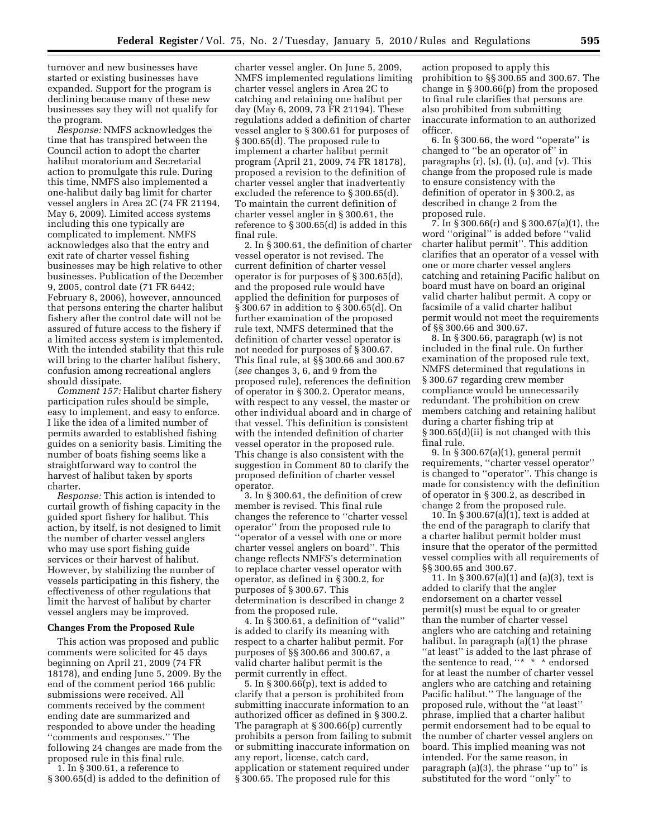turnover and new businesses have started or existing businesses have expanded. Support for the program is declining because many of these new businesses say they will not qualify for the program.

*Response:* NMFS acknowledges the time that has transpired between the Council action to adopt the charter halibut moratorium and Secretarial action to promulgate this rule. During this time, NMFS also implemented a one-halibut daily bag limit for charter vessel anglers in Area 2C (74 FR 21194, May 6, 2009). Limited access systems including this one typically are complicated to implement. NMFS acknowledges also that the entry and exit rate of charter vessel fishing businesses may be high relative to other businesses. Publication of the December 9, 2005, control date (71 FR 6442; February 8, 2006), however, announced that persons entering the charter halibut fishery after the control date will not be assured of future access to the fishery if a limited access system is implemented. With the intended stability that this rule will bring to the charter halibut fishery, confusion among recreational anglers should dissipate.

*Comment 157:* Halibut charter fishery participation rules should be simple, easy to implement, and easy to enforce. I like the idea of a limited number of permits awarded to established fishing guides on a seniority basis. Limiting the number of boats fishing seems like a straightforward way to control the harvest of halibut taken by sports charter.

*Response:* This action is intended to curtail growth of fishing capacity in the guided sport fishery for halibut. This action, by itself, is not designed to limit the number of charter vessel anglers who may use sport fishing guide services or their harvest of halibut. However, by stabilizing the number of vessels participating in this fishery, the effectiveness of other regulations that limit the harvest of halibut by charter vessel anglers may be improved.

### **Changes From the Proposed Rule**

This action was proposed and public comments were solicited for 45 days beginning on April 21, 2009 (74 FR 18178), and ending June 5, 2009. By the end of the comment period 166 public submissions were received. All comments received by the comment ending date are summarized and responded to above under the heading ''comments and responses.'' The following 24 changes are made from the proposed rule in this final rule. 1. In § 300.61, a reference to

§ 300.65(d) is added to the definition of

charter vessel angler. On June 5, 2009, NMFS implemented regulations limiting charter vessel anglers in Area 2C to catching and retaining one halibut per day (May 6, 2009, 73 FR 21194). These regulations added a definition of charter vessel angler to § 300.61 for purposes of § 300.65(d). The proposed rule to implement a charter halibut permit program (April 21, 2009, 74 FR 18178), proposed a revision to the definition of charter vessel angler that inadvertently excluded the reference to § 300.65(d). To maintain the current definition of charter vessel angler in § 300.61, the reference to § 300.65(d) is added in this final rule.

2. In § 300.61, the definition of charter vessel operator is not revised. The current definition of charter vessel operator is for purposes of § 300.65(d), and the proposed rule would have applied the definition for purposes of § 300.67 in addition to § 300.65(d). On further examination of the proposed rule text, NMFS determined that the definition of charter vessel operator is not needed for purposes of § 300.67. This final rule, at §§ 300.66 and 300.67 (*see* changes 3, 6, and 9 from the proposed rule), references the definition of operator in § 300.2. Operator means, with respect to any vessel, the master or other individual aboard and in charge of that vessel. This definition is consistent with the intended definition of charter vessel operator in the proposed rule. This change is also consistent with the suggestion in Comment 80 to clarify the proposed definition of charter vessel operator.

3. In § 300.61, the definition of crew member is revised. This final rule changes the reference to ''charter vessel operator'' from the proposed rule to ''operator of a vessel with one or more charter vessel anglers on board''. This change reflects NMFS's determination to replace charter vessel operator with operator, as defined in § 300.2, for purposes of § 300.67. This determination is described in change 2 from the proposed rule.

4. In § 300.61, a definition of ''valid'' is added to clarify its meaning with respect to a charter halibut permit. For purposes of §§ 300.66 and 300.67, a valid charter halibut permit is the permit currently in effect.

5. In § 300.66(p), text is added to clarify that a person is prohibited from submitting inaccurate information to an authorized officer as defined in § 300.2. The paragraph at § 300.66(p) currently prohibits a person from failing to submit or submitting inaccurate information on any report, license, catch card, application or statement required under § 300.65. The proposed rule for this

action proposed to apply this prohibition to §§ 300.65 and 300.67. The change in § 300.66(p) from the proposed to final rule clarifies that persons are also prohibited from submitting inaccurate information to an authorized officer.

6. In § 300.66, the word ''operate'' is changed to ''be an operator of'' in paragraphs  $(r)$ ,  $(s)$ ,  $(t)$ ,  $(u)$ , and  $(v)$ . This change from the proposed rule is made to ensure consistency with the definition of operator in § 300.2, as described in change 2 from the proposed rule.

7. In § 300.66(r) and § 300.67(a)(1), the word ''original'' is added before ''valid charter halibut permit''. This addition clarifies that an operator of a vessel with one or more charter vessel anglers catching and retaining Pacific halibut on board must have on board an original valid charter halibut permit. A copy or facsimile of a valid charter halibut permit would not meet the requirements of §§ 300.66 and 300.67.

8. In § 300.66, paragraph (w) is not included in the final rule. On further examination of the proposed rule text, NMFS determined that regulations in § 300.67 regarding crew member compliance would be unnecessarily redundant. The prohibition on crew members catching and retaining halibut during a charter fishing trip at § 300.65(d)(ii) is not changed with this final rule.

9. In § 300.67(a)(1), general permit requirements, ''charter vessel operator'' is changed to ''operator''. This change is made for consistency with the definition of operator in § 300.2, as described in change 2 from the proposed rule.

10. In § 300.67(a)(1), text is added at the end of the paragraph to clarify that a charter halibut permit holder must insure that the operator of the permitted vessel complies with all requirements of §§ 300.65 and 300.67.

11. In § 300.67(a)(1) and (a)(3), text is added to clarify that the angler endorsement on a charter vessel permit(s) must be equal to or greater than the number of charter vessel anglers who are catching and retaining halibut. In paragraph (a)(1) the phrase "at least" is added to the last phrase of the sentence to read, "\* \* \* endorsed for at least the number of charter vessel anglers who are catching and retaining Pacific halibut.'' The language of the proposed rule, without the ''at least'' phrase, implied that a charter halibut permit endorsement had to be equal to the number of charter vessel anglers on board. This implied meaning was not intended. For the same reason, in paragraph (a)(3), the phrase ''up to'' is substituted for the word ''only'' to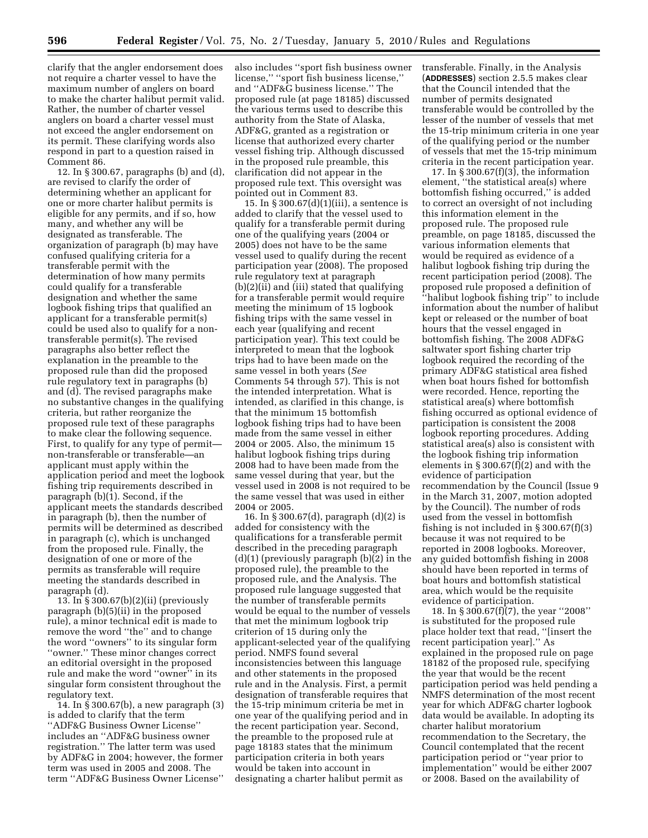clarify that the angler endorsement does not require a charter vessel to have the maximum number of anglers on board to make the charter halibut permit valid. Rather, the number of charter vessel anglers on board a charter vessel must not exceed the angler endorsement on its permit. These clarifying words also respond in part to a question raised in Comment 86.

12. In § 300.67, paragraphs (b) and (d), are revised to clarify the order of determining whether an applicant for one or more charter halibut permits is eligible for any permits, and if so, how many, and whether any will be designated as transferable. The organization of paragraph (b) may have confused qualifying criteria for a transferable permit with the determination of how many permits could qualify for a transferable designation and whether the same logbook fishing trips that qualified an applicant for a transferable permit(s) could be used also to qualify for a nontransferable permit(s). The revised paragraphs also better reflect the explanation in the preamble to the proposed rule than did the proposed rule regulatory text in paragraphs (b) and (d). The revised paragraphs make no substantive changes in the qualifying criteria, but rather reorganize the proposed rule text of these paragraphs to make clear the following sequence. First, to qualify for any type of permit non-transferable or transferable—an applicant must apply within the application period and meet the logbook fishing trip requirements described in paragraph (b)(1). Second, if the applicant meets the standards described in paragraph (b), then the number of permits will be determined as described in paragraph (c), which is unchanged from the proposed rule. Finally, the designation of one or more of the permits as transferable will require meeting the standards described in paragraph (d).

13. In § 300.67(b)(2)(ii) (previously paragraph (b)(5)(ii) in the proposed rule), a minor technical edit is made to remove the word ''the'' and to change the word ''owners'' to its singular form ''owner.'' These minor changes correct an editorial oversight in the proposed rule and make the word ''owner'' in its singular form consistent throughout the regulatory text.

14. In § 300.67(b), a new paragraph (3) is added to clarify that the term ''ADF&G Business Owner License'' includes an ''ADF&G business owner registration.'' The latter term was used by ADF&G in 2004; however, the former term was used in 2005 and 2008. The term ''ADF&G Business Owner License''

also includes ''sport fish business owner license,'' ''sport fish business license,'' and ''ADF&G business license.'' The proposed rule (at page 18185) discussed the various terms used to describe this authority from the State of Alaska, ADF&G, granted as a registration or license that authorized every charter vessel fishing trip. Although discussed in the proposed rule preamble, this clarification did not appear in the proposed rule text. This oversight was pointed out in Comment 83.

15. In § 300.67(d)(1)(iii), a sentence is added to clarify that the vessel used to qualify for a transferable permit during one of the qualifying years (2004 or 2005) does not have to be the same vessel used to qualify during the recent participation year (2008). The proposed rule regulatory text at paragraph (b)(2)(ii) and (iii) stated that qualifying for a transferable permit would require meeting the minimum of 15 logbook fishing trips with the same vessel in each year (qualifying and recent participation year). This text could be interpreted to mean that the logbook trips had to have been made on the same vessel in both years (*See*  Comments 54 through 57). This is not the intended interpretation. What is intended, as clarified in this change, is that the minimum 15 bottomfish logbook fishing trips had to have been made from the same vessel in either 2004 or 2005. Also, the minimum 15 halibut logbook fishing trips during 2008 had to have been made from the same vessel during that year, but the vessel used in 2008 is not required to be the same vessel that was used in either 2004 or 2005.

16. In § 300.67(d), paragraph (d)(2) is added for consistency with the qualifications for a transferable permit described in the preceding paragraph (d)(1) (previously paragraph (b)(2) in the proposed rule), the preamble to the proposed rule, and the Analysis. The proposed rule language suggested that the number of transferable permits would be equal to the number of vessels that met the minimum logbook trip criterion of 15 during only the applicant-selected year of the qualifying period. NMFS found several inconsistencies between this language and other statements in the proposed rule and in the Analysis. First, a permit designation of transferable requires that the 15-trip minimum criteria be met in one year of the qualifying period and in the recent participation year. Second, the preamble to the proposed rule at page 18183 states that the minimum participation criteria in both years would be taken into account in designating a charter halibut permit as

transferable. Finally, in the Analysis (**ADDRESSES**) section 2.5.5 makes clear that the Council intended that the number of permits designated transferable would be controlled by the lesser of the number of vessels that met the 15-trip minimum criteria in one year of the qualifying period or the number of vessels that met the 15-trip minimum criteria in the recent participation year.

17. In § 300.67(f)(3), the information element, ''the statistical area(s) where bottomfish fishing occurred,'' is added to correct an oversight of not including this information element in the proposed rule. The proposed rule preamble, on page 18185, discussed the various information elements that would be required as evidence of a halibut logbook fishing trip during the recent participation period (2008). The proposed rule proposed a definition of ''halibut logbook fishing trip'' to include information about the number of halibut kept or released or the number of boat hours that the vessel engaged in bottomfish fishing. The 2008 ADF&G saltwater sport fishing charter trip logbook required the recording of the primary ADF&G statistical area fished when boat hours fished for bottomfish were recorded. Hence, reporting the statistical area(s) where bottomfish fishing occurred as optional evidence of participation is consistent the 2008 logbook reporting procedures. Adding statistical area(s) also is consistent with the logbook fishing trip information elements in § 300.67(f)(2) and with the evidence of participation recommendation by the Council (Issue 9 in the March 31, 2007, motion adopted by the Council). The number of rods used from the vessel in bottomfish fishing is not included in § 300.67(f)(3) because it was not required to be reported in 2008 logbooks. Moreover, any guided bottomfish fishing in 2008 should have been reported in terms of boat hours and bottomfish statistical area, which would be the requisite evidence of participation.

18. In § 300.67(f)(7), the year ''2008'' is substituted for the proposed rule place holder text that read, ''[insert the recent participation year].'' As explained in the proposed rule on page 18182 of the proposed rule, specifying the year that would be the recent participation period was held pending a NMFS determination of the most recent year for which ADF&G charter logbook data would be available. In adopting its charter halibut moratorium recommendation to the Secretary, the Council contemplated that the recent participation period or ''year prior to implementation'' would be either 2007 or 2008. Based on the availability of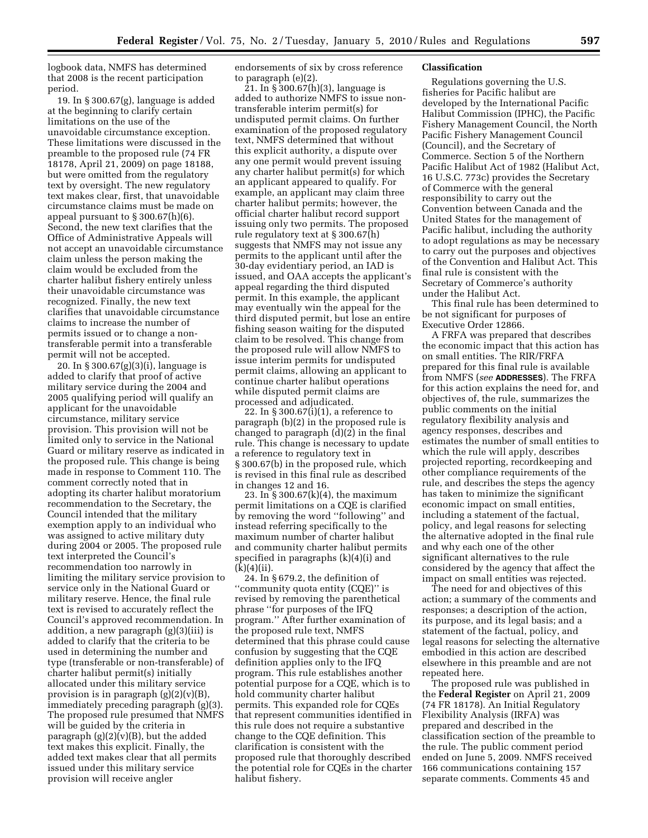logbook data, NMFS has determined that 2008 is the recent participation period.

19. In § 300.67(g), language is added at the beginning to clarify certain limitations on the use of the unavoidable circumstance exception. These limitations were discussed in the preamble to the proposed rule (74 FR 18178, April 21, 2009) on page 18188, but were omitted from the regulatory text by oversight. The new regulatory text makes clear, first, that unavoidable circumstance claims must be made on appeal pursuant to § 300.67(h)(6). Second, the new text clarifies that the Office of Administrative Appeals will not accept an unavoidable circumstance claim unless the person making the claim would be excluded from the charter halibut fishery entirely unless their unavoidable circumstance was recognized. Finally, the new text clarifies that unavoidable circumstance claims to increase the number of permits issued or to change a nontransferable permit into a transferable permit will not be accepted.

20. In § 300.67(g)(3)(i), language is added to clarify that proof of active military service during the 2004 and 2005 qualifying period will qualify an applicant for the unavoidable circumstance, military service provision. This provision will not be limited only to service in the National Guard or military reserve as indicated in the proposed rule. This change is being made in response to Comment 110. The comment correctly noted that in adopting its charter halibut moratorium recommendation to the Secretary, the Council intended that the military exemption apply to an individual who was assigned to active military duty during 2004 or 2005. The proposed rule text interpreted the Council's recommendation too narrowly in limiting the military service provision to service only in the National Guard or military reserve. Hence, the final rule text is revised to accurately reflect the Council's approved recommendation. In addition, a new paragraph (g)(3)(iii) is added to clarify that the criteria to be used in determining the number and type (transferable or non-transferable) of charter halibut permit(s) initially allocated under this military service provision is in paragraph (g)(2)(v)(B), immediately preceding paragraph (g)(3). The proposed rule presumed that NMFS will be guided by the criteria in paragraph  $(g)(2)(v)(B)$ , but the added text makes this explicit. Finally, the added text makes clear that all permits issued under this military service provision will receive angler

endorsements of six by cross reference to paragraph (e)(2).

21. In § 300.67(h)(3), language is added to authorize NMFS to issue nontransferable interim permit(s) for undisputed permit claims. On further examination of the proposed regulatory text, NMFS determined that without this explicit authority, a dispute over any one permit would prevent issuing any charter halibut permit(s) for which an applicant appeared to qualify. For example, an applicant may claim three charter halibut permits; however, the official charter halibut record support issuing only two permits. The proposed rule regulatory text at § 300.67(h) suggests that NMFS may not issue any permits to the applicant until after the 30-day evidentiary period, an IAD is issued, and OAA accepts the applicant's appeal regarding the third disputed permit. In this example, the applicant may eventually win the appeal for the third disputed permit, but lose an entire fishing season waiting for the disputed claim to be resolved. This change from the proposed rule will allow NMFS to issue interim permits for undisputed permit claims, allowing an applicant to continue charter halibut operations while disputed permit claims are processed and adjudicated.

22. In § 300.67(i)(1), a reference to paragraph (b)(2) in the proposed rule is changed to paragraph  $(d)(2)$  in the final rule. This change is necessary to update a reference to regulatory text in § 300.67(b) in the proposed rule, which is revised in this final rule as described in changes 12 and 16.

23. In § 300.67(k)(4), the maximum permit limitations on a CQE is clarified by removing the word ''following'' and instead referring specifically to the maximum number of charter halibut and community charter halibut permits specified in paragraphs (k)(4)(i) and  $(k)(4)(ii)$ .

24. In § 679.2, the definition of ''community quota entity (CQE)'' is revised by removing the parenthetical phrase ''for purposes of the IFQ program.'' After further examination of the proposed rule text, NMFS determined that this phrase could cause confusion by suggesting that the CQE definition applies only to the IFQ program. This rule establishes another potential purpose for a CQE, which is to hold community charter halibut permits. This expanded role for CQEs that represent communities identified in this rule does not require a substantive change to the CQE definition. This clarification is consistent with the proposed rule that thoroughly described the potential role for CQEs in the charter halibut fishery.

### **Classification**

Regulations governing the U.S. fisheries for Pacific halibut are developed by the International Pacific Halibut Commission (IPHC), the Pacific Fishery Management Council, the North Pacific Fishery Management Council (Council), and the Secretary of Commerce. Section 5 of the Northern Pacific Halibut Act of 1982 (Halibut Act, 16 U.S.C. 773c) provides the Secretary of Commerce with the general responsibility to carry out the Convention between Canada and the United States for the management of Pacific halibut, including the authority to adopt regulations as may be necessary to carry out the purposes and objectives of the Convention and Halibut Act. This final rule is consistent with the Secretary of Commerce's authority under the Halibut Act.

This final rule has been determined to be not significant for purposes of Executive Order 12866.

A FRFA was prepared that describes the economic impact that this action has on small entities. The RIR/FRFA prepared for this final rule is available from NMFS (*see* **ADDRESSES**). The FRFA for this action explains the need for, and objectives of, the rule, summarizes the public comments on the initial regulatory flexibility analysis and agency responses, describes and estimates the number of small entities to which the rule will apply, describes projected reporting, recordkeeping and other compliance requirements of the rule, and describes the steps the agency has taken to minimize the significant economic impact on small entities, including a statement of the factual, policy, and legal reasons for selecting the alternative adopted in the final rule and why each one of the other significant alternatives to the rule considered by the agency that affect the impact on small entities was rejected.

The need for and objectives of this action; a summary of the comments and responses; a description of the action, its purpose, and its legal basis; and a statement of the factual, policy, and legal reasons for selecting the alternative embodied in this action are described elsewhere in this preamble and are not repeated here.

The proposed rule was published in the **Federal Register** on April 21, 2009 (74 FR 18178). An Initial Regulatory Flexibility Analysis (IRFA) was prepared and described in the classification section of the preamble to the rule. The public comment period ended on June 5, 2009. NMFS received 166 communications containing 157 separate comments. Comments 45 and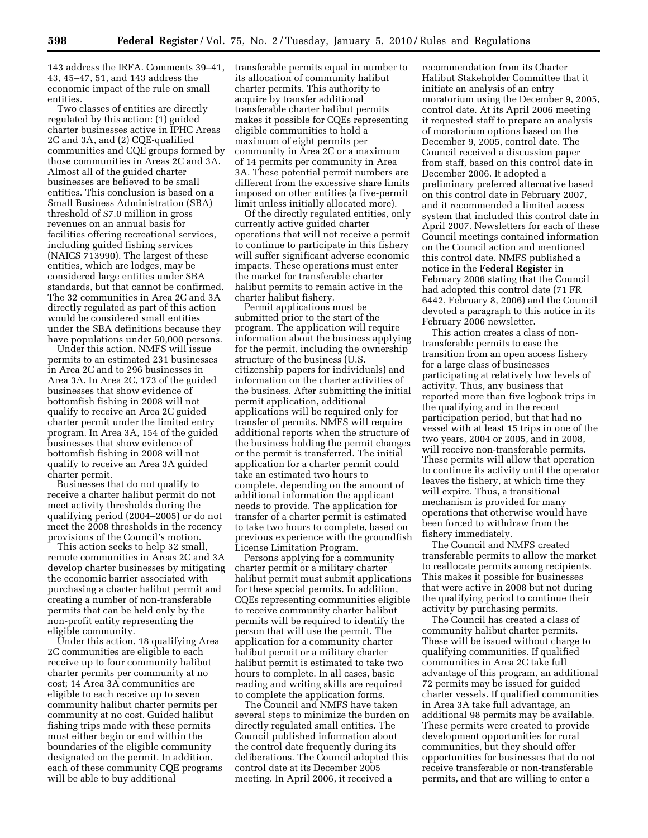143 address the IRFA. Comments 39–41, 43, 45–47, 51, and 143 address the economic impact of the rule on small entities.

Two classes of entities are directly regulated by this action: (1) guided charter businesses active in IPHC Areas 2C and 3A, and (2) CQE-qualified communities and CQE groups formed by those communities in Areas 2C and 3A. Almost all of the guided charter businesses are believed to be small entities. This conclusion is based on a Small Business Administration (SBA) threshold of \$7.0 million in gross revenues on an annual basis for facilities offering recreational services, including guided fishing services (NAICS 713990). The largest of these entities, which are lodges, may be considered large entities under SBA standards, but that cannot be confirmed. The 32 communities in Area 2C and 3A directly regulated as part of this action would be considered small entities under the SBA definitions because they have populations under 50,000 persons.

Under this action, NMFS will issue permits to an estimated 231 businesses in Area 2C and to 296 businesses in Area 3A. In Area 2C, 173 of the guided businesses that show evidence of bottomfish fishing in 2008 will not qualify to receive an Area 2C guided charter permit under the limited entry program. In Area 3A, 154 of the guided businesses that show evidence of bottomfish fishing in 2008 will not qualify to receive an Area 3A guided charter permit.

Businesses that do not qualify to receive a charter halibut permit do not meet activity thresholds during the qualifying period (2004–2005) or do not meet the 2008 thresholds in the recency provisions of the Council's motion.

This action seeks to help 32 small, remote communities in Areas 2C and 3A develop charter businesses by mitigating the economic barrier associated with purchasing a charter halibut permit and creating a number of non-transferable permits that can be held only by the non-profit entity representing the eligible community.

Under this action, 18 qualifying Area 2C communities are eligible to each receive up to four community halibut charter permits per community at no cost; 14 Area 3A communities are eligible to each receive up to seven community halibut charter permits per community at no cost. Guided halibut fishing trips made with these permits must either begin or end within the boundaries of the eligible community designated on the permit. In addition, each of these community CQE programs will be able to buy additional

transferable permits equal in number to its allocation of community halibut charter permits. This authority to acquire by transfer additional transferable charter halibut permits makes it possible for CQEs representing eligible communities to hold a maximum of eight permits per community in Area 2C or a maximum of 14 permits per community in Area 3A. These potential permit numbers are different from the excessive share limits imposed on other entities (a five-permit limit unless initially allocated more).

Of the directly regulated entities, only currently active guided charter operations that will not receive a permit to continue to participate in this fishery will suffer significant adverse economic impacts. These operations must enter the market for transferable charter halibut permits to remain active in the charter halibut fishery.

Permit applications must be submitted prior to the start of the program. The application will require information about the business applying for the permit, including the ownership structure of the business (U.S. citizenship papers for individuals) and information on the charter activities of the business. After submitting the initial permit application, additional applications will be required only for transfer of permits. NMFS will require additional reports when the structure of the business holding the permit changes or the permit is transferred. The initial application for a charter permit could take an estimated two hours to complete, depending on the amount of additional information the applicant needs to provide. The application for transfer of a charter permit is estimated to take two hours to complete, based on previous experience with the groundfish License Limitation Program.

Persons applying for a community charter permit or a military charter halibut permit must submit applications for these special permits. In addition, CQEs representing communities eligible to receive community charter halibut permits will be required to identify the person that will use the permit. The application for a community charter halibut permit or a military charter halibut permit is estimated to take two hours to complete. In all cases, basic reading and writing skills are required to complete the application forms.

The Council and NMFS have taken several steps to minimize the burden on directly regulated small entities. The Council published information about the control date frequently during its deliberations. The Council adopted this control date at its December 2005 meeting. In April 2006, it received a

recommendation from its Charter Halibut Stakeholder Committee that it initiate an analysis of an entry moratorium using the December 9, 2005, control date. At its April 2006 meeting it requested staff to prepare an analysis of moratorium options based on the December 9, 2005, control date. The Council received a discussion paper from staff, based on this control date in December 2006. It adopted a preliminary preferred alternative based on this control date in February 2007, and it recommended a limited access system that included this control date in April 2007. Newsletters for each of these Council meetings contained information on the Council action and mentioned this control date. NMFS published a notice in the **Federal Register** in February 2006 stating that the Council had adopted this control date (71 FR 6442, February 8, 2006) and the Council devoted a paragraph to this notice in its February 2006 newsletter.

This action creates a class of nontransferable permits to ease the transition from an open access fishery for a large class of businesses participating at relatively low levels of activity. Thus, any business that reported more than five logbook trips in the qualifying and in the recent participation period, but that had no vessel with at least 15 trips in one of the two years, 2004 or 2005, and in 2008, will receive non-transferable permits. These permits will allow that operation to continue its activity until the operator leaves the fishery, at which time they will expire. Thus, a transitional mechanism is provided for many operations that otherwise would have been forced to withdraw from the fishery immediately.

The Council and NMFS created transferable permits to allow the market to reallocate permits among recipients. This makes it possible for businesses that were active in 2008 but not during the qualifying period to continue their activity by purchasing permits.

The Council has created a class of community halibut charter permits. These will be issued without charge to qualifying communities. If qualified communities in Area 2C take full advantage of this program, an additional 72 permits may be issued for guided charter vessels. If qualified communities in Area 3A take full advantage, an additional 98 permits may be available. These permits were created to provide development opportunities for rural communities, but they should offer opportunities for businesses that do not receive transferable or non-transferable permits, and that are willing to enter a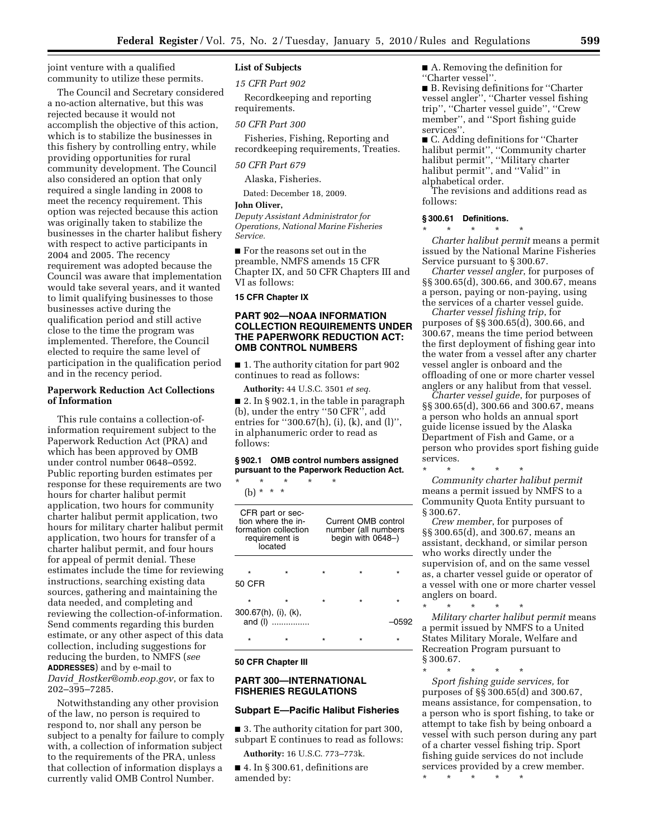joint venture with a qualified community to utilize these permits.

The Council and Secretary considered a no-action alternative, but this was rejected because it would not accomplish the objective of this action, which is to stabilize the businesses in this fishery by controlling entry, while providing opportunities for rural community development. The Council also considered an option that only required a single landing in 2008 to meet the recency requirement. This option was rejected because this action was originally taken to stabilize the businesses in the charter halibut fishery with respect to active participants in 2004 and 2005. The recency requirement was adopted because the Council was aware that implementation would take several years, and it wanted to limit qualifying businesses to those businesses active during the qualification period and still active close to the time the program was implemented. Therefore, the Council elected to require the same level of participation in the qualification period and in the recency period.

# **Paperwork Reduction Act Collections of Information**

This rule contains a collection-ofinformation requirement subject to the Paperwork Reduction Act (PRA) and which has been approved by OMB under control number 0648–0592. Public reporting burden estimates per response for these requirements are two hours for charter halibut permit application, two hours for community charter halibut permit application, two hours for military charter halibut permit application, two hours for transfer of a charter halibut permit, and four hours for appeal of permit denial. These estimates include the time for reviewing instructions, searching existing data sources, gathering and maintaining the data needed, and completing and reviewing the collection-of-information. Send comments regarding this burden estimate, or any other aspect of this data collection, including suggestions for reducing the burden, to NMFS (*see*  **ADDRESSES**) and by e-mail to *David*\_*Rostker@omb.eop.gov*, or fax to 202–395–7285.

Notwithstanding any other provision of the law, no person is required to respond to, nor shall any person be subject to a penalty for failure to comply with, a collection of information subject to the requirements of the PRA, unless that collection of information displays a currently valid OMB Control Number.

# **List of Subjects**

*15 CFR Part 902* 

Recordkeeping and reporting requirements.

#### *50 CFR Part 300*

Fisheries, Fishing, Reporting and recordkeeping requirements, Treaties.

### *50 CFR Part 679*

Alaska, Fisheries.

Dated: December 18, 2009.

# **John Oliver,**

*Deputy Assistant Administrator for Operations, National Marine Fisheries Service.* 

■ For the reasons set out in the preamble, NMFS amends 15 CFR Chapter IX, and 50 CFR Chapters III and VI as follows:

### **15 CFR Chapter IX**

# **PART 902—NOAA INFORMATION COLLECTION REQUIREMENTS UNDER THE PAPERWORK REDUCTION ACT: OMB CONTROL NUMBERS**

■ 1. The authority citation for part 902 continues to read as follows:

**Authority:** 44 U.S.C. 3501 *et seq.*  ■ 2. In § 902.1, in the table in paragraph (b), under the entry ''50 CFR'', add entries for "300.67(h), (i), (k), and (l)", in alphanumeric order to read as follows:

### **§ 902.1 OMB control numbers assigned pursuant to the Paperwork Reduction Act.**  \* \* \* \* \*

(b) \* \* \*

| CFR part or sec-<br>tion where the in-<br>formation collection<br>requirement is<br>Incated |         | Current OMB control<br>number (all numbers<br>begin with 0648-) |   |      |
|---------------------------------------------------------------------------------------------|---------|-----------------------------------------------------------------|---|------|
| ÷<br>50 CFR                                                                                 |         |                                                                 | ÷ |      |
| 300.67(h), (i), (k),                                                                        | and (l) |                                                                 |   | 0592 |
|                                                                                             |         |                                                                 |   |      |

### **50 CFR Chapter III**

# **PART 300—INTERNATIONAL FISHERIES REGULATIONS**

# **Subpart E—Pacific Halibut Fisheries**

■ 3. The authority citation for part 300, subpart E continues to read as follows:

**Authority:** 16 U.S.C. 773–773k.

■ 4. In § 300.61, definitions are amended by:

■ A. Removing the definition for ''Charter vessel''.

■ B. Revising definitions for "Charter vessel angler'', ''Charter vessel fishing trip'', ''Charter vessel guide'', ''Crew member'', and ''Sport fishing guide services''.

■ C. Adding definitions for "Charter halibut permit'', ''Community charter halibut permit'', ''Military charter halibut permit", and "Valid" in alphabetical order.

The revisions and additions read as follows:

### **§ 300.61 Definitions.**

\* \* \* \* \* *Charter halibut permit* means a permit issued by the National Marine Fisheries Service pursuant to § 300.67.

*Charter vessel angler*, for purposes of §§ 300.65(d), 300.66, and 300.67, means a person, paying or non-paying, using the services of a charter vessel guide.

*Charter vessel fishing trip*, for purposes of §§ 300.65(d), 300.66, and 300.67, means the time period between the first deployment of fishing gear into the water from a vessel after any charter vessel angler is onboard and the offloading of one or more charter vessel anglers or any halibut from that vessel.

*Charter vessel guide*, for purposes of §§ 300.65(d), 300.66 and 300.67, means a person who holds an annual sport guide license issued by the Alaska Department of Fish and Game, or a person who provides sport fishing guide services.

\* \* \* \* \* *Community charter halibut permit*  means a permit issued by NMFS to a Community Quota Entity pursuant to § 300.67.

*Crew member*, for purposes of §§ 300.65(d), and 300.67, means an assistant, deckhand, or similar person who works directly under the supervision of, and on the same vessel as, a charter vessel guide or operator of a vessel with one or more charter vessel anglers on board.

\* \* \* \* \* *Military charter halibut permit* means a permit issued by NMFS to a United States Military Morale, Welfare and Recreation Program pursuant to § 300.67.

\* \* \* \* \*

*Sport fishing guide services,* for purposes of §§ 300.65(d) and 300.67, means assistance, for compensation, to a person who is sport fishing, to take or attempt to take fish by being onboard a vessel with such person during any part of a charter vessel fishing trip. Sport fishing guide services do not include services provided by a crew member. \* \* \* \* \*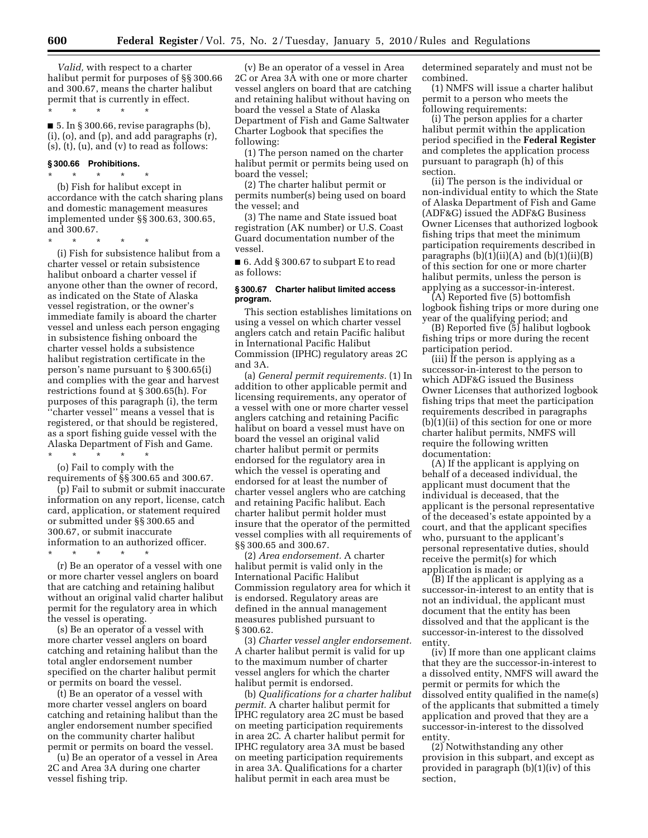*Valid,* with respect to a charter halibut permit for purposes of §§ 300.66 and 300.67, means the charter halibut permit that is currently in effect.

\* \* \* \* \*

 $\blacksquare$  5. In § 300.66, revise paragraphs (b), (i), (o), and (p), and add paragraphs (r),  $(s)$ ,  $(t)$ ,  $(u)$ , and  $(v)$  to read as follows:

### **§ 300.66 Prohibitions.**

\* \* \* \* \* (b) Fish for halibut except in accordance with the catch sharing plans and domestic management measures implemented under §§ 300.63, 300.65, and 300.67.

\* \* \* \* \*

(i) Fish for subsistence halibut from a charter vessel or retain subsistence halibut onboard a charter vessel if anyone other than the owner of record, as indicated on the State of Alaska vessel registration, or the owner's immediate family is aboard the charter vessel and unless each person engaging in subsistence fishing onboard the charter vessel holds a subsistence halibut registration certificate in the person's name pursuant to § 300.65(i) and complies with the gear and harvest restrictions found at § 300.65(h). For purposes of this paragraph (i), the term ''charter vessel'' means a vessel that is registered, or that should be registered, as a sport fishing guide vessel with the Alaska Department of Fish and Game. \* \* \* \* \*

(o) Fail to comply with the requirements of §§ 300.65 and 300.67.

(p) Fail to submit or submit inaccurate information on any report, license, catch card, application, or statement required or submitted under §§ 300.65 and 300.67, or submit inaccurate information to an authorized officer. \* \* \* \* \*

(r) Be an operator of a vessel with one or more charter vessel anglers on board that are catching and retaining halibut without an original valid charter halibut permit for the regulatory area in which the vessel is operating.

(s) Be an operator of a vessel with more charter vessel anglers on board catching and retaining halibut than the total angler endorsement number specified on the charter halibut permit or permits on board the vessel.

(t) Be an operator of a vessel with more charter vessel anglers on board catching and retaining halibut than the angler endorsement number specified on the community charter halibut permit or permits on board the vessel.

(u) Be an operator of a vessel in Area 2C and Area 3A during one charter vessel fishing trip.

(v) Be an operator of a vessel in Area 2C or Area 3A with one or more charter vessel anglers on board that are catching and retaining halibut without having on board the vessel a State of Alaska Department of Fish and Game Saltwater Charter Logbook that specifies the following:

(1) The person named on the charter halibut permit or permits being used on board the vessel;

(2) The charter halibut permit or permits number(s) being used on board the vessel; and

(3) The name and State issued boat registration (AK number) or U.S. Coast Guard documentation number of the vessel.

■ 6. Add § 300.67 to subpart E to read as follows:

### **§ 300.67 Charter halibut limited access program.**

This section establishes limitations on using a vessel on which charter vessel anglers catch and retain Pacific halibut in International Pacific Halibut Commission (IPHC) regulatory areas 2C and 3A.

(a) *General permit requirements.* (1) In addition to other applicable permit and licensing requirements, any operator of a vessel with one or more charter vessel anglers catching and retaining Pacific halibut on board a vessel must have on board the vessel an original valid charter halibut permit or permits endorsed for the regulatory area in which the vessel is operating and endorsed for at least the number of charter vessel anglers who are catching and retaining Pacific halibut. Each charter halibut permit holder must insure that the operator of the permitted vessel complies with all requirements of §§ 300.65 and 300.67.

(2) *Area endorsement.* A charter halibut permit is valid only in the International Pacific Halibut Commission regulatory area for which it is endorsed. Regulatory areas are defined in the annual management measures published pursuant to § 300.62.

(3) *Charter vessel angler endorsement.*  A charter halibut permit is valid for up to the maximum number of charter vessel anglers for which the charter halibut permit is endorsed.

(b) *Qualifications for a charter halibut permit.* A charter halibut permit for IPHC regulatory area 2C must be based on meeting participation requirements in area 2C. A charter halibut permit for IPHC regulatory area 3A must be based on meeting participation requirements in area 3A. Qualifications for a charter halibut permit in each area must be

determined separately and must not be combined.

(1) NMFS will issue a charter halibut permit to a person who meets the following requirements:

(i) The person applies for a charter halibut permit within the application period specified in the **Federal Register**  and completes the application process pursuant to paragraph (h) of this section.

(ii) The person is the individual or non-individual entity to which the State of Alaska Department of Fish and Game (ADF&G) issued the ADF&G Business Owner Licenses that authorized logbook fishing trips that meet the minimum participation requirements described in paragraphs  $(b)(1)(ii)(A)$  and  $(b)(1)(ii)(B)$ of this section for one or more charter halibut permits, unless the person is applying as a successor-in-interest.

(A) Reported five (5) bottomfish logbook fishing trips or more during one year of the qualifying period; and

(B) Reported five (5) halibut logbook fishing trips or more during the recent participation period.

(iii) If the person is applying as a successor-in-interest to the person to which ADF&G issued the Business Owner Licenses that authorized logbook fishing trips that meet the participation requirements described in paragraphs (b)(1)(ii) of this section for one or more charter halibut permits, NMFS will require the following written documentation:

(A) If the applicant is applying on behalf of a deceased individual, the applicant must document that the individual is deceased, that the applicant is the personal representative of the deceased's estate appointed by a court, and that the applicant specifies who, pursuant to the applicant's personal representative duties, should receive the permit(s) for which application is made; or

(B) If the applicant is applying as a successor-in-interest to an entity that is not an individual, the applicant must document that the entity has been dissolved and that the applicant is the successor-in-interest to the dissolved entity.

(iv) If more than one applicant claims that they are the successor-in-interest to a dissolved entity, NMFS will award the permit or permits for which the dissolved entity qualified in the name(s) of the applicants that submitted a timely application and proved that they are a successor-in-interest to the dissolved entity.

(2) Notwithstanding any other provision in this subpart, and except as provided in paragraph (b)(1)(iv) of this section,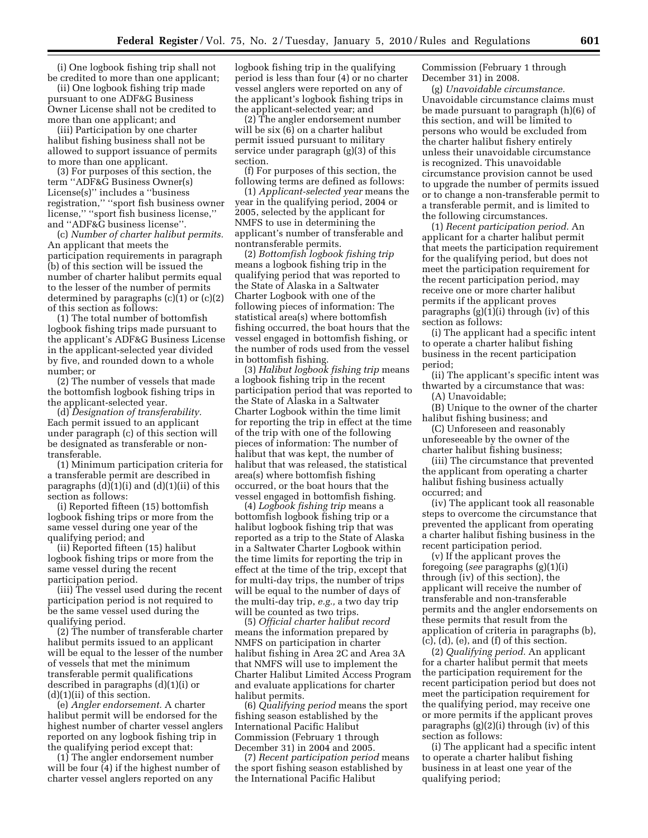(i) One logbook fishing trip shall not be credited to more than one applicant;

(ii) One logbook fishing trip made pursuant to one ADF&G Business Owner License shall not be credited to more than one applicant; and

(iii) Participation by one charter halibut fishing business shall not be allowed to support issuance of permits to more than one applicant.

(3) For purposes of this section, the term ''ADF&G Business Owner(s) License(s)'' includes a ''business registration,'' ''sport fish business owner license,'' ''sport fish business license,'' and ''ADF&G business license''.

(c) *Number of charter halibut permits.*  An applicant that meets the participation requirements in paragraph (b) of this section will be issued the number of charter halibut permits equal to the lesser of the number of permits determined by paragraphs (c)(1) or (c)(2) of this section as follows:

(1) The total number of bottomfish logbook fishing trips made pursuant to the applicant's ADF&G Business License in the applicant-selected year divided by five, and rounded down to a whole number; or

(2) The number of vessels that made the bottomfish logbook fishing trips in the applicant-selected year.

(d) *Designation of transferability.*  Each permit issued to an applicant under paragraph (c) of this section will be designated as transferable or nontransferable.

(1) Minimum participation criteria for a transferable permit are described in paragraphs (d)(1)(i) and (d)(1)(ii) of this section as follows:

(i) Reported fifteen (15) bottomfish logbook fishing trips or more from the same vessel during one year of the qualifying period; and

(ii) Reported fifteen (15) halibut logbook fishing trips or more from the same vessel during the recent participation period.

(iii) The vessel used during the recent participation period is not required to be the same vessel used during the qualifying period.

(2) The number of transferable charter halibut permits issued to an applicant will be equal to the lesser of the number of vessels that met the minimum transferable permit qualifications described in paragraphs (d)(1)(i) or  $(d)(1)(ii)$  of this section.

(e) *Angler endorsement.* A charter halibut permit will be endorsed for the highest number of charter vessel anglers reported on any logbook fishing trip in the qualifying period except that:

(1) The angler endorsement number will be four (4) if the highest number of charter vessel anglers reported on any

logbook fishing trip in the qualifying period is less than four (4) or no charter vessel anglers were reported on any of the applicant's logbook fishing trips in the applicant-selected year; and

(2) The angler endorsement number will be six (6) on a charter halibut permit issued pursuant to military service under paragraph (g)(3) of this section.

(f) For purposes of this section, the following terms are defined as follows:

(1) *Applicant-selected year* means the year in the qualifying period, 2004 or 2005, selected by the applicant for NMFS to use in determining the applicant's number of transferable and nontransferable permits.

(2) *Bottomfish logbook fishing trip*  means a logbook fishing trip in the qualifying period that was reported to the State of Alaska in a Saltwater Charter Logbook with one of the following pieces of information: The statistical area(s) where bottomfish fishing occurred, the boat hours that the vessel engaged in bottomfish fishing, or the number of rods used from the vessel in bottomfish fishing.

(3) *Halibut logbook fishing trip* means a logbook fishing trip in the recent participation period that was reported to the State of Alaska in a Saltwater Charter Logbook within the time limit for reporting the trip in effect at the time of the trip with one of the following pieces of information: The number of halibut that was kept, the number of halibut that was released, the statistical area(s) where bottomfish fishing occurred, or the boat hours that the vessel engaged in bottomfish fishing.

(4) *Logbook fishing trip* means a bottomfish logbook fishing trip or a halibut logbook fishing trip that was reported as a trip to the State of Alaska in a Saltwater Charter Logbook within the time limits for reporting the trip in effect at the time of the trip, except that for multi-day trips, the number of trips will be equal to the number of days of the multi-day trip, *e.g.,* a two day trip will be counted as two trips.

(5) *Official charter halibut record*  means the information prepared by NMFS on participation in charter halibut fishing in Area 2C and Area 3A that NMFS will use to implement the Charter Halibut Limited Access Program and evaluate applications for charter halibut permits.

(6) *Qualifying period* means the sport fishing season established by the International Pacific Halibut Commission (February 1 through December 31) in 2004 and 2005.

(7) *Recent participation period* means the sport fishing season established by the International Pacific Halibut

Commission (February 1 through December 31) in 2008.

(g) *Unavoidable circumstance.*  Unavoidable circumstance claims must be made pursuant to paragraph (h)(6) of this section, and will be limited to persons who would be excluded from the charter halibut fishery entirely unless their unavoidable circumstance is recognized. This unavoidable circumstance provision cannot be used to upgrade the number of permits issued or to change a non-transferable permit to a transferable permit, and is limited to the following circumstances.

(1) *Recent participation period.* An applicant for a charter halibut permit that meets the participation requirement for the qualifying period, but does not meet the participation requirement for the recent participation period, may receive one or more charter halibut permits if the applicant proves paragraphs (g)(1)(i) through (iv) of this section as follows:

(i) The applicant had a specific intent to operate a charter halibut fishing business in the recent participation period;

(ii) The applicant's specific intent was thwarted by a circumstance that was: (A) Unavoidable;

(B) Unique to the owner of the charter halibut fishing business; and

(C) Unforeseen and reasonably unforeseeable by the owner of the charter halibut fishing business;

(iii) The circumstance that prevented the applicant from operating a charter halibut fishing business actually occurred; and

(iv) The applicant took all reasonable steps to overcome the circumstance that prevented the applicant from operating a charter halibut fishing business in the recent participation period.

(v) If the applicant proves the foregoing (*see* paragraphs (g)(1)(i) through (iv) of this section), the applicant will receive the number of transferable and non-transferable permits and the angler endorsements on these permits that result from the application of criteria in paragraphs (b), (c), (d), (e), and (f) of this section.

(2) *Qualifying period.* An applicant for a charter halibut permit that meets the participation requirement for the recent participation period but does not meet the participation requirement for the qualifying period, may receive one or more permits if the applicant proves paragraphs (g)(2)(i) through (iv) of this section as follows:

(i) The applicant had a specific intent to operate a charter halibut fishing business in at least one year of the qualifying period;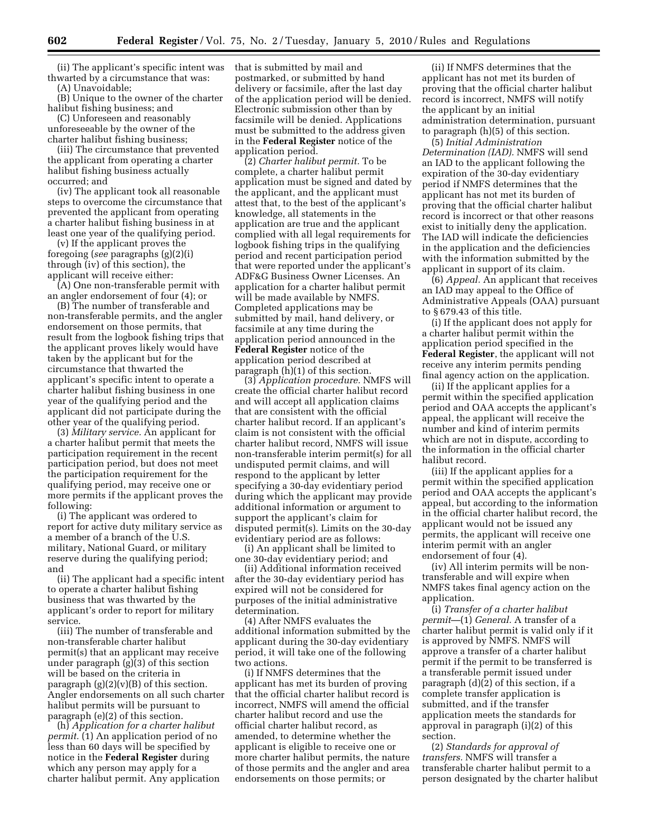(ii) The applicant's specific intent was thwarted by a circumstance that was:

(A) Unavoidable;

(B) Unique to the owner of the charter halibut fishing business; and

(C) Unforeseen and reasonably unforeseeable by the owner of the charter halibut fishing business;

(iii) The circumstance that prevented the applicant from operating a charter halibut fishing business actually occurred; and

(iv) The applicant took all reasonable steps to overcome the circumstance that prevented the applicant from operating a charter halibut fishing business in at least one year of the qualifying period.

(v) If the applicant proves the foregoing (*see* paragraphs (g)(2)(i) through (iv) of this section), the applicant will receive either:

(A) One non-transferable permit with an angler endorsement of four (4); or

(B) The number of transferable and non-transferable permits, and the angler endorsement on those permits, that result from the logbook fishing trips that the applicant proves likely would have taken by the applicant but for the circumstance that thwarted the applicant's specific intent to operate a charter halibut fishing business in one year of the qualifying period and the applicant did not participate during the other year of the qualifying period.

(3) *Military service.* An applicant for a charter halibut permit that meets the participation requirement in the recent participation period, but does not meet the participation requirement for the qualifying period, may receive one or more permits if the applicant proves the following:

(i) The applicant was ordered to report for active duty military service as a member of a branch of the U.S. military, National Guard, or military reserve during the qualifying period; and

(ii) The applicant had a specific intent to operate a charter halibut fishing business that was thwarted by the applicant's order to report for military service.

(iii) The number of transferable and non-transferable charter halibut permit(s) that an applicant may receive under paragraph (g)(3) of this section will be based on the criteria in paragraph  $(g)(2)(v)(B)$  of this section. Angler endorsements on all such charter halibut permits will be pursuant to paragraph (e)(2) of this section.

(h) *Application for a charter halibut permit.* (1) An application period of no less than 60 days will be specified by notice in the **Federal Register** during which any person may apply for a charter halibut permit. Any application that is submitted by mail and postmarked, or submitted by hand delivery or facsimile, after the last day of the application period will be denied. Electronic submission other than by facsimile will be denied. Applications must be submitted to the address given in the **Federal Register** notice of the application period.

(2) *Charter halibut permit.* To be complete, a charter halibut permit application must be signed and dated by the applicant, and the applicant must attest that, to the best of the applicant's knowledge, all statements in the application are true and the applicant complied with all legal requirements for logbook fishing trips in the qualifying period and recent participation period that were reported under the applicant's ADF&G Business Owner Licenses. An application for a charter halibut permit will be made available by NMFS. Completed applications may be submitted by mail, hand delivery, or facsimile at any time during the application period announced in the **Federal Register** notice of the application period described at paragraph (h)(1) of this section.

(3) *Application procedure.* NMFS will create the official charter halibut record and will accept all application claims that are consistent with the official charter halibut record. If an applicant's claim is not consistent with the official charter halibut record, NMFS will issue non-transferable interim permit(s) for all undisputed permit claims, and will respond to the applicant by letter specifying a 30-day evidentiary period during which the applicant may provide additional information or argument to support the applicant's claim for disputed permit(s). Limits on the 30-day evidentiary period are as follows:

(i) An applicant shall be limited to one 30-day evidentiary period; and

(ii) Additional information received after the 30-day evidentiary period has expired will not be considered for purposes of the initial administrative determination.

(4) After NMFS evaluates the additional information submitted by the applicant during the 30-day evidentiary period, it will take one of the following two actions.

(i) If NMFS determines that the applicant has met its burden of proving that the official charter halibut record is incorrect, NMFS will amend the official charter halibut record and use the official charter halibut record, as amended, to determine whether the applicant is eligible to receive one or more charter halibut permits, the nature of those permits and the angler and area endorsements on those permits; or

(ii) If NMFS determines that the applicant has not met its burden of proving that the official charter halibut record is incorrect, NMFS will notify the applicant by an initial administration determination, pursuant to paragraph (h)(5) of this section.

(5) *Initial Administration Determination (IAD).* NMFS will send an IAD to the applicant following the expiration of the 30-day evidentiary period if NMFS determines that the applicant has not met its burden of proving that the official charter halibut record is incorrect or that other reasons exist to initially deny the application. The IAD will indicate the deficiencies in the application and the deficiencies with the information submitted by the applicant in support of its claim.

(6) *Appeal.* An applicant that receives an IAD may appeal to the Office of Administrative Appeals (OAA) pursuant to § 679.43 of this title.

(i) If the applicant does not apply for a charter halibut permit within the application period specified in the **Federal Register**, the applicant will not receive any interim permits pending final agency action on the application.

(ii) If the applicant applies for a permit within the specified application period and OAA accepts the applicant's appeal, the applicant will receive the number and kind of interim permits which are not in dispute, according to the information in the official charter halibut record.

(iii) If the applicant applies for a permit within the specified application period and OAA accepts the applicant's appeal, but according to the information in the official charter halibut record, the applicant would not be issued any permits, the applicant will receive one interim permit with an angler endorsement of four (4).

(iv) All interim permits will be nontransferable and will expire when NMFS takes final agency action on the application.

(i) *Transfer of a charter halibut permit*—(1) *General.* A transfer of a charter halibut permit is valid only if it is approved by NMFS. NMFS will approve a transfer of a charter halibut permit if the permit to be transferred is a transferable permit issued under paragraph (d)(2) of this section, if a complete transfer application is submitted, and if the transfer application meets the standards for approval in paragraph (i)(2) of this section.

(2) *Standards for approval of transfers.* NMFS will transfer a transferable charter halibut permit to a person designated by the charter halibut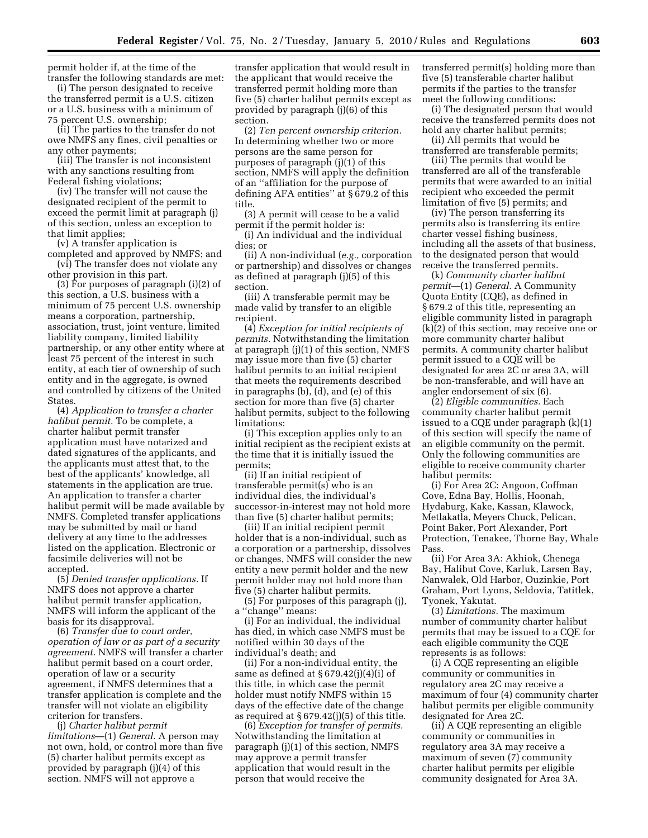permit holder if, at the time of the transfer the following standards are met:

(i) The person designated to receive the transferred permit is a U.S. citizen or a U.S. business with a minimum of 75 percent U.S. ownership;

(ii) The parties to the transfer do not owe NMFS any fines, civil penalties or any other payments;

(iii) The transfer is not inconsistent with any sanctions resulting from Federal fishing violations;

(iv) The transfer will not cause the designated recipient of the permit to exceed the permit limit at paragraph (j) of this section, unless an exception to that limit applies;

(v) A transfer application is completed and approved by NMFS; and

(vi) The transfer does not violate any other provision in this part.

 $(3)$  For purposes of paragraph  $(i)(2)$  of this section, a U.S. business with a minimum of 75 percent U.S. ownership means a corporation, partnership, association, trust, joint venture, limited liability company, limited liability partnership, or any other entity where at least 75 percent of the interest in such entity, at each tier of ownership of such entity and in the aggregate, is owned and controlled by citizens of the United **States** 

(4) *Application to transfer a charter halibut permit.* To be complete, a charter halibut permit transfer application must have notarized and dated signatures of the applicants, and the applicants must attest that, to the best of the applicants' knowledge, all statements in the application are true. An application to transfer a charter halibut permit will be made available by NMFS. Completed transfer applications may be submitted by mail or hand delivery at any time to the addresses listed on the application. Electronic or facsimile deliveries will not be accepted.

(5) *Denied transfer applications.* If NMFS does not approve a charter halibut permit transfer application, NMFS will inform the applicant of the basis for its disapproval.

(6) *Transfer due to court order, operation of law or as part of a security agreement.* NMFS will transfer a charter halibut permit based on a court order, operation of law or a security agreement, if NMFS determines that a transfer application is complete and the transfer will not violate an eligibility criterion for transfers.

(j) *Charter halibut permit limitations*—(1) *General.* A person may not own, hold, or control more than five (5) charter halibut permits except as provided by paragraph (j)(4) of this section. NMFS will not approve a

transfer application that would result in the applicant that would receive the transferred permit holding more than five (5) charter halibut permits except as provided by paragraph (j)(6) of this section.

(2) *Ten percent ownership criterion.*  In determining whether two or more persons are the same person for purposes of paragraph (j)(1) of this section, NMFS will apply the definition of an ''affiliation for the purpose of defining AFA entities'' at § 679.2 of this title.

(3) A permit will cease to be a valid permit if the permit holder is:

(i) An individual and the individual dies; or

(ii) A non-individual (*e.g.,* corporation or partnership) and dissolves or changes as defined at paragraph (j)(5) of this section.

(iii) A transferable permit may be made valid by transfer to an eligible recipient.

(4) *Exception for initial recipients of permits.* Notwithstanding the limitation at paragraph (j)(1) of this section, NMFS may issue more than five (5) charter halibut permits to an initial recipient that meets the requirements described in paragraphs (b), (d), and (e) of this section for more than five (5) charter halibut permits, subject to the following limitations:

(i) This exception applies only to an initial recipient as the recipient exists at the time that it is initially issued the permits;

(ii) If an initial recipient of transferable permit(s) who is an individual dies, the individual's successor-in-interest may not hold more than five (5) charter halibut permits;

(iii) If an initial recipient permit holder that is a non-individual, such as a corporation or a partnership, dissolves or changes, NMFS will consider the new entity a new permit holder and the new permit holder may not hold more than five (5) charter halibut permits.

(5) For purposes of this paragraph (j), a ''change'' means:

(i) For an individual, the individual has died, in which case NMFS must be notified within 30 days of the individual's death; and

(ii) For a non-individual entity, the same as defined at  $\S 679.42(j)(4)(i)$  of this title, in which case the permit holder must notify NMFS within 15 days of the effective date of the change as required at  $\S 679.42(j)(5)$  of this title.

(6) *Exception for transfer of permits.*  Notwithstanding the limitation at paragraph (j)(1) of this section, NMFS may approve a permit transfer application that would result in the person that would receive the

transferred permit(s) holding more than five (5) transferable charter halibut permits if the parties to the transfer meet the following conditions:

(i) The designated person that would receive the transferred permits does not hold any charter halibut permits;

(ii) All permits that would be transferred are transferable permits;

(iii) The permits that would be transferred are all of the transferable permits that were awarded to an initial recipient who exceeded the permit limitation of five (5) permits; and

(iv) The person transferring its permits also is transferring its entire charter vessel fishing business, including all the assets of that business, to the designated person that would receive the transferred permits.

(k) *Community charter halibut permit*—(1) *General.* A Community Quota Entity (CQE), as defined in § 679.2 of this title, representing an eligible community listed in paragraph (k)(2) of this section, may receive one or more community charter halibut permits. A community charter halibut permit issued to a CQE will be designated for area 2C or area 3A, will be non-transferable, and will have an angler endorsement of six (6).

(2) *Eligible communities.* Each community charter halibut permit issued to a CQE under paragraph (k)(1) of this section will specify the name of an eligible community on the permit. Only the following communities are eligible to receive community charter halibut permits:

(i) For Area 2C: Angoon, Coffman Cove, Edna Bay, Hollis, Hoonah, Hydaburg, Kake, Kassan, Klawock, Metlakatla, Meyers Chuck, Pelican, Point Baker, Port Alexander, Port Protection, Tenakee, Thorne Bay, Whale Pass.

(ii) For Area 3A: Akhiok, Chenega Bay, Halibut Cove, Karluk, Larsen Bay, Nanwalek, Old Harbor, Ouzinkie, Port Graham, Port Lyons, Seldovia, Tatitlek, Tyonek, Yakutat.

(3) *Limitations.* The maximum number of community charter halibut permits that may be issued to a CQE for each eligible community the CQE represents is as follows:

(i) A CQE representing an eligible community or communities in regulatory area 2C may receive a maximum of four (4) community charter halibut permits per eligible community designated for Area 2C.

(ii) A CQE representing an eligible community or communities in regulatory area 3A may receive a maximum of seven (7) community charter halibut permits per eligible community designated for Area 3A.